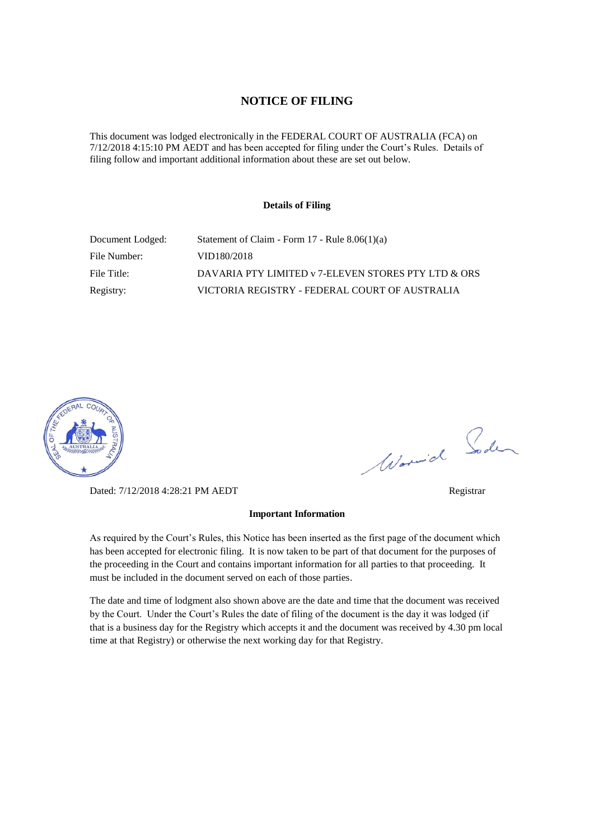### **NOTICE OF FILING**

This document was lodged electronically in the FEDERAL COURT OF AUSTRALIA (FCA) on 7/12/2018 4:15:10 PM AEDT and has been accepted for filing under the Court's Rules. Details of filing follow and important additional information about these are set out below.

#### **Details of Filing**

| Document Lodged: | Statement of Claim - Form $17$ - Rule $8.06(1)(a)$  |
|------------------|-----------------------------------------------------|
| File Number:     | VID180/2018                                         |
| File Title:      | DAVARIA PTY LIMITED v 7-ELEVEN STORES PTY LTD & ORS |
| Registry:        | VICTORIA REGISTRY - FEDERAL COURT OF AUSTRALIA      |



Dated: 7/12/2018 4:28:21 PM AEDT Registrar

Worwich Soden

#### **Important Information**

As required by the Court's Rules, this Notice has been inserted as the first page of the document which has been accepted for electronic filing. It is now taken to be part of that document for the purposes of the proceeding in the Court and contains important information for all parties to that proceeding. It must be included in the document served on each of those parties.

The date and time of lodgment also shown above are the date and time that the document was received by the Court. Under the Court's Rules the date of filing of the document is the day it was lodged (if that is a business day for the Registry which accepts it and the document was received by 4.30 pm local time at that Registry) or otherwise the next working day for that Registry.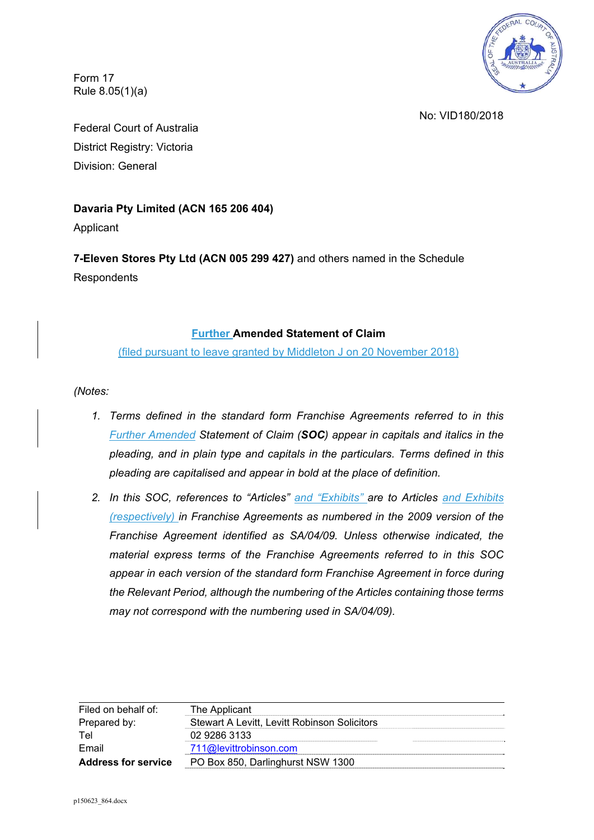

Form 17 Rule 8.05(1)(a)

No: VID180/2018

Federal Court of Australia District Registry: Victoria Division: General

# **Davaria Pty Limited (ACN 165 206 404)**

Applicant

**7-Eleven Stores Pty Ltd (ACN 005 299 427)** and others named in the Schedule **Respondents** 

# **Further Amended Statement of Claim**

(filed pursuant to leave granted by Middleton J on 20 November 2018)

*(Notes:* 

- *1. Terms defined in the standard form Franchise Agreements referred to in this Further Amended Statement of Claim (SOC) appear in capitals and italics in the pleading, and in plain type and capitals in the particulars. Terms defined in this pleading are capitalised and appear in bold at the place of definition.*
- *2. In this SOC, references to "Articles" and "Exhibits" are to Articles and Exhibits (respectively) in Franchise Agreements as numbered in the 2009 version of the Franchise Agreement identified as SA/04/09. Unless otherwise indicated, the material express terms of the Franchise Agreements referred to in this SOC appear in each version of the standard form Franchise Agreement in force during the Relevant Period, although the numbering of the Articles containing those terms may not correspond with the numbering used in SA/04/09).*

| Filed on behalf of:        | The Applicant                                |
|----------------------------|----------------------------------------------|
| Prepared by:               | Stewart A Levitt. Levitt Robinson Solicitors |
| Tel                        | 02 9286 3133                                 |
| Email                      | 711@levittrobinson.com                       |
| <b>Address for service</b> | PO Box 850, Darlinghurst NSW 1300            |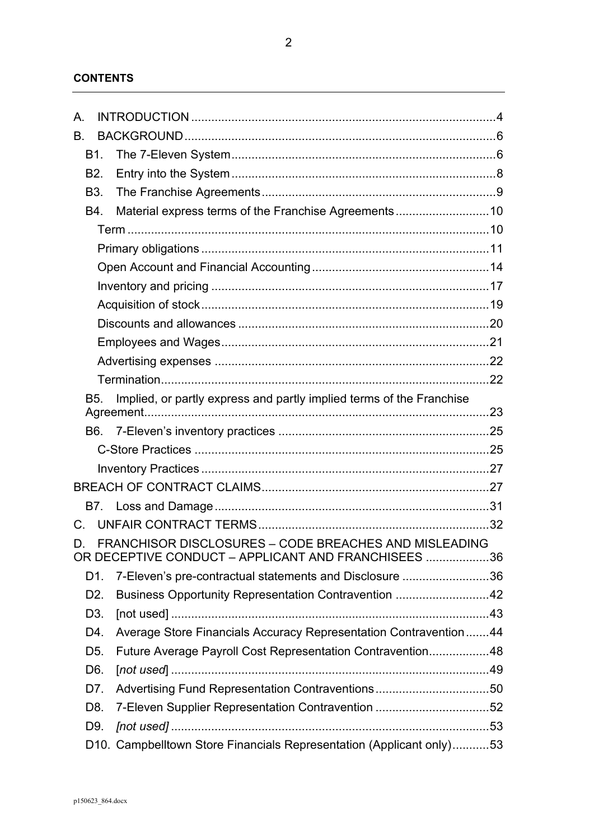| А.               |                                                                                                              |  |
|------------------|--------------------------------------------------------------------------------------------------------------|--|
| Β.               |                                                                                                              |  |
| B1.              |                                                                                                              |  |
| B <sub>2</sub> . |                                                                                                              |  |
| <b>B3.</b>       |                                                                                                              |  |
| B4.              | Material express terms of the Franchise Agreements10                                                         |  |
|                  |                                                                                                              |  |
|                  |                                                                                                              |  |
|                  |                                                                                                              |  |
|                  |                                                                                                              |  |
|                  |                                                                                                              |  |
|                  |                                                                                                              |  |
|                  |                                                                                                              |  |
|                  |                                                                                                              |  |
|                  |                                                                                                              |  |
| <b>B5.</b>       | Implied, or partly express and partly implied terms of the Franchise                                         |  |
|                  |                                                                                                              |  |
|                  |                                                                                                              |  |
|                  |                                                                                                              |  |
|                  |                                                                                                              |  |
|                  |                                                                                                              |  |
|                  |                                                                                                              |  |
| $C_{\cdot}$      |                                                                                                              |  |
| D.               | FRANCHISOR DISCLOSURES - CODE BREACHES AND MISLEADING<br>OR DECEPTIVE CONDUCT - APPLICANT AND FRANCHISEES 36 |  |
| D1.              | 7-Eleven's pre-contractual statements and Disclosure 36                                                      |  |
| D <sub>2</sub> . | Business Opportunity Representation Contravention 42                                                         |  |
| D <sub>3</sub> . |                                                                                                              |  |
| D4.              | Average Store Financials Accuracy Representation Contravention 44                                            |  |
| D <sub>5</sub> . | Future Average Payroll Cost Representation Contravention48                                                   |  |
| D6.              |                                                                                                              |  |
| D7.              | Advertising Fund Representation Contraventions50                                                             |  |
| D8.              | 7-Eleven Supplier Representation Contravention 52                                                            |  |
| D9.              |                                                                                                              |  |
|                  | D10. Campbelltown Store Financials Representation (Applicant only)53                                         |  |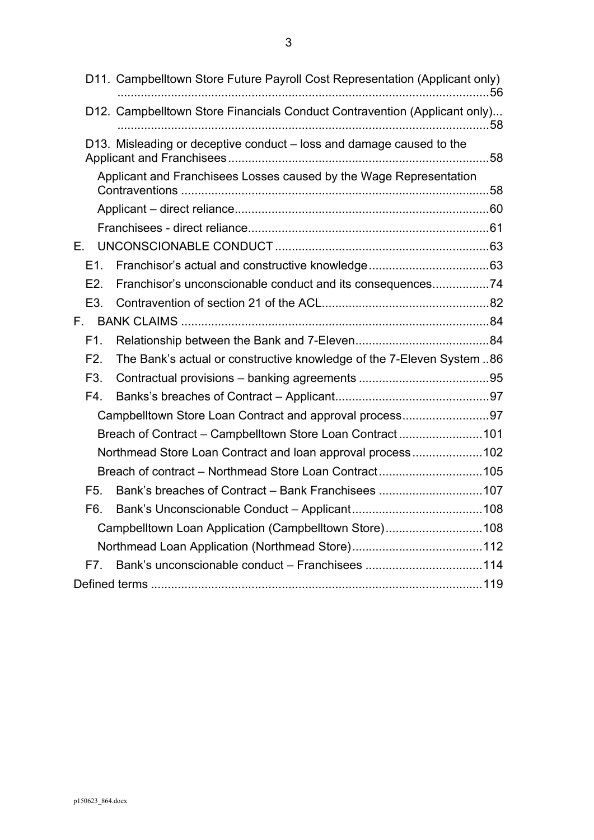|                  | D11. Campbelltown Store Future Payroll Cost Representation (Applicant only) | 56 |
|------------------|-----------------------------------------------------------------------------|----|
|                  | D12. Campbelltown Store Financials Conduct Contravention (Applicant only)   |    |
|                  | D13. Misleading or deceptive conduct - loss and damage caused to the        |    |
|                  | Applicant and Franchisees Losses caused by the Wage Representation          |    |
|                  |                                                                             |    |
|                  |                                                                             |    |
| Е.               |                                                                             |    |
| E1.              |                                                                             |    |
| E2.              | Franchisor's unconscionable conduct and its consequences74                  |    |
| E3.              |                                                                             |    |
| F.               |                                                                             |    |
| F1.              |                                                                             |    |
| F2.              | The Bank's actual or constructive knowledge of the 7-Eleven System  86      |    |
| F <sub>3</sub> . |                                                                             |    |
| F4.              |                                                                             |    |
|                  | Campbelltown Store Loan Contract and approval process97                     |    |
|                  | Breach of Contract - Campbelltown Store Loan Contract101                    |    |
|                  | Northmead Store Loan Contract and loan approval process102                  |    |
|                  | Breach of contract - Northmead Store Loan Contract105                       |    |
| F5.              | Bank's breaches of Contract - Bank Franchisees 107                          |    |
| F6.              |                                                                             |    |
|                  | Campbelltown Loan Application (Campbelltown Store)108                       |    |
|                  |                                                                             |    |
| F7.              |                                                                             |    |
|                  |                                                                             |    |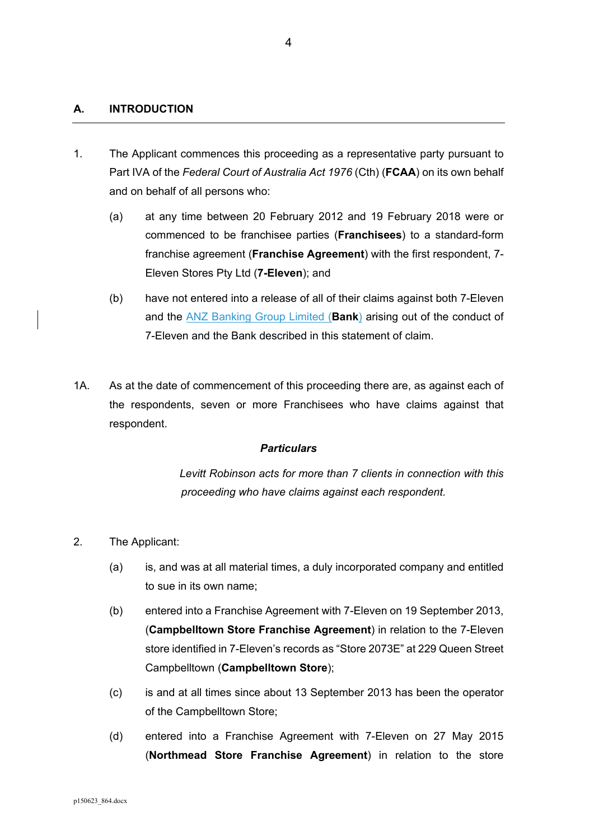# **A. INTRODUCTION**

- 1. The Applicant commences this proceeding as a representative party pursuant to Part IVA of the *Federal Court of Australia Act 1976* (Cth) (**FCAA**) on its own behalf and on behalf of all persons who:
	- (a) at any time between 20 February 2012 and 19 February 2018 were or commenced to be franchisee parties (**Franchisees**) to a standard-form franchise agreement (**Franchise Agreement**) with the first respondent, 7- Eleven Stores Pty Ltd (**7-Eleven**); and
	- (b) have not entered into a release of all of their claims against both 7-Eleven and the ANZ Banking Group Limited (**Bank**) arising out of the conduct of 7-Eleven and the Bank described in this statement of claim.
- 1A. As at the date of commencement of this proceeding there are, as against each of the respondents, seven or more Franchisees who have claims against that respondent.

#### *Particulars*

*Levitt Robinson acts for more than 7 clients in connection with this proceeding who have claims against each respondent.* 

- 2. The Applicant:
	- (a) is, and was at all material times, a duly incorporated company and entitled to sue in its own name;
	- (b) entered into a Franchise Agreement with 7-Eleven on 19 September 2013, (**Campbelltown Store Franchise Agreement**) in relation to the 7-Eleven store identified in 7-Eleven's records as "Store 2073E" at 229 Queen Street Campbelltown (**Campbelltown Store**);
	- (c) is and at all times since about 13 September 2013 has been the operator of the Campbelltown Store;
	- (d) entered into a Franchise Agreement with 7-Eleven on 27 May 2015 (**Northmead Store Franchise Agreement**) in relation to the store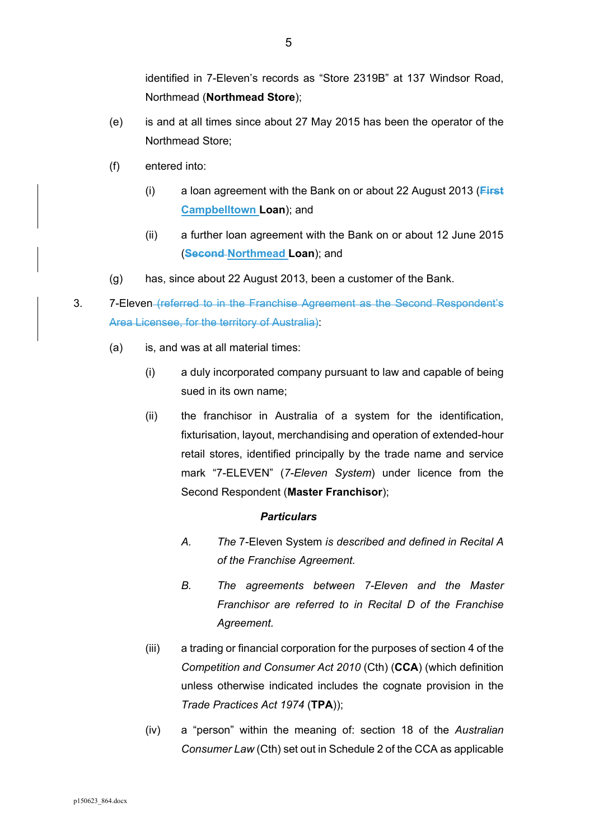identified in 7-Eleven's records as "Store 2319B" at 137 Windsor Road, Northmead (**Northmead Store**);

- (e) is and at all times since about 27 May 2015 has been the operator of the Northmead Store;
- (f) entered into:
	- (i) a loan agreement with the Bank on or about 22 August 2013 (**First Campbelltown Loan**); and
	- (ii) a further loan agreement with the Bank on or about 12 June 2015 (**Second Northmead Loan**); and
- (g) has, since about 22 August 2013, been a customer of the Bank.
- 3. 7-Eleven (referred to in the Franchise Agreement as the Second Respondent's Area Licensee, for the territory of Australia):
	- (a) is, and was at all material times:
		- (i) a duly incorporated company pursuant to law and capable of being sued in its own name;
		- (ii) the franchisor in Australia of a system for the identification, fixturisation, layout, merchandising and operation of extended-hour retail stores, identified principally by the trade name and service mark "7-ELEVEN" (*7-Eleven System*) under licence from the Second Respondent (**Master Franchisor**);

- *A. The* 7-Eleven System *is described and defined in Recital A of the Franchise Agreement.*
- *B. The agreements between 7-Eleven and the Master Franchisor are referred to in Recital D of the Franchise Agreement.*
- (iii) a trading or financial corporation for the purposes of section 4 of the *Competition and Consumer Act 2010* (Cth) (**CCA**) (which definition unless otherwise indicated includes the cognate provision in the *Trade Practices Act 1974* (**TPA**));
- (iv) a "person" within the meaning of: section 18 of the *Australian Consumer Law* (Cth) set out in Schedule 2 of the CCA as applicable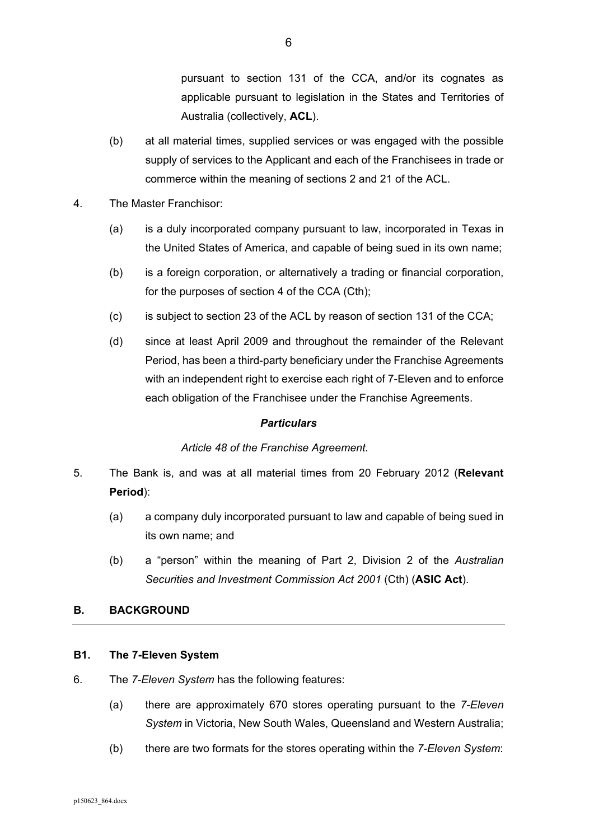pursuant to section 131 of the CCA, and/or its cognates as applicable pursuant to legislation in the States and Territories of Australia (collectively, **ACL**).

- (b) at all material times, supplied services or was engaged with the possible supply of services to the Applicant and each of the Franchisees in trade or commerce within the meaning of sections 2 and 21 of the ACL.
- 4. The Master Franchisor:
	- (a) is a duly incorporated company pursuant to law, incorporated in Texas in the United States of America, and capable of being sued in its own name;
	- (b) is a foreign corporation, or alternatively a trading or financial corporation, for the purposes of section 4 of the CCA (Cth);
	- (c) is subject to section 23 of the ACL by reason of section 131 of the CCA;
	- (d) since at least April 2009 and throughout the remainder of the Relevant Period, has been a third-party beneficiary under the Franchise Agreements with an independent right to exercise each right of 7-Eleven and to enforce each obligation of the Franchisee under the Franchise Agreements.

# *Particulars*

# *Article 48 of the Franchise Agreement.*

- 5. The Bank is, and was at all material times from 20 February 2012 (**Relevant Period**):
	- (a) a company duly incorporated pursuant to law and capable of being sued in its own name; and
	- (b) a "person" within the meaning of Part 2, Division 2 of the *Australian Securities and Investment Commission Act 2001* (Cth) (**ASIC Act**).

# **B. BACKGROUND**

# **B1. The 7-Eleven System**

- 6. The *7-Eleven System* has the following features:
	- (a) there are approximately 670 stores operating pursuant to the *7-Eleven System* in Victoria, New South Wales, Queensland and Western Australia;
	- (b) there are two formats for the stores operating within the *7-Eleven System*: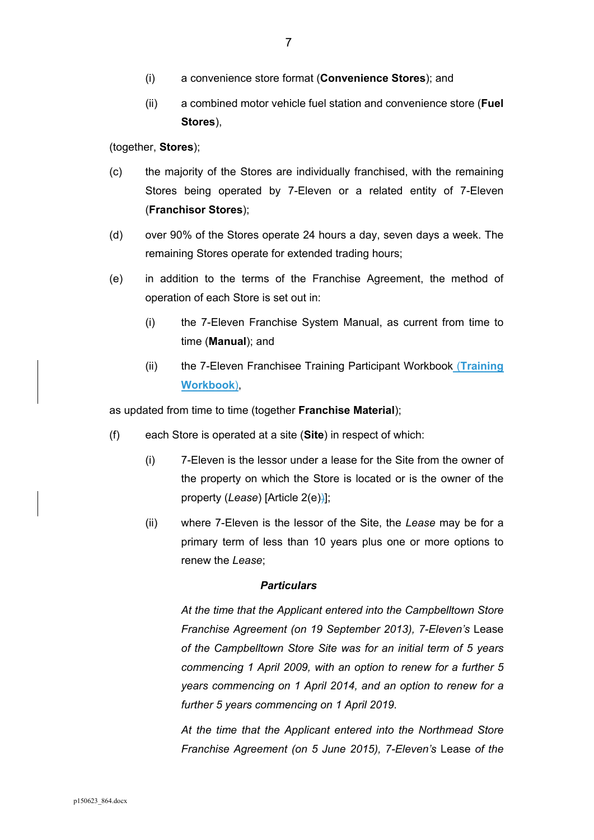- (i) a convenience store format (**Convenience Stores**); and
- (ii) a combined motor vehicle fuel station and convenience store (**Fuel Stores**),

(together, **Stores**);

- (c) the majority of the Stores are individually franchised, with the remaining Stores being operated by 7-Eleven or a related entity of 7-Eleven (**Franchisor Stores**);
- (d) over 90% of the Stores operate 24 hours a day, seven days a week. The remaining Stores operate for extended trading hours;
- (e) in addition to the terms of the Franchise Agreement, the method of operation of each Store is set out in:
	- (i) the 7-Eleven Franchise System Manual, as current from time to time (**Manual**); and
	- (ii) the 7-Eleven Franchisee Training Participant Workbook (**Training Workbook**),

as updated from time to time (together **Franchise Material**);

- (f) each Store is operated at a site (**Site**) in respect of which:
	- (i) 7-Eleven is the lessor under a lease for the Site from the owner of the property on which the Store is located or is the owner of the property (*Lease*) [Article 2(e))];
	- (ii) where 7-Eleven is the lessor of the Site, the *Lease* may be for a primary term of less than 10 years plus one or more options to renew the *Lease*;

## *Particulars*

*At the time that the Applicant entered into the Campbelltown Store Franchise Agreement (on 19 September 2013), 7-Eleven's* Lease *of the Campbelltown Store Site was for an initial term of 5 years commencing 1 April 2009, with an option to renew for a further 5 years commencing on 1 April 2014, and an option to renew for a further 5 years commencing on 1 April 2019.* 

*At the time that the Applicant entered into the Northmead Store Franchise Agreement (on 5 June 2015), 7-Eleven's Lease of the*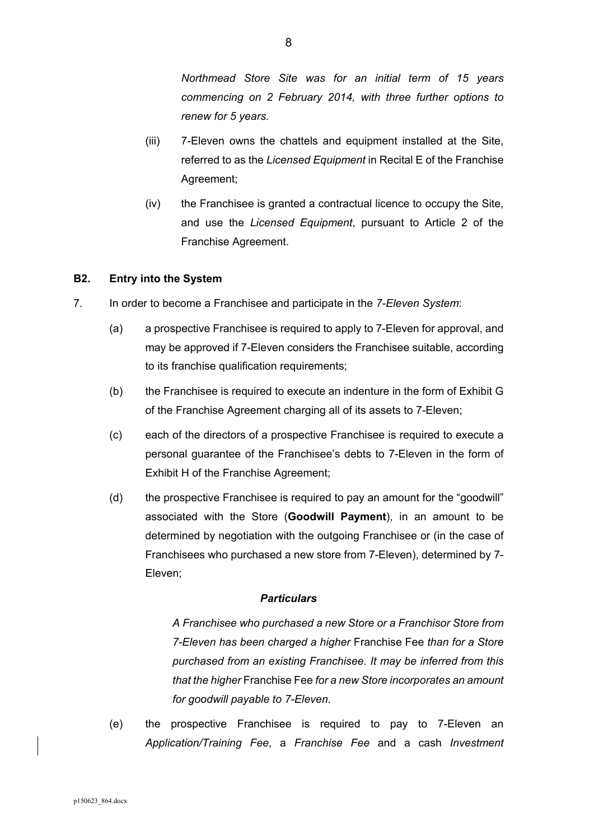*Northmead Store Site was for an initial term of 15 years commencing on 2 February 2014, with three further options to renew for 5 years.* 

- (iii) 7-Eleven owns the chattels and equipment installed at the Site, referred to as the *Licensed Equipment* in Recital E of the Franchise Agreement;
- (iv) the Franchisee is granted a contractual licence to occupy the Site, and use the *Licensed Equipment*, pursuant to Article 2 of the Franchise Agreement.

# **B2. Entry into the System**

- 7. In order to become a Franchisee and participate in the *7-Eleven System*:
	- (a) a prospective Franchisee is required to apply to 7-Eleven for approval, and may be approved if 7-Eleven considers the Franchisee suitable, according to its franchise qualification requirements;
	- (b) the Franchisee is required to execute an indenture in the form of Exhibit G of the Franchise Agreement charging all of its assets to 7-Eleven;
	- (c) each of the directors of a prospective Franchisee is required to execute a personal guarantee of the Franchisee's debts to 7-Eleven in the form of Exhibit H of the Franchise Agreement;
	- (d) the prospective Franchisee is required to pay an amount for the "goodwill" associated with the Store (**Goodwill Payment**), in an amount to be determined by negotiation with the outgoing Franchisee or (in the case of Franchisees who purchased a new store from 7-Eleven), determined by 7- Eleven;

# *Particulars*

*A Franchisee who purchased a new Store or a Franchisor Store from 7-Eleven has been charged a higher* Franchise Fee *than for a Store purchased from an existing Franchisee. It may be inferred from this that the higher* Franchise Fee *for a new Store incorporates an amount for goodwill payable to 7-Eleven.* 

(e) the prospective Franchisee is required to pay to 7-Eleven an *Application/Training Fee*, a *Franchise Fee* and a cash *Investment*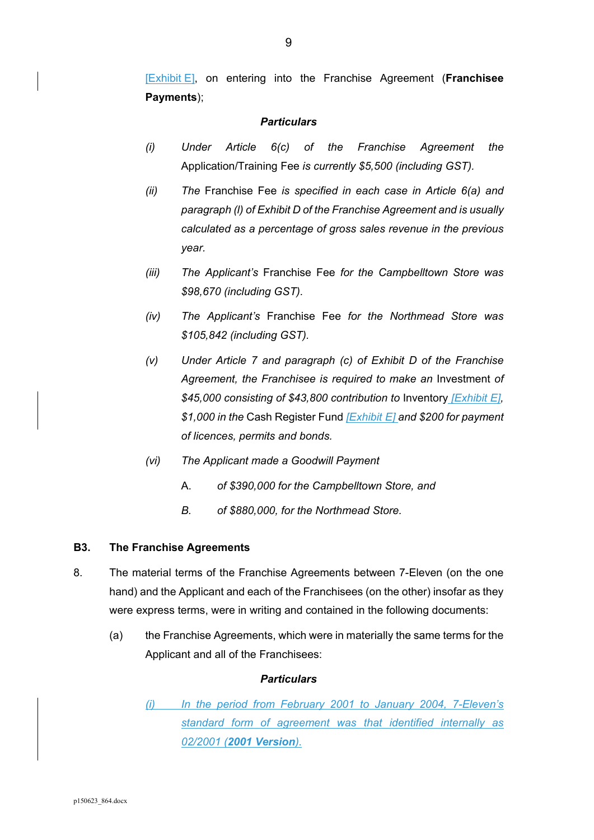[Exhibit E], on entering into the Franchise Agreement (**Franchisee Payments**);

# *Particulars*

- *(i) Under Article 6(c) of the Franchise Agreement the*  Application/Training Fee *is currently \$5,500 (including GST).*
- *(ii) The* Franchise Fee *is specified in each case in Article 6(a) and paragraph (l) of Exhibit D of the Franchise Agreement and is usually calculated as a percentage of gross sales revenue in the previous year.*
- *(iii) The Applicant's* Franchise Fee *for the Campbelltown Store was \$98,670 (including GST).*
- *(iv) The Applicant's* Franchise Fee *for the Northmead Store was \$105,842 (including GST).*
- *(v) Under Article 7 and paragraph (c) of Exhibit D of the Franchise Agreement, the Franchisee is required to make an* Investment *of \$45,000 consisting of \$43,800 contribution to* Inventory *[Exhibit E], \$1,000 in the* Cash Register Fund *[Exhibit E] and \$200 for payment of licences, permits and bonds.*
- *(vi) The Applicant made a Goodwill Payment* 
	- A. *of \$390,000 for the Campbelltown Store, and*
	- *B. of \$880,000, for the Northmead Store.*

#### **B3. The Franchise Agreements**

- 8. The material terms of the Franchise Agreements between 7-Eleven (on the one hand) and the Applicant and each of the Franchisees (on the other) insofar as they were express terms, were in writing and contained in the following documents:
	- (a) the Franchise Agreements, which were in materially the same terms for the Applicant and all of the Franchisees:

#### *Particulars*

*(i) In the period from February 2001 to January 2004, 7-Eleven's standard form of agreement was that identified internally as 02/2001 (2001 Version).*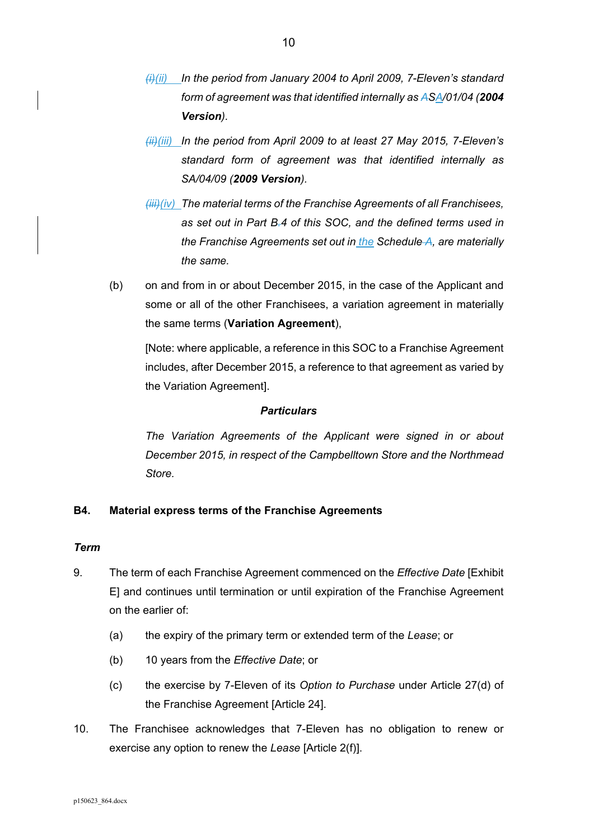- *(i)(ii) In the period from January 2004 to April 2009, 7-Eleven's standard form of agreement was that identified internally as ASA/01/04 (2004 Version).*
- *(ii)(iii) In the period from April 2009 to at least 27 May 2015, 7-Eleven's standard form of agreement was that identified internally as SA/04/09 (2009 Version).*
- *(iii)(iv) The material terms of the Franchise Agreements of all Franchisees, as set out in Part B.4 of this SOC, and the defined terms used in the Franchise Agreements set out in the Schedule A, are materially the same.*
- (b) on and from in or about December 2015, in the case of the Applicant and some or all of the other Franchisees, a variation agreement in materially the same terms (**Variation Agreement**),

[Note: where applicable, a reference in this SOC to a Franchise Agreement includes, after December 2015, a reference to that agreement as varied by the Variation Agreement].

# *Particulars*

*The Variation Agreements of the Applicant were signed in or about December 2015, in respect of the Campbelltown Store and the Northmead Store.* 

# **B4. Material express terms of the Franchise Agreements**

#### *Term*

- 9. The term of each Franchise Agreement commenced on the *Effective Date* [Exhibit E] and continues until termination or until expiration of the Franchise Agreement on the earlier of:
	- (a) the expiry of the primary term or extended term of the *Lease*; or
	- (b) 10 years from the *Effective Date*; or
	- (c) the exercise by 7-Eleven of its *Option to Purchase* under Article 27(d) of the Franchise Agreement [Article 24].
- 10. The Franchisee acknowledges that 7-Eleven has no obligation to renew or exercise any option to renew the *Lease* [Article 2(f)].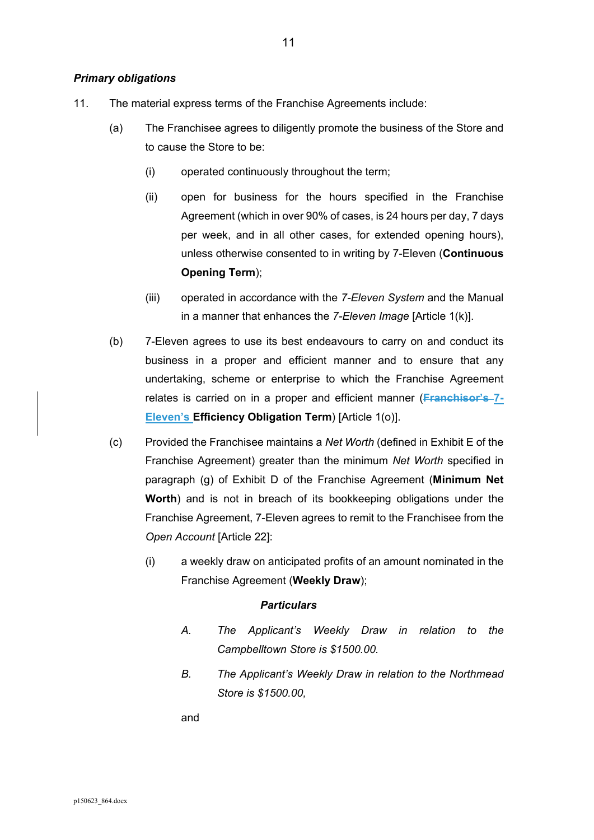#### *Primary obligations*

- 11. The material express terms of the Franchise Agreements include:
	- (a) The Franchisee agrees to diligently promote the business of the Store and to cause the Store to be:
		- (i) operated continuously throughout the term;
		- (ii) open for business for the hours specified in the Franchise Agreement (which in over 90% of cases, is 24 hours per day, 7 days per week, and in all other cases, for extended opening hours), unless otherwise consented to in writing by 7-Eleven (**Continuous Opening Term**);
		- (iii) operated in accordance with the *7-Eleven System* and the Manual in a manner that enhances the *7-Eleven Image* [Article 1(k)].
	- (b) 7-Eleven agrees to use its best endeavours to carry on and conduct its business in a proper and efficient manner and to ensure that any undertaking, scheme or enterprise to which the Franchise Agreement relates is carried on in a proper and efficient manner (**Franchisor's 7- Eleven's Efficiency Obligation Term**) [Article 1(o)].
	- (c) Provided the Franchisee maintains a *Net Worth* (defined in Exhibit E of the Franchise Agreement) greater than the minimum *Net Worth* specified in paragraph (g) of Exhibit D of the Franchise Agreement (**Minimum Net Worth**) and is not in breach of its bookkeeping obligations under the Franchise Agreement, 7-Eleven agrees to remit to the Franchisee from the *Open Account* [Article 22]:
		- (i) a weekly draw on anticipated profits of an amount nominated in the Franchise Agreement (**Weekly Draw**);

#### *Particulars*

- *A. The Applicant's Weekly Draw in relation to the Campbelltown Store is \$1500.00.*
- *B. The Applicant's Weekly Draw in relation to the Northmead Store is \$1500.00,*

and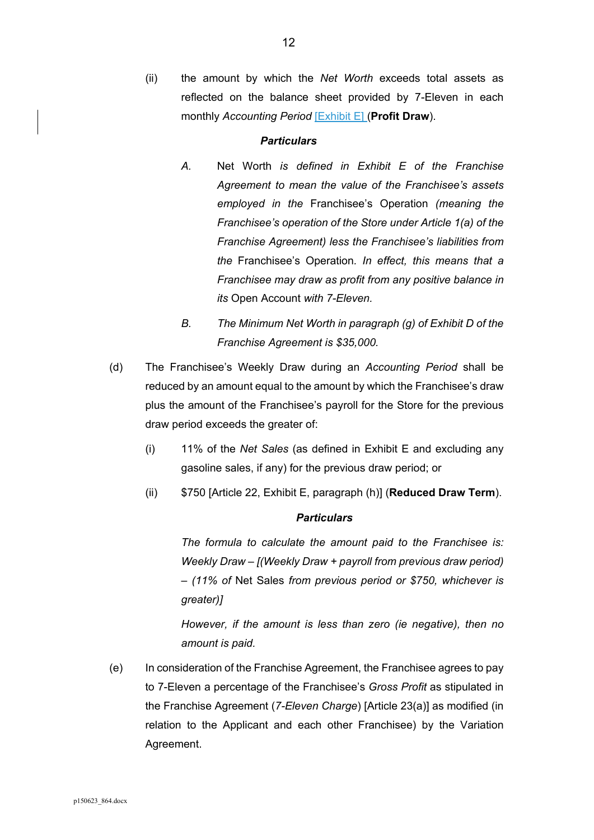(ii) the amount by which the *Net Worth* exceeds total assets as reflected on the balance sheet provided by 7-Eleven in each monthly *Accounting Period* [Exhibit E] (**Profit Draw**).

#### *Particulars*

- *A.* Net Worth *is defined in Exhibit E of the Franchise Agreement to mean the value of the Franchisee's assets employed in the* Franchisee's Operation *(meaning the Franchisee's operation of the Store under Article 1(a) of the Franchise Agreement) less the Franchisee's liabilities from the* Franchisee's Operation*. In effect, this means that a Franchisee may draw as profit from any positive balance in its* Open Account *with 7-Eleven.*
- *B. The Minimum Net Worth in paragraph (g) of Exhibit D of the Franchise Agreement is \$35,000.*
- (d) The Franchisee's Weekly Draw during an *Accounting Period* shall be reduced by an amount equal to the amount by which the Franchisee's draw plus the amount of the Franchisee's payroll for the Store for the previous draw period exceeds the greater of:
	- (i) 11% of the *Net Sales* (as defined in Exhibit E and excluding any gasoline sales, if any) for the previous draw period; or
	- (ii) \$750 [Article 22, Exhibit E, paragraph (h)] (**Reduced Draw Term**).

# *Particulars*

*The formula to calculate the amount paid to the Franchisee is: Weekly Draw – [(Weekly Draw + payroll from previous draw period) – (11% of* Net Sales *from previous period or \$750, whichever is greater)]* 

*However, if the amount is less than zero (ie negative), then no amount is paid.* 

(e) In consideration of the Franchise Agreement, the Franchisee agrees to pay to 7-Eleven a percentage of the Franchisee's *Gross Profit* as stipulated in the Franchise Agreement (*7-Eleven Charge*) [Article 23(a)] as modified (in relation to the Applicant and each other Franchisee) by the Variation Agreement.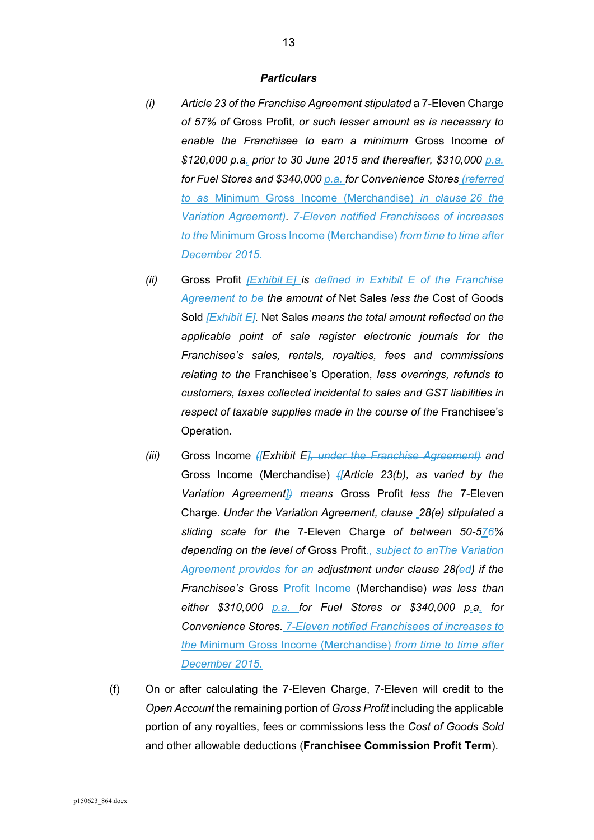- *(i) Article 23 of the Franchise Agreement stipulated* a 7-Eleven Charge *of 57% of* Gross Profit*, or such lesser amount as is necessary to enable the Franchisee to earn a minimum* Gross Income *of \$120,000 p.a. prior to 30 June 2015 and thereafter, \$310,000 p.a. for Fuel Stores and \$340,000 p.a. for Convenience Stores (referred to as* Minimum Gross Income (Merchandise) *in clause 26 the Variation Agreement). 7-Eleven notified Franchisees of increases to the* Minimum Gross Income (Merchandise) *from time to time after December 2015.*
- *(ii)* Gross Profit *[Exhibit E] is defined in Exhibit E of the Franchise Agreement to be the amount of* Net Sales *less the* Cost of Goods Sold *[Exhibit E].* Net Sales *means the total amount reflected on the applicable point of sale register electronic journals for the Franchisee's sales, rentals, royalties, fees and commissions relating to the* Franchisee's Operation*, less overrings, refunds to customers, taxes collected incidental to sales and GST liabilities in respect of taxable supplies made in the course of the* Franchisee's Operation*.*
- *(iii)* Gross Income *([Exhibit E], under the Franchise Agreement) and*  Gross Income (Merchandise) *([Article 23(b), as varied by the Variation Agreement]) means* Gross Profit *less the* 7-Eleven Charge*. Under the Variation Agreement, clause 28(e) stipulated a sliding scale for the* 7-Eleven Charge *of between 50-576% depending on the level of* Gross Profit.*, subject to anThe Variation Agreement provides for an adjustment under clause 28(ed) if the Franchisee's* Gross **Profit Income** (Merchandise) was less than *either \$310,000 p.a. for Fuel Stores or \$340,000 p.a. for Convenience Stores. 7-Eleven notified Franchisees of increases to the* Minimum Gross Income (Merchandise) *from time to time after December 2015.*
- (f) On or after calculating the 7-Eleven Charge, 7-Eleven will credit to the *Open Account* the remaining portion of *Gross Profit* including the applicable portion of any royalties, fees or commissions less the *Cost of Goods Sold* and other allowable deductions (**Franchisee Commission Profit Term**).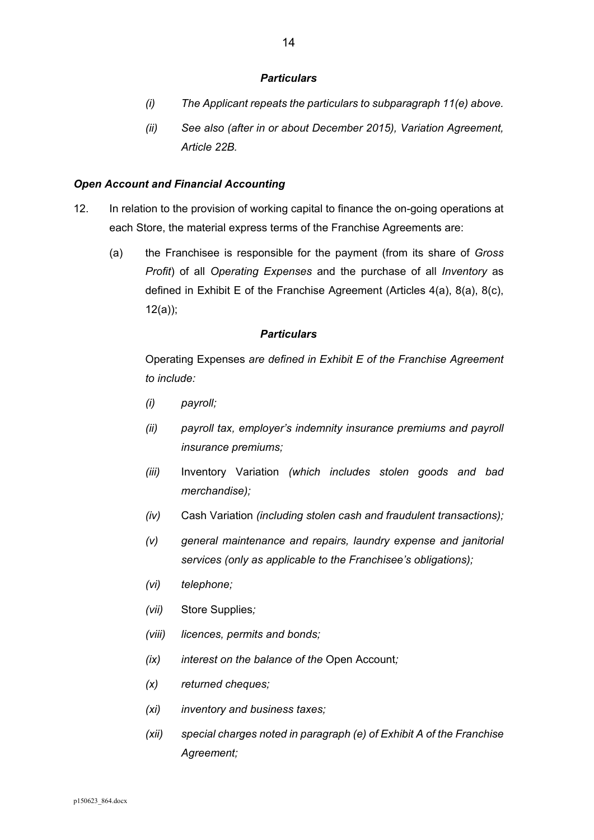#### *Particulars*

- *(i) The Applicant repeats the particulars to subparagraph 11(e) above.*
- *(ii) See also (after in or about December 2015), Variation Agreement, Article 22B.*

#### *Open Account and Financial Accounting*

- 12. In relation to the provision of working capital to finance the on-going operations at each Store, the material express terms of the Franchise Agreements are:
	- (a) the Franchisee is responsible for the payment (from its share of *Gross Profit*) of all *Operating Expenses* and the purchase of all *Inventory* as defined in Exhibit E of the Franchise Agreement (Articles 4(a), 8(a), 8(c), 12(a));

#### *Particulars*

Operating Expenses *are defined in Exhibit E of the Franchise Agreement to include:* 

- *(i) payroll;*
- *(ii) payroll tax, employer's indemnity insurance premiums and payroll insurance premiums;*
- *(iii)* Inventory Variation *(which includes stolen goods and bad merchandise);*
- *(iv)* Cash Variation *(including stolen cash and fraudulent transactions);*
- *(v) general maintenance and repairs, laundry expense and janitorial services (only as applicable to the Franchisee's obligations);*
- *(vi) telephone;*
- *(vii)* Store Supplies*;*
- *(viii) licences, permits and bonds;*
- *(ix) interest on the balance of the* Open Account*;*
- *(x) returned cheques;*
- *(xi) inventory and business taxes;*
- *(xii) special charges noted in paragraph (e) of Exhibit A of the Franchise Agreement;*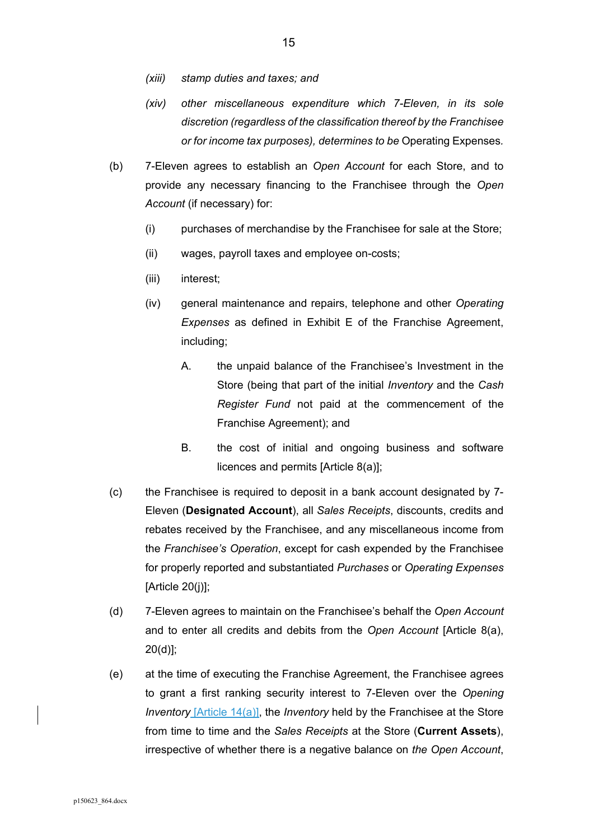- *(xiii) stamp duties and taxes; and*
- *(xiv) other miscellaneous expenditure which 7-Eleven, in its sole discretion (regardless of the classification thereof by the Franchisee or for income tax purposes), determines to be* Operating Expenses*.*
- (b) 7-Eleven agrees to establish an *Open Account* for each Store, and to provide any necessary financing to the Franchisee through the *Open Account* (if necessary) for:
	- (i) purchases of merchandise by the Franchisee for sale at the Store;
	- (ii) wages, payroll taxes and employee on-costs;
	- (iii) interest;
	- (iv) general maintenance and repairs, telephone and other *Operating Expenses* as defined in Exhibit E of the Franchise Agreement, including;
		- A. the unpaid balance of the Franchisee's Investment in the Store (being that part of the initial *Inventory* and the *Cash Register Fund* not paid at the commencement of the Franchise Agreement); and
		- B. the cost of initial and ongoing business and software licences and permits [Article 8(a)];
- (c) the Franchisee is required to deposit in a bank account designated by 7- Eleven (**Designated Account**), all *Sales Receipts*, discounts, credits and rebates received by the Franchisee, and any miscellaneous income from the *Franchisee's Operation*, except for cash expended by the Franchisee for properly reported and substantiated *Purchases* or *Operating Expenses* [Article 20(j)];
- (d) 7-Eleven agrees to maintain on the Franchisee's behalf the *Open Account* and to enter all credits and debits from the *Open Account* [Article 8(a), 20(d)];
- (e) at the time of executing the Franchise Agreement, the Franchisee agrees to grant a first ranking security interest to 7-Eleven over the *Opening Inventory* [Article 14(a)], the *Inventory* held by the Franchisee at the Store from time to time and the *Sales Receipts* at the Store (**Current Assets**), irrespective of whether there is a negative balance on *the Open Account*,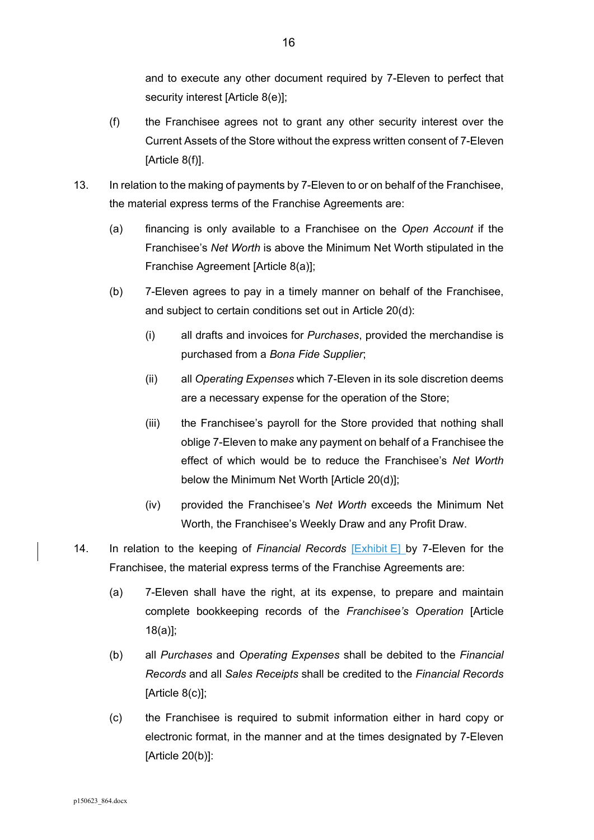and to execute any other document required by 7-Eleven to perfect that security interest [Article 8(e)];

- (f) the Franchisee agrees not to grant any other security interest over the Current Assets of the Store without the express written consent of 7-Eleven [Article 8(f)].
- 13. In relation to the making of payments by 7-Eleven to or on behalf of the Franchisee, the material express terms of the Franchise Agreements are:
	- (a) financing is only available to a Franchisee on the *Open Account* if the Franchisee's *Net Worth* is above the Minimum Net Worth stipulated in the Franchise Agreement [Article 8(a)];
	- (b) 7-Eleven agrees to pay in a timely manner on behalf of the Franchisee, and subject to certain conditions set out in Article 20(d):
		- (i) all drafts and invoices for *Purchases*, provided the merchandise is purchased from a *Bona Fide Supplier*;
		- (ii) all *Operating Expenses* which 7-Eleven in its sole discretion deems are a necessary expense for the operation of the Store;
		- (iii) the Franchisee's payroll for the Store provided that nothing shall oblige 7-Eleven to make any payment on behalf of a Franchisee the effect of which would be to reduce the Franchisee's *Net Worth* below the Minimum Net Worth [Article 20(d)];
		- (iv) provided the Franchisee's *Net Worth* exceeds the Minimum Net Worth, the Franchisee's Weekly Draw and any Profit Draw.
- 14. In relation to the keeping of *Financial Records* [Exhibit E] by 7-Eleven for the Franchisee, the material express terms of the Franchise Agreements are:
	- (a) 7-Eleven shall have the right, at its expense, to prepare and maintain complete bookkeeping records of the *Franchisee's Operation* [Article 18(a)];
	- (b) all *Purchases* and *Operating Expenses* shall be debited to the *Financial Records* and all *Sales Receipts* shall be credited to the *Financial Records*  [Article 8(c)];
	- (c) the Franchisee is required to submit information either in hard copy or electronic format, in the manner and at the times designated by 7-Eleven [Article 20(b)]: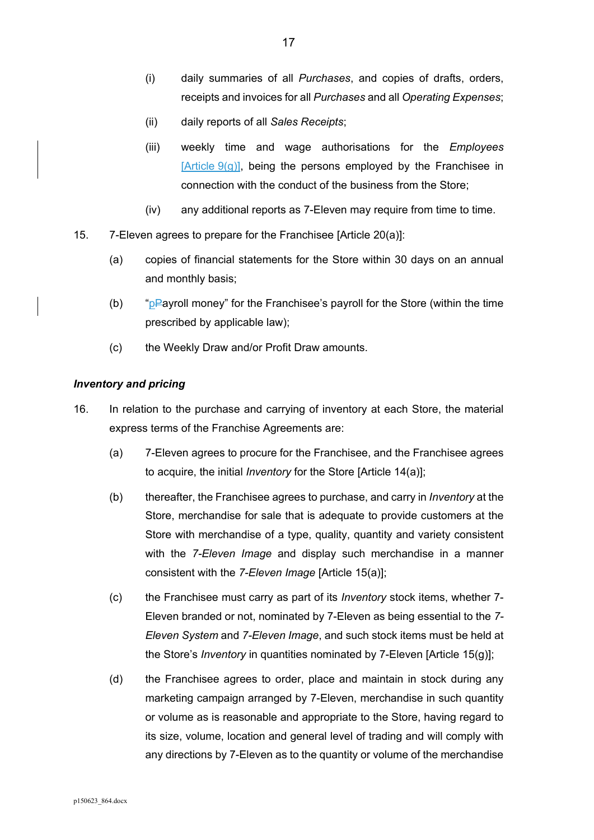- (i) daily summaries of all *Purchases*, and copies of drafts, orders, receipts and invoices for all *Purchases* and all *Operating Expenses*;
- (ii) daily reports of all *Sales Receipts*;
- (iii) weekly time and wage authorisations for the *Employees*  $[Article 9(g)],$  being the persons employed by the Franchisee in connection with the conduct of the business from the Store;
- (iv) any additional reports as 7-Eleven may require from time to time.
- 15. 7-Eleven agrees to prepare for the Franchisee [Article 20(a)]:
	- (a) copies of financial statements for the Store within 30 days on an annual and monthly basis;
	- (b) " $pP$ ayroll money" for the Franchisee's payroll for the Store (within the time prescribed by applicable law);
	- (c) the Weekly Draw and/or Profit Draw amounts.

#### *Inventory and pricing*

- 16. In relation to the purchase and carrying of inventory at each Store, the material express terms of the Franchise Agreements are:
	- (a) 7-Eleven agrees to procure for the Franchisee, and the Franchisee agrees to acquire, the initial *Inventory* for the Store [Article 14(a)];
	- (b) thereafter, the Franchisee agrees to purchase, and carry in *Inventory* at the Store, merchandise for sale that is adequate to provide customers at the Store with merchandise of a type, quality, quantity and variety consistent with the *7-Eleven Image* and display such merchandise in a manner consistent with the *7-Eleven Image* [Article 15(a)];
	- (c) the Franchisee must carry as part of its *Inventory* stock items, whether 7- Eleven branded or not, nominated by 7-Eleven as being essential to the *7- Eleven System* and *7-Eleven Image*, and such stock items must be held at the Store's *Inventory* in quantities nominated by 7-Eleven [Article 15(g)];
	- (d) the Franchisee agrees to order, place and maintain in stock during any marketing campaign arranged by 7-Eleven, merchandise in such quantity or volume as is reasonable and appropriate to the Store, having regard to its size, volume, location and general level of trading and will comply with any directions by 7-Eleven as to the quantity or volume of the merchandise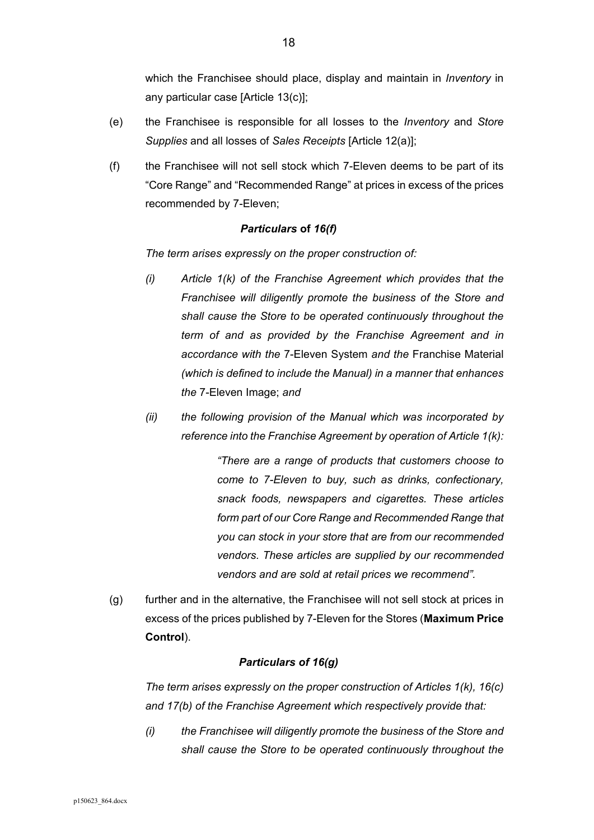which the Franchisee should place, display and maintain in *Inventory* in any particular case [Article 13(c)];

- (e) the Franchisee is responsible for all losses to the *Inventory* and *Store Supplies* and all losses of *Sales Receipts* [Article 12(a)];
- (f) the Franchisee will not sell stock which 7-Eleven deems to be part of its "Core Range" and "Recommended Range" at prices in excess of the prices recommended by 7-Eleven;

#### *Particulars* **of** *16(f)*

*The term arises expressly on the proper construction of:* 

- *(i) Article 1(k) of the Franchise Agreement which provides that the Franchisee will diligently promote the business of the Store and shall cause the Store to be operated continuously throughout the term of and as provided by the Franchise Agreement and in accordance with the* 7-Eleven System *and the* Franchise Material *(which is defined to include the Manual) in a manner that enhances the* 7-Eleven Image; *and*
- *(ii) the following provision of the Manual which was incorporated by reference into the Franchise Agreement by operation of Article 1(k):*

*"There are a range of products that customers choose to come to 7-Eleven to buy, such as drinks, confectionary, snack foods, newspapers and cigarettes. These articles form part of our Core Range and Recommended Range that you can stock in your store that are from our recommended vendors. These articles are supplied by our recommended vendors and are sold at retail prices we recommend".* 

(g) further and in the alternative, the Franchisee will not sell stock at prices in excess of the prices published by 7-Eleven for the Stores (**Maximum Price Control**).

# *Particulars of 16(g)*

*The term arises expressly on the proper construction of Articles 1(k), 16(c) and 17(b) of the Franchise Agreement which respectively provide that:* 

*(i) the Franchisee will diligently promote the business of the Store and shall cause the Store to be operated continuously throughout the*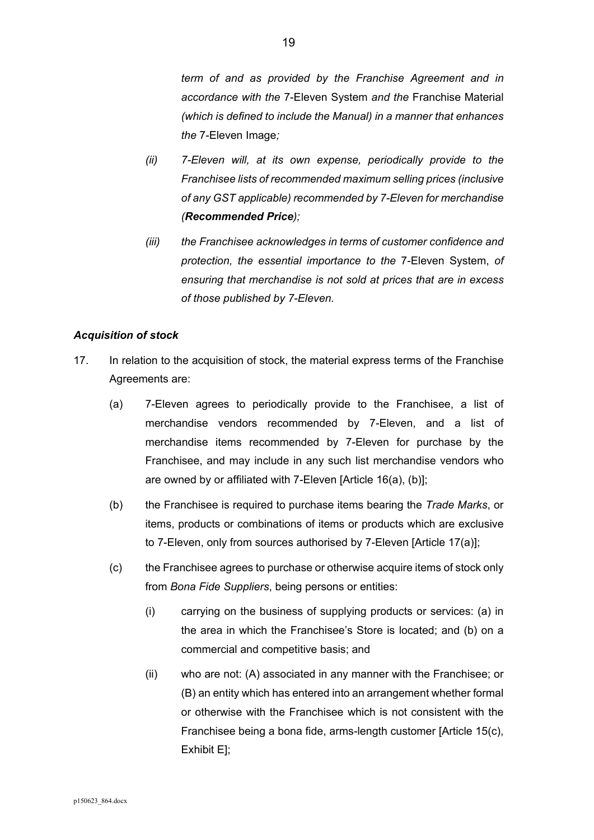*term of and as provided by the Franchise Agreement and in accordance with the* 7-Eleven System *and the* Franchise Material *(which is defined to include the Manual) in a manner that enhances the* 7-Eleven Image*;* 

- *(ii) 7-Eleven will, at its own expense, periodically provide to the Franchisee lists of recommended maximum selling prices (inclusive of any GST applicable) recommended by 7-Eleven for merchandise (Recommended Price);*
- *(iii) the Franchisee acknowledges in terms of customer confidence and protection, the essential importance to the* 7-Eleven System, *of ensuring that merchandise is not sold at prices that are in excess of those published by 7-Eleven.*

# *Acquisition of stock*

- 17. In relation to the acquisition of stock, the material express terms of the Franchise Agreements are:
	- (a) 7-Eleven agrees to periodically provide to the Franchisee, a list of merchandise vendors recommended by 7-Eleven, and a list of merchandise items recommended by 7-Eleven for purchase by the Franchisee, and may include in any such list merchandise vendors who are owned by or affiliated with 7-Eleven [Article 16(a), (b)];
	- (b) the Franchisee is required to purchase items bearing the *Trade Marks*, or items, products or combinations of items or products which are exclusive to 7-Eleven, only from sources authorised by 7-Eleven [Article 17(a)];
	- (c) the Franchisee agrees to purchase or otherwise acquire items of stock only from *Bona Fide Suppliers*, being persons or entities:
		- (i) carrying on the business of supplying products or services: (a) in the area in which the Franchisee's Store is located; and (b) on a commercial and competitive basis; and
		- (ii) who are not: (A) associated in any manner with the Franchisee; or (B) an entity which has entered into an arrangement whether formal or otherwise with the Franchisee which is not consistent with the Franchisee being a bona fide, arms-length customer [Article 15(c), Exhibit E];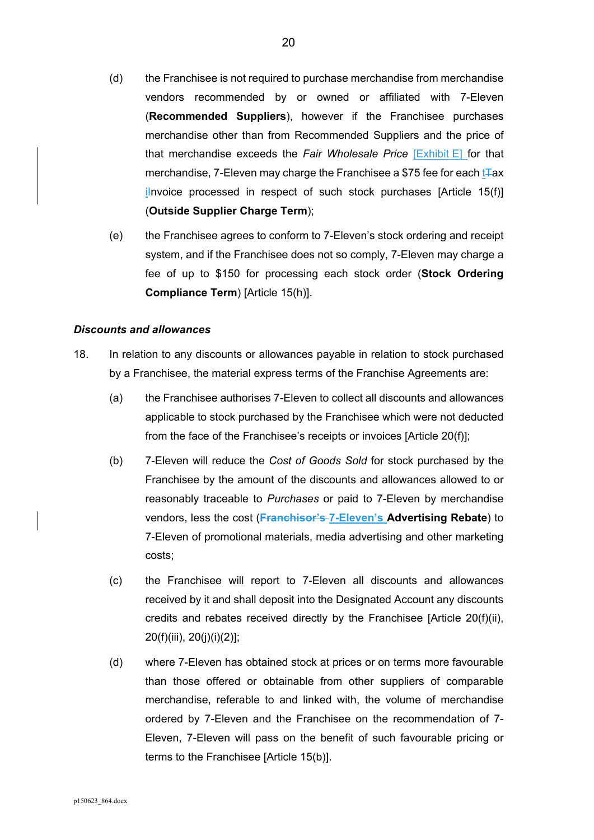- (d) the Franchisee is not required to purchase merchandise from merchandise vendors recommended by or owned or affiliated with 7-Eleven (**Recommended Suppliers**), however if the Franchisee purchases merchandise other than from Recommended Suppliers and the price of that merchandise exceeds the *Fair Wholesale Price* [Exhibit E] for that merchandise, 7-Eleven may charge the Franchisee a \$75 fee for each  $t$ Fax il nvoice processed in respect of such stock purchases  $[Article 15(f)]$ (**Outside Supplier Charge Term**);
- (e) the Franchisee agrees to conform to 7-Eleven's stock ordering and receipt system, and if the Franchisee does not so comply, 7-Eleven may charge a fee of up to \$150 for processing each stock order (**Stock Ordering Compliance Term**) [Article 15(h)].

#### *Discounts and allowances*

- 18. In relation to any discounts or allowances payable in relation to stock purchased by a Franchisee, the material express terms of the Franchise Agreements are:
	- (a) the Franchisee authorises 7-Eleven to collect all discounts and allowances applicable to stock purchased by the Franchisee which were not deducted from the face of the Franchisee's receipts or invoices [Article 20(f)];
	- (b) 7-Eleven will reduce the *Cost of Goods Sold* for stock purchased by the Franchisee by the amount of the discounts and allowances allowed to or reasonably traceable to *Purchases* or paid to 7-Eleven by merchandise vendors, less the cost (**Franchisor's 7-Eleven's Advertising Rebate**) to 7-Eleven of promotional materials, media advertising and other marketing costs;
	- (c) the Franchisee will report to 7-Eleven all discounts and allowances received by it and shall deposit into the Designated Account any discounts credits and rebates received directly by the Franchisee [Article 20(f)(ii), 20(f)(iii), 20(j)(i)(2)];
	- (d) where 7-Eleven has obtained stock at prices or on terms more favourable than those offered or obtainable from other suppliers of comparable merchandise, referable to and linked with, the volume of merchandise ordered by 7-Eleven and the Franchisee on the recommendation of 7- Eleven, 7-Eleven will pass on the benefit of such favourable pricing or terms to the Franchisee [Article 15(b)].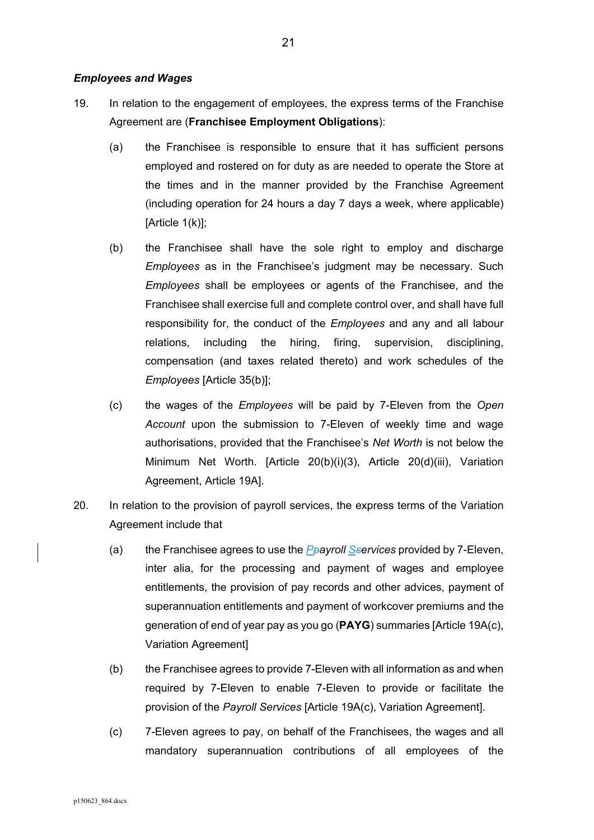#### *Employees and Wages*

- 19. In relation to the engagement of employees, the express terms of the Franchise Agreement are (**Franchisee Employment Obligations**):
	- (a) the Franchisee is responsible to ensure that it has sufficient persons employed and rostered on for duty as are needed to operate the Store at the times and in the manner provided by the Franchise Agreement (including operation for 24 hours a day 7 days a week, where applicable) [Article 1(k)];
	- (b) the Franchisee shall have the sole right to employ and discharge *Employees* as in the Franchisee's judgment may be necessary. Such *Employees* shall be employees or agents of the Franchisee, and the Franchisee shall exercise full and complete control over, and shall have full responsibility for, the conduct of the *Employees* and any and all labour relations, including the hiring, firing, supervision, disciplining, compensation (and taxes related thereto) and work schedules of the *Employees* [Article 35(b)];
	- (c) the wages of the *Employees* will be paid by 7-Eleven from the *Open Account* upon the submission to 7-Eleven of weekly time and wage authorisations, provided that the Franchisee's *Net Worth* is not below the Minimum Net Worth. [Article 20(b)(i)(3), Article 20(d)(iii), Variation Agreement, Article 19A].
- 20. In relation to the provision of payroll services, the express terms of the Variation Agreement include that
	- (a) the Franchisee agrees to use the *Ppayroll Sservices* provided by 7-Eleven, inter alia, for the processing and payment of wages and employee entitlements, the provision of pay records and other advices, payment of superannuation entitlements and payment of workcover premiums and the generation of end of year pay as you go (**PAYG**) summaries [Article 19A(c), Variation Agreement]
	- (b) the Franchisee agrees to provide 7-Eleven with all information as and when required by 7-Eleven to enable 7-Eleven to provide or facilitate the provision of the *Payroll Services* [Article 19A(c), Variation Agreement].
	- (c) 7-Eleven agrees to pay, on behalf of the Franchisees, the wages and all mandatory superannuation contributions of all employees of the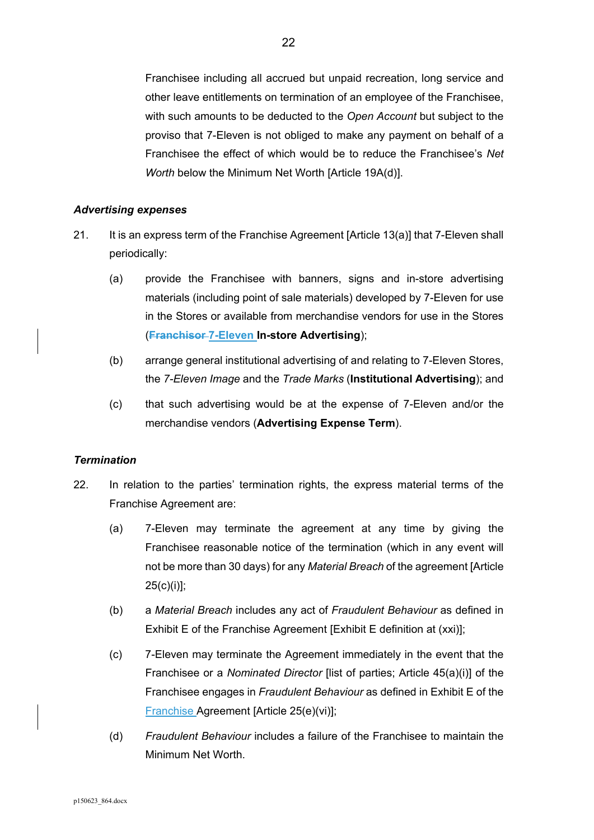Franchisee including all accrued but unpaid recreation, long service and other leave entitlements on termination of an employee of the Franchisee, with such amounts to be deducted to the *Open Account* but subject to the proviso that 7-Eleven is not obliged to make any payment on behalf of a Franchisee the effect of which would be to reduce the Franchisee's *Net Worth* below the Minimum Net Worth [Article 19A(d)].

#### *Advertising expenses*

- 21. It is an express term of the Franchise Agreement [Article 13(a)] that 7-Eleven shall periodically:
	- (a) provide the Franchisee with banners, signs and in-store advertising materials (including point of sale materials) developed by 7-Eleven for use in the Stores or available from merchandise vendors for use in the Stores (**Franchisor 7-Eleven In-store Advertising**);
	- (b) arrange general institutional advertising of and relating to 7-Eleven Stores, the *7-Eleven Image* and the *Trade Marks* (**Institutional Advertising**); and
	- (c) that such advertising would be at the expense of 7-Eleven and/or the merchandise vendors (**Advertising Expense Term**).

#### *Termination*

- 22. In relation to the parties' termination rights, the express material terms of the Franchise Agreement are:
	- (a) 7-Eleven may terminate the agreement at any time by giving the Franchisee reasonable notice of the termination (which in any event will not be more than 30 days) for any *Material Breach* of the agreement [Article 25(c)(i)];
	- (b) a *Material Breach* includes any act of *Fraudulent Behaviour* as defined in Exhibit E of the Franchise Agreement [Exhibit E definition at (xxi)];
	- (c) 7-Eleven may terminate the Agreement immediately in the event that the Franchisee or a *Nominated Director* [list of parties; Article 45(a)(i)] of the Franchisee engages in *Fraudulent Behaviour* as defined in Exhibit E of the Franchise Agreement [Article 25(e)(vi)];
	- (d) *Fraudulent Behaviour* includes a failure of the Franchisee to maintain the Minimum Net Worth.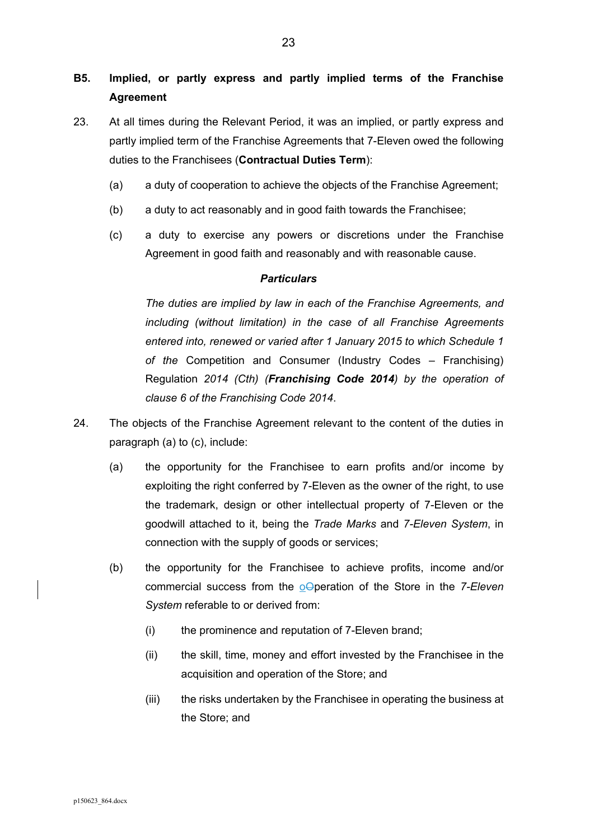# **B5. Implied, or partly express and partly implied terms of the Franchise Agreement**

- 23. At all times during the Relevant Period, it was an implied, or partly express and partly implied term of the Franchise Agreements that 7-Eleven owed the following duties to the Franchisees (**Contractual Duties Term**):
	- (a) a duty of cooperation to achieve the objects of the Franchise Agreement;
	- (b) a duty to act reasonably and in good faith towards the Franchisee;
	- (c) a duty to exercise any powers or discretions under the Franchise Agreement in good faith and reasonably and with reasonable cause.

# *Particulars*

*The duties are implied by law in each of the Franchise Agreements, and including (without limitation) in the case of all Franchise Agreements entered into, renewed or varied after 1 January 2015 to which Schedule 1 of the* Competition and Consumer (Industry Codes – Franchising) Regulation *2014 (Cth) (Franchising Code 2014) by the operation of clause 6 of the Franchising Code 2014*.

- 24. The objects of the Franchise Agreement relevant to the content of the duties in paragraph (a) to (c), include:
	- (a) the opportunity for the Franchisee to earn profits and/or income by exploiting the right conferred by 7-Eleven as the owner of the right, to use the trademark, design or other intellectual property of 7-Eleven or the goodwill attached to it, being the *Trade Marks* and *7-Eleven System*, in connection with the supply of goods or services;
	- (b) the opportunity for the Franchisee to achieve profits, income and/or commercial success from the oOperation of the Store in the *7-Eleven System* referable to or derived from:
		- (i) the prominence and reputation of 7-Eleven brand;
		- (ii) the skill, time, money and effort invested by the Franchisee in the acquisition and operation of the Store; and
		- (iii) the risks undertaken by the Franchisee in operating the business at the Store; and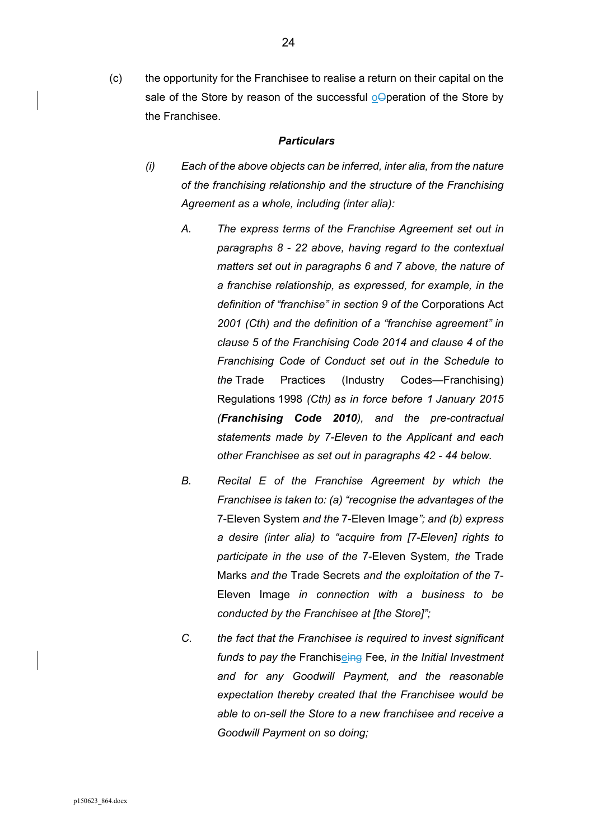(c) the opportunity for the Franchisee to realise a return on their capital on the sale of the Store by reason of the successful oOperation of the Store by the Franchisee.

- *(i) Each of the above objects can be inferred, inter alia, from the nature of the franchising relationship and the structure of the Franchising Agreement as a whole, including (inter alia):* 
	- *A. The express terms of the Franchise Agreement set out in paragraphs 8 - 22 above, having regard to the contextual matters set out in paragraphs 6 and 7 above, the nature of a franchise relationship, as expressed, for example, in the definition of "franchise" in section 9 of the* Corporations Act *2001 (Cth) and the definition of a "franchise agreement" in clause 5 of the Franchising Code 2014 and clause 4 of the Franchising Code of Conduct set out in the Schedule to the* Trade Practices (Industry Codes—Franchising) Regulations 1998 *(Cth) as in force before 1 January 2015 (Franchising Code 2010), and the pre-contractual statements made by 7-Eleven to the Applicant and each other Franchisee as set out in paragraphs 42 - 44 below.*
	- *B. Recital E of the Franchise Agreement by which the Franchisee is taken to: (a) "recognise the advantages of the*  7-Eleven System *and the* 7-Eleven Image*"; and (b) express a desire (inter alia) to "acquire from [7-Eleven] rights to participate in the use of the* 7-Eleven System*, the* Trade Marks *and the* Trade Secrets *and the exploitation of the* 7- Eleven Image *in connection with a business to be conducted by the Franchisee at [the Store]";*
	- *C. the fact that the Franchisee is required to invest significant funds to pay the* Franchiseing Fee*, in the Initial Investment and for any Goodwill Payment, and the reasonable expectation thereby created that the Franchisee would be able to on-sell the Store to a new franchisee and receive a Goodwill Payment on so doing;*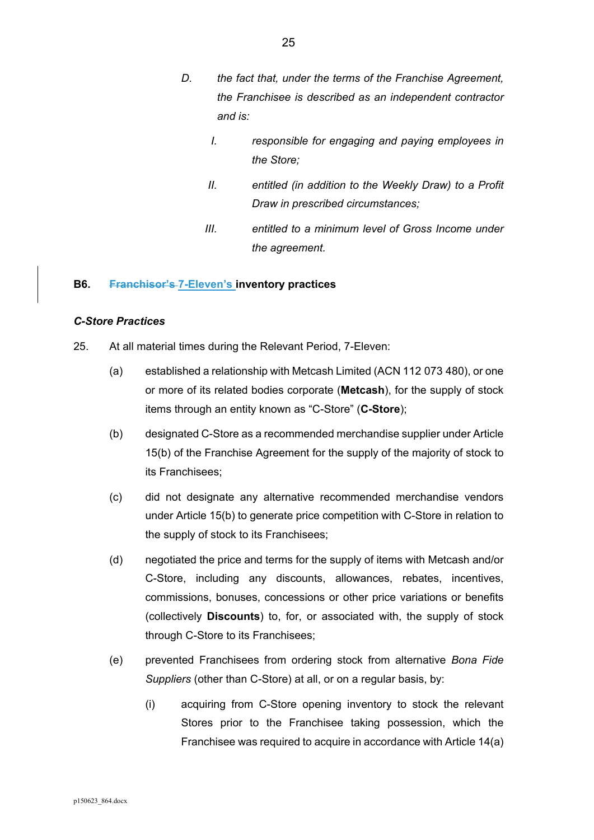- *D. the fact that, under the terms of the Franchise Agreement, the Franchisee is described as an independent contractor and is:* 
	- *I. responsible for engaging and paying employees in the Store;*
	- *II. entitled (in addition to the Weekly Draw) to a Profit Draw in prescribed circumstances;*
	- *III. entitled to a minimum level of Gross Income under the agreement.*

# **B6. Franchisor's 7-Eleven's inventory practices**

# *C-Store Practices*

- 25. At all material times during the Relevant Period, 7-Eleven:
	- (a) established a relationship with Metcash Limited (ACN 112 073 480), or one or more of its related bodies corporate (**Metcash**), for the supply of stock items through an entity known as "C-Store" (**C-Store**);
	- (b) designated C-Store as a recommended merchandise supplier under Article 15(b) of the Franchise Agreement for the supply of the majority of stock to its Franchisees;
	- (c) did not designate any alternative recommended merchandise vendors under Article 15(b) to generate price competition with C-Store in relation to the supply of stock to its Franchisees;
	- (d) negotiated the price and terms for the supply of items with Metcash and/or C-Store, including any discounts, allowances, rebates, incentives, commissions, bonuses, concessions or other price variations or benefits (collectively **Discounts**) to, for, or associated with, the supply of stock through C-Store to its Franchisees;
	- (e) prevented Franchisees from ordering stock from alternative *Bona Fide Suppliers* (other than C-Store) at all, or on a regular basis, by:
		- (i) acquiring from C-Store opening inventory to stock the relevant Stores prior to the Franchisee taking possession, which the Franchisee was required to acquire in accordance with Article 14(a)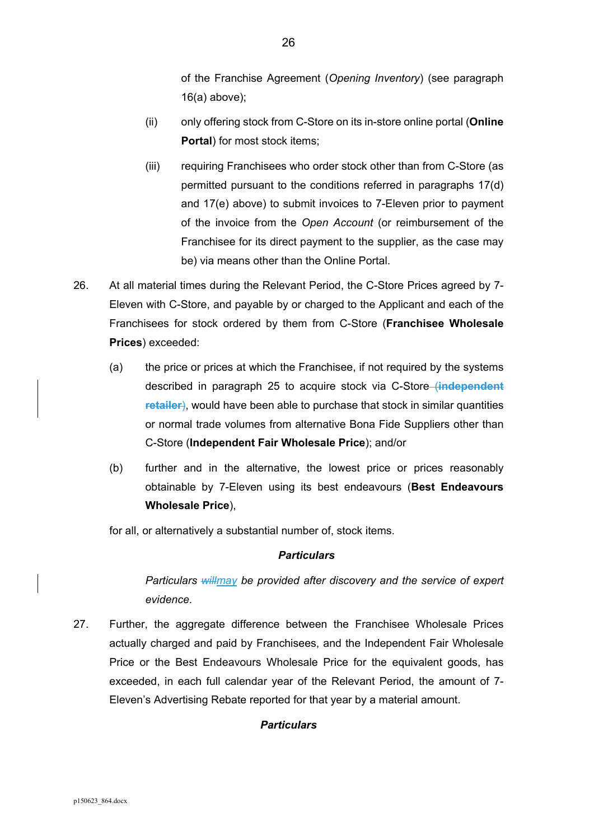of the Franchise Agreement (*Opening Inventory*) (see paragraph 16(a) above);

- (ii) only offering stock from C-Store on its in-store online portal (**Online Portal**) for most stock items;
- (iii) requiring Franchisees who order stock other than from C-Store (as permitted pursuant to the conditions referred in paragraphs 17(d) and 17(e) above) to submit invoices to 7-Eleven prior to payment of the invoice from the *Open Account* (or reimbursement of the Franchisee for its direct payment to the supplier, as the case may be) via means other than the Online Portal.
- 26. At all material times during the Relevant Period, the C-Store Prices agreed by 7- Eleven with C-Store, and payable by or charged to the Applicant and each of the Franchisees for stock ordered by them from C-Store (**Franchisee Wholesale Prices**) exceeded:
	- (a) the price or prices at which the Franchisee, if not required by the systems described in paragraph 25 to acquire stock via C-Store (**independent retailer**), would have been able to purchase that stock in similar quantities or normal trade volumes from alternative Bona Fide Suppliers other than C-Store (**Independent Fair Wholesale Price**); and/or
	- (b) further and in the alternative, the lowest price or prices reasonably obtainable by 7-Eleven using its best endeavours (**Best Endeavours Wholesale Price**),

for all, or alternatively a substantial number of, stock items.

#### *Particulars*

*Particulars willmay be provided after discovery and the service of expert evidence.* 

27. Further, the aggregate difference between the Franchisee Wholesale Prices actually charged and paid by Franchisees, and the Independent Fair Wholesale Price or the Best Endeavours Wholesale Price for the equivalent goods, has exceeded, in each full calendar year of the Relevant Period, the amount of 7- Eleven's Advertising Rebate reported for that year by a material amount.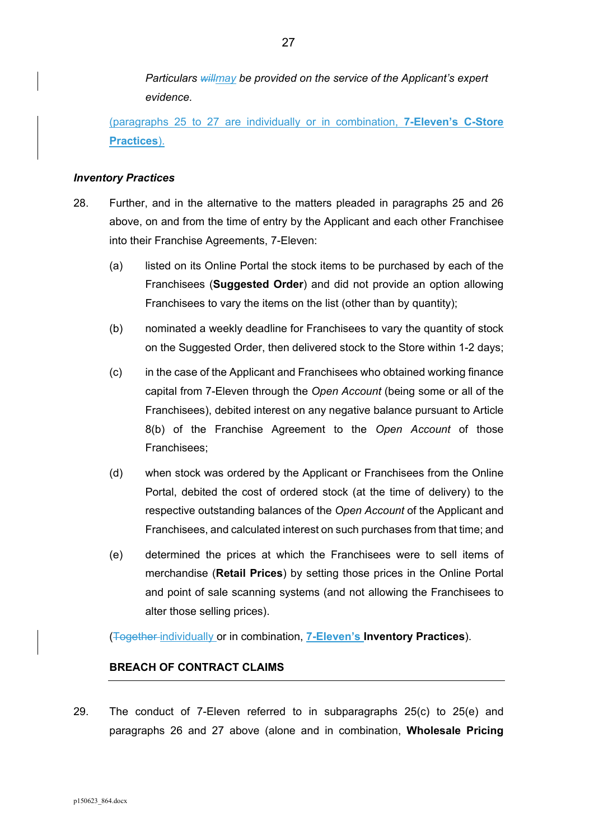*Particulars willmay be provided on the service of the Applicant's expert evidence.* 

(paragraphs 25 to 27 are individually or in combination, **7-Eleven's C-Store Practices**).

### *Inventory Practices*

- 28. Further, and in the alternative to the matters pleaded in paragraphs 25 and 26 above, on and from the time of entry by the Applicant and each other Franchisee into their Franchise Agreements, 7-Eleven:
	- (a) listed on its Online Portal the stock items to be purchased by each of the Franchisees (**Suggested Order**) and did not provide an option allowing Franchisees to vary the items on the list (other than by quantity);
	- (b) nominated a weekly deadline for Franchisees to vary the quantity of stock on the Suggested Order, then delivered stock to the Store within 1-2 days;
	- (c) in the case of the Applicant and Franchisees who obtained working finance capital from 7-Eleven through the *Open Account* (being some or all of the Franchisees), debited interest on any negative balance pursuant to Article 8(b) of the Franchise Agreement to the *Open Account* of those Franchisees;
	- (d) when stock was ordered by the Applicant or Franchisees from the Online Portal, debited the cost of ordered stock (at the time of delivery) to the respective outstanding balances of the *Open Account* of the Applicant and Franchisees, and calculated interest on such purchases from that time; and
	- (e) determined the prices at which the Franchisees were to sell items of merchandise (**Retail Prices**) by setting those prices in the Online Portal and point of sale scanning systems (and not allowing the Franchisees to alter those selling prices).

(Together individually or in combination, **7-Eleven's Inventory Practices**).

# **BREACH OF CONTRACT CLAIMS**

29. The conduct of 7-Eleven referred to in subparagraphs 25(c) to 25(e) and paragraphs 26 and 27 above (alone and in combination, **Wholesale Pricing**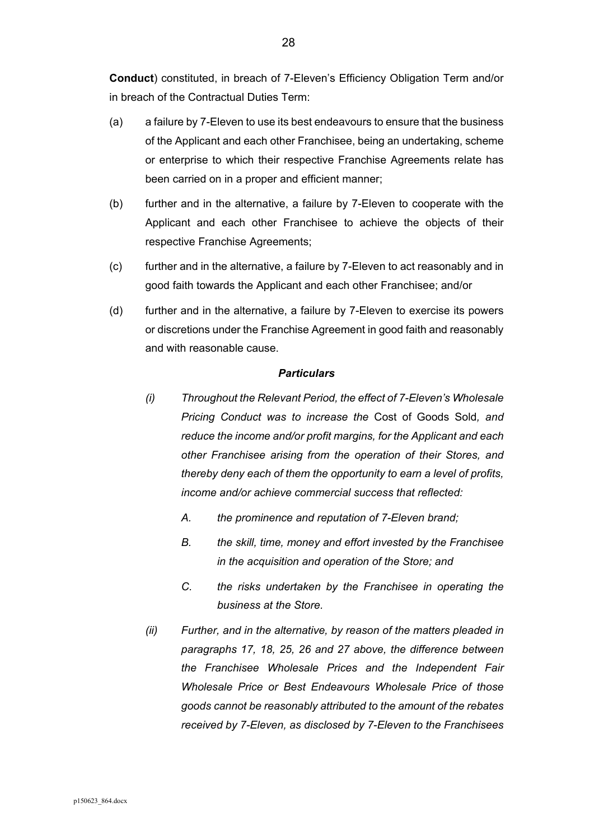**Conduct**) constituted, in breach of 7-Eleven's Efficiency Obligation Term and/or in breach of the Contractual Duties Term:

- (a) a failure by 7-Eleven to use its best endeavours to ensure that the business of the Applicant and each other Franchisee, being an undertaking, scheme or enterprise to which their respective Franchise Agreements relate has been carried on in a proper and efficient manner;
- (b) further and in the alternative, a failure by 7-Eleven to cooperate with the Applicant and each other Franchisee to achieve the objects of their respective Franchise Agreements;
- (c) further and in the alternative, a failure by 7-Eleven to act reasonably and in good faith towards the Applicant and each other Franchisee; and/or
- (d) further and in the alternative, a failure by 7-Eleven to exercise its powers or discretions under the Franchise Agreement in good faith and reasonably and with reasonable cause.

- *(i) Throughout the Relevant Period, the effect of 7-Eleven's Wholesale Pricing Conduct was to increase the* Cost of Goods Sold*, and reduce the income and/or profit margins, for the Applicant and each other Franchisee arising from the operation of their Stores, and thereby deny each of them the opportunity to earn a level of profits, income and/or achieve commercial success that reflected:* 
	- *A. the prominence and reputation of 7-Eleven brand;*
	- *B. the skill, time, money and effort invested by the Franchisee in the acquisition and operation of the Store; and*
	- *C. the risks undertaken by the Franchisee in operating the business at the Store.*
- *(ii) Further, and in the alternative, by reason of the matters pleaded in paragraphs 17, 18, 25, 26 and 27 above, the difference between the Franchisee Wholesale Prices and the Independent Fair Wholesale Price or Best Endeavours Wholesale Price of those goods cannot be reasonably attributed to the amount of the rebates received by 7-Eleven, as disclosed by 7-Eleven to the Franchisees*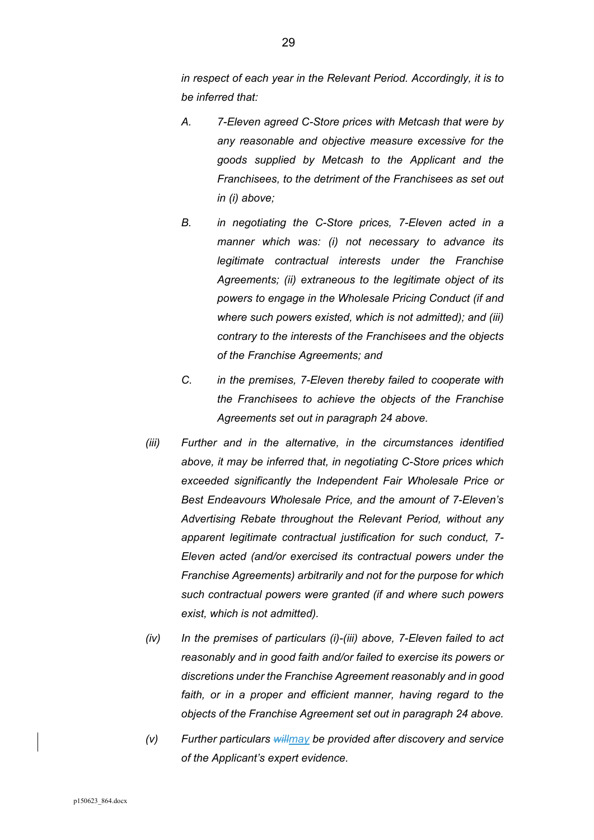*in respect of each year in the Relevant Period. Accordingly, it is to be inferred that:* 

- *A. 7-Eleven agreed C-Store prices with Metcash that were by any reasonable and objective measure excessive for the goods supplied by Metcash to the Applicant and the Franchisees, to the detriment of the Franchisees as set out in (i) above;*
- *B. in negotiating the C-Store prices, 7-Eleven acted in a manner which was: (i) not necessary to advance its legitimate contractual interests under the Franchise Agreements; (ii) extraneous to the legitimate object of its powers to engage in the Wholesale Pricing Conduct (if and where such powers existed, which is not admitted); and (iii) contrary to the interests of the Franchisees and the objects of the Franchise Agreements; and*
- *C. in the premises, 7-Eleven thereby failed to cooperate with the Franchisees to achieve the objects of the Franchise Agreements set out in paragraph 24 above.*
- *(iii) Further and in the alternative, in the circumstances identified above, it may be inferred that, in negotiating C-Store prices which exceeded significantly the Independent Fair Wholesale Price or Best Endeavours Wholesale Price, and the amount of 7-Eleven's Advertising Rebate throughout the Relevant Period, without any apparent legitimate contractual justification for such conduct, 7- Eleven acted (and/or exercised its contractual powers under the Franchise Agreements) arbitrarily and not for the purpose for which such contractual powers were granted (if and where such powers exist, which is not admitted).*
- *(iv) In the premises of particulars (i)-(iii) above, 7-Eleven failed to act reasonably and in good faith and/or failed to exercise its powers or discretions under the Franchise Agreement reasonably and in good*  faith, or in a proper and efficient manner, having regard to the *objects of the Franchise Agreement set out in paragraph 24 above.*
- *(v) Further particulars willmay be provided after discovery and service of the Applicant's expert evidence.*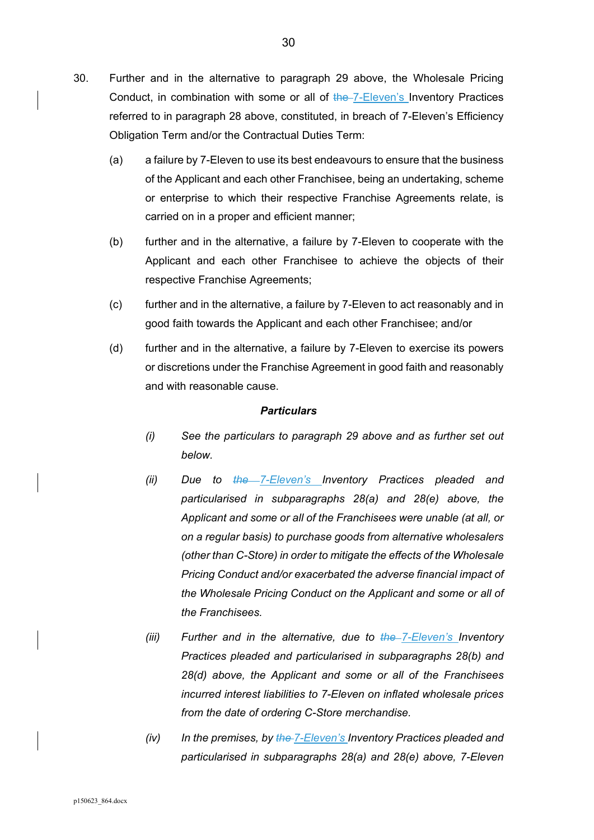- 30. Further and in the alternative to paragraph 29 above, the Wholesale Pricing Conduct, in combination with some or all of the 7-Eleven's Inventory Practices referred to in paragraph 28 above, constituted, in breach of 7-Eleven's Efficiency Obligation Term and/or the Contractual Duties Term:
	- (a) a failure by 7-Eleven to use its best endeavours to ensure that the business of the Applicant and each other Franchisee, being an undertaking, scheme or enterprise to which their respective Franchise Agreements relate, is carried on in a proper and efficient manner;
	- (b) further and in the alternative, a failure by 7-Eleven to cooperate with the Applicant and each other Franchisee to achieve the objects of their respective Franchise Agreements;
	- (c) further and in the alternative, a failure by 7-Eleven to act reasonably and in good faith towards the Applicant and each other Franchisee; and/or
	- (d) further and in the alternative, a failure by 7-Eleven to exercise its powers or discretions under the Franchise Agreement in good faith and reasonably and with reasonable cause.

- *(i) See the particulars to paragraph 29 above and as further set out below.*
- *(ii) Due to the 7-Eleven's Inventory Practices pleaded and particularised in subparagraphs 28(a) and 28(e) above, the Applicant and some or all of the Franchisees were unable (at all, or on a regular basis) to purchase goods from alternative wholesalers (other than C-Store) in order to mitigate the effects of the Wholesale Pricing Conduct and/or exacerbated the adverse financial impact of the Wholesale Pricing Conduct on the Applicant and some or all of the Franchisees.*
- *(iii) Further and in the alternative, due to the 7-Eleven's Inventory Practices pleaded and particularised in subparagraphs 28(b) and 28(d) above, the Applicant and some or all of the Franchisees incurred interest liabilities to 7-Eleven on inflated wholesale prices from the date of ordering C-Store merchandise.*
- *(iv) In the premises, by the 7-Eleven's Inventory Practices pleaded and particularised in subparagraphs 28(a) and 28(e) above, 7-Eleven*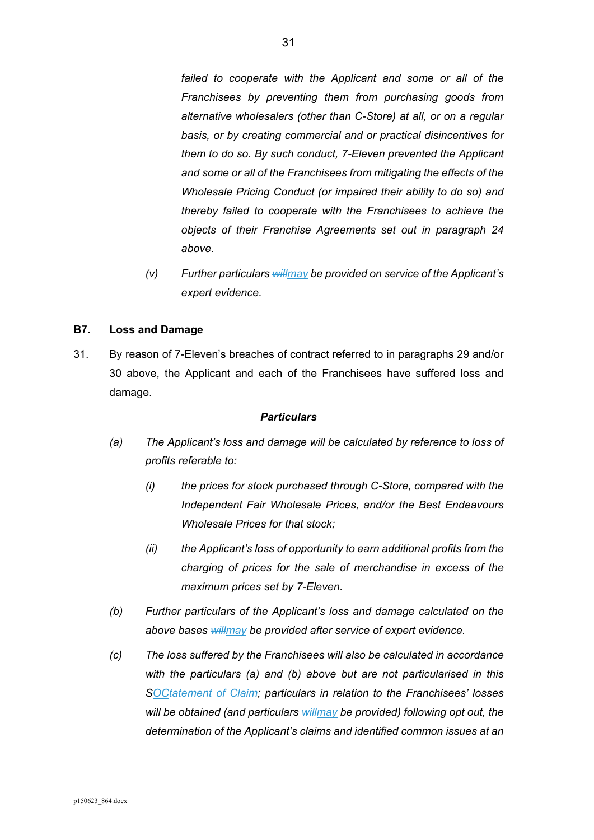failed to cooperate with the Applicant and some or all of the *Franchisees by preventing them from purchasing goods from alternative wholesalers (other than C-Store) at all, or on a regular basis, or by creating commercial and or practical disincentives for them to do so. By such conduct, 7-Eleven prevented the Applicant and some or all of the Franchisees from mitigating the effects of the Wholesale Pricing Conduct (or impaired their ability to do so) and thereby failed to cooperate with the Franchisees to achieve the objects of their Franchise Agreements set out in paragraph 24 above.* 

*(v) Further particulars willmay be provided on service of the Applicant's expert evidence.* 

# **B7. Loss and Damage**

31. By reason of 7-Eleven's breaches of contract referred to in paragraphs 29 and/or 30 above, the Applicant and each of the Franchisees have suffered loss and damage.

- *(a) The Applicant's loss and damage will be calculated by reference to loss of profits referable to:* 
	- *(i) the prices for stock purchased through C-Store, compared with the Independent Fair Wholesale Prices, and/or the Best Endeavours Wholesale Prices for that stock;*
	- *(ii) the Applicant's loss of opportunity to earn additional profits from the charging of prices for the sale of merchandise in excess of the maximum prices set by 7-Eleven.*
- *(b) Further particulars of the Applicant's loss and damage calculated on the above bases willmay be provided after service of expert evidence.*
- *(c) The loss suffered by the Franchisees will also be calculated in accordance with the particulars (a) and (b) above but are not particularised in this SOCtatement of Claim; particulars in relation to the Franchisees' losses will be obtained (and particulars willmay be provided) following opt out, the determination of the Applicant's claims and identified common issues at an*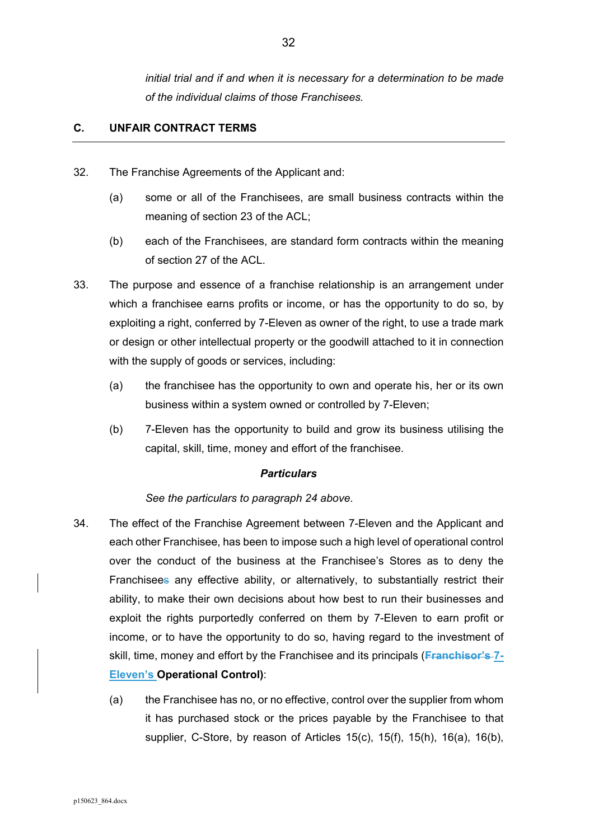*initial trial and if and when it is necessary for a determination to be made of the individual claims of those Franchisees.* 

# **C. UNFAIR CONTRACT TERMS**

- 32. The Franchise Agreements of the Applicant and:
	- (a) some or all of the Franchisees, are small business contracts within the meaning of section 23 of the ACL;
	- (b) each of the Franchisees, are standard form contracts within the meaning of section 27 of the ACL.
- 33. The purpose and essence of a franchise relationship is an arrangement under which a franchisee earns profits or income, or has the opportunity to do so, by exploiting a right, conferred by 7-Eleven as owner of the right, to use a trade mark or design or other intellectual property or the goodwill attached to it in connection with the supply of goods or services, including:
	- (a) the franchisee has the opportunity to own and operate his, her or its own business within a system owned or controlled by 7-Eleven;
	- (b) 7-Eleven has the opportunity to build and grow its business utilising the capital, skill, time, money and effort of the franchisee.

#### *Particulars*

# *See the particulars to paragraph 24 above.*

- 34. The effect of the Franchise Agreement between 7-Eleven and the Applicant and each other Franchisee, has been to impose such a high level of operational control over the conduct of the business at the Franchisee's Stores as to deny the Franchisees any effective ability, or alternatively, to substantially restrict their ability, to make their own decisions about how best to run their businesses and exploit the rights purportedly conferred on them by 7-Eleven to earn profit or income, or to have the opportunity to do so, having regard to the investment of skill, time, money and effort by the Franchisee and its principals (**Franchisor's 7- Eleven's Operational Control)**:
	- (a) the Franchisee has no, or no effective, control over the supplier from whom it has purchased stock or the prices payable by the Franchisee to that supplier, C-Store, by reason of Articles 15(c), 15(f), 15(h), 16(a), 16(b),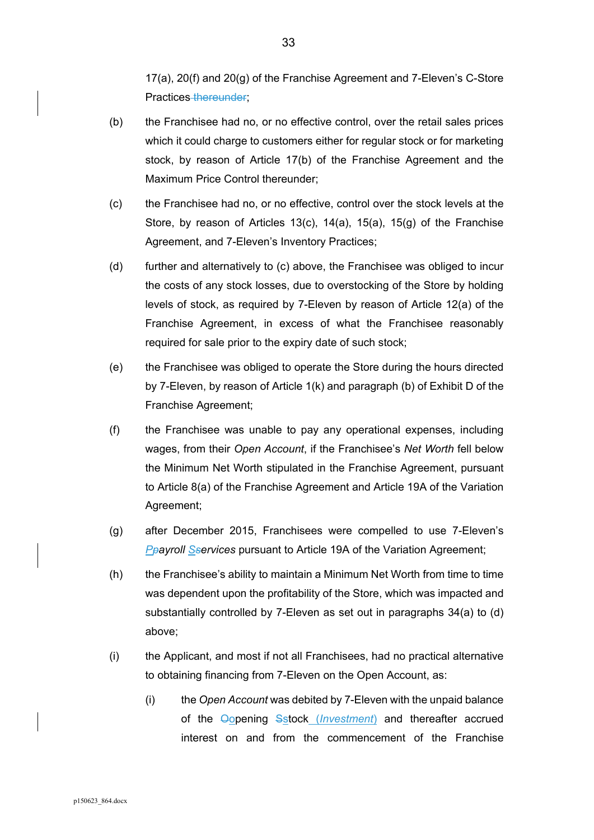17(a), 20(f) and 20(g) of the Franchise Agreement and 7-Eleven's C-Store Practices thereunder;

- (b) the Franchisee had no, or no effective control, over the retail sales prices which it could charge to customers either for regular stock or for marketing stock, by reason of Article 17(b) of the Franchise Agreement and the Maximum Price Control thereunder;
- (c) the Franchisee had no, or no effective, control over the stock levels at the Store, by reason of Articles 13(c), 14(a), 15(a), 15(g) of the Franchise Agreement, and 7-Eleven's Inventory Practices;
- (d) further and alternatively to (c) above, the Franchisee was obliged to incur the costs of any stock losses, due to overstocking of the Store by holding levels of stock, as required by 7-Eleven by reason of Article 12(a) of the Franchise Agreement, in excess of what the Franchisee reasonably required for sale prior to the expiry date of such stock;
- (e) the Franchisee was obliged to operate the Store during the hours directed by 7-Eleven, by reason of Article 1(k) and paragraph (b) of Exhibit D of the Franchise Agreement;
- (f) the Franchisee was unable to pay any operational expenses, including wages, from their *Open Account*, if the Franchisee's *Net Worth* fell below the Minimum Net Worth stipulated in the Franchise Agreement, pursuant to Article 8(a) of the Franchise Agreement and Article 19A of the Variation Agreement;
- (g) after December 2015, Franchisees were compelled to use 7-Eleven's **P**payroll Sservices pursuant to Article 19A of the Variation Agreement;
- (h) the Franchisee's ability to maintain a Minimum Net Worth from time to time was dependent upon the profitability of the Store, which was impacted and substantially controlled by 7-Eleven as set out in paragraphs 34(a) to (d) above;
- (i) the Applicant, and most if not all Franchisees, had no practical alternative to obtaining financing from 7-Eleven on the Open Account, as:
	- (i) the *Open Account* was debited by 7-Eleven with the unpaid balance of the Oopening Sstock (*Investment*) and thereafter accrued interest on and from the commencement of the Franchise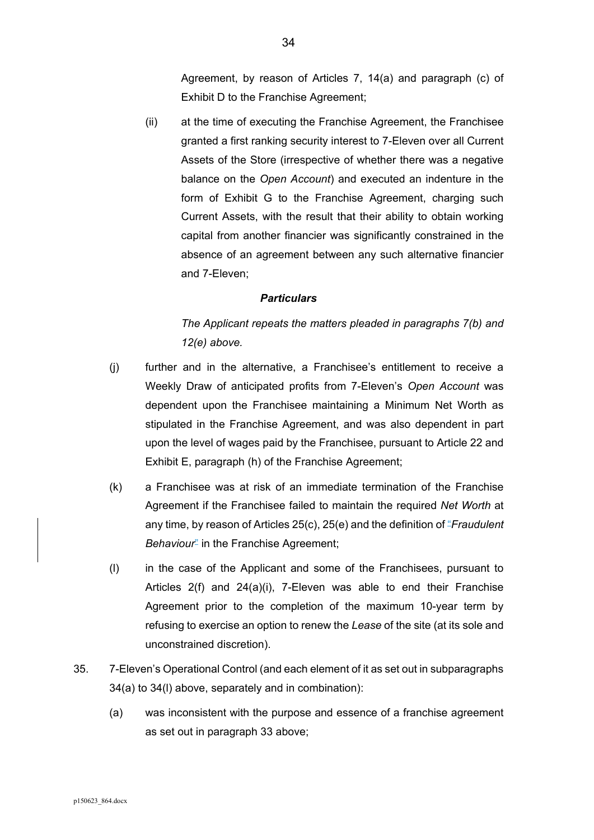Agreement, by reason of Articles 7, 14(a) and paragraph (c) of Exhibit D to the Franchise Agreement;

(ii) at the time of executing the Franchise Agreement, the Franchisee granted a first ranking security interest to 7-Eleven over all Current Assets of the Store (irrespective of whether there was a negative balance on the *Open Account*) and executed an indenture in the form of Exhibit G to the Franchise Agreement, charging such Current Assets, with the result that their ability to obtain working capital from another financier was significantly constrained in the absence of an agreement between any such alternative financier and 7-Eleven;

#### *Particulars*

*The Applicant repeats the matters pleaded in paragraphs 7(b) and 12(e) above.* 

- (j) further and in the alternative, a Franchisee's entitlement to receive a Weekly Draw of anticipated profits from 7-Eleven's *Open Account* was dependent upon the Franchisee maintaining a Minimum Net Worth as stipulated in the Franchise Agreement, and was also dependent in part upon the level of wages paid by the Franchisee, pursuant to Article 22 and Exhibit E, paragraph (h) of the Franchise Agreement;
- (k) a Franchisee was at risk of an immediate termination of the Franchise Agreement if the Franchisee failed to maintain the required *Net Worth* at any time, by reason of Articles 25(c), 25(e) and the definition of "*Fraudulent Behaviour*<sup>"</sup> in the Franchise Agreement;
- (l) in the case of the Applicant and some of the Franchisees, pursuant to Articles 2(f) and 24(a)(i), 7-Eleven was able to end their Franchise Agreement prior to the completion of the maximum 10-year term by refusing to exercise an option to renew the *Lease* of the site (at its sole and unconstrained discretion).
- 35. 7-Eleven's Operational Control (and each element of it as set out in subparagraphs 34(a) to 34(l) above, separately and in combination):
	- (a) was inconsistent with the purpose and essence of a franchise agreement as set out in paragraph 33 above;

34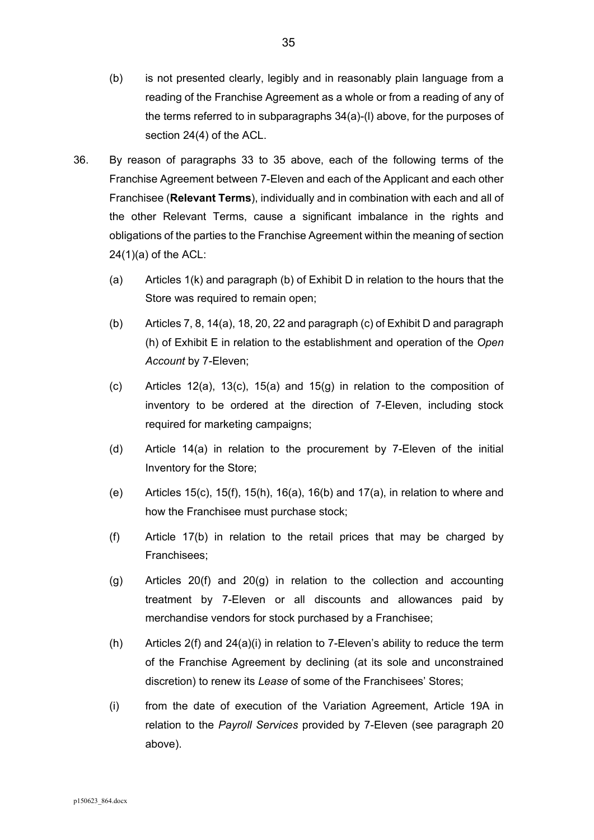- (b) is not presented clearly, legibly and in reasonably plain language from a reading of the Franchise Agreement as a whole or from a reading of any of the terms referred to in subparagraphs 34(a)-(l) above, for the purposes of section 24(4) of the ACL.
- 36. By reason of paragraphs 33 to 35 above, each of the following terms of the Franchise Agreement between 7-Eleven and each of the Applicant and each other Franchisee (**Relevant Terms**), individually and in combination with each and all of the other Relevant Terms, cause a significant imbalance in the rights and obligations of the parties to the Franchise Agreement within the meaning of section  $24(1)(a)$  of the ACL:
	- (a) Articles 1(k) and paragraph (b) of Exhibit D in relation to the hours that the Store was required to remain open;
	- (b) Articles 7, 8, 14(a), 18, 20, 22 and paragraph (c) of Exhibit D and paragraph (h) of Exhibit E in relation to the establishment and operation of the *Open Account* by 7-Eleven;
	- (c) Articles 12(a), 13(c), 15(a) and 15(g) in relation to the composition of inventory to be ordered at the direction of 7-Eleven, including stock required for marketing campaigns;
	- (d) Article 14(a) in relation to the procurement by 7-Eleven of the initial Inventory for the Store;
	- (e) Articles 15(c), 15(f), 15(h), 16(a), 16(b) and 17(a), in relation to where and how the Franchisee must purchase stock;
	- (f) Article 17(b) in relation to the retail prices that may be charged by Franchisees;
	- (g) Articles 20(f) and 20(g) in relation to the collection and accounting treatment by 7-Eleven or all discounts and allowances paid by merchandise vendors for stock purchased by a Franchisee;
	- (h) Articles  $2(f)$  and  $24(a)(i)$  in relation to 7-Eleven's ability to reduce the term of the Franchise Agreement by declining (at its sole and unconstrained discretion) to renew its *Lease* of some of the Franchisees' Stores;
	- (i) from the date of execution of the Variation Agreement, Article 19A in relation to the *Payroll Services* provided by 7-Eleven (see paragraph 20 above).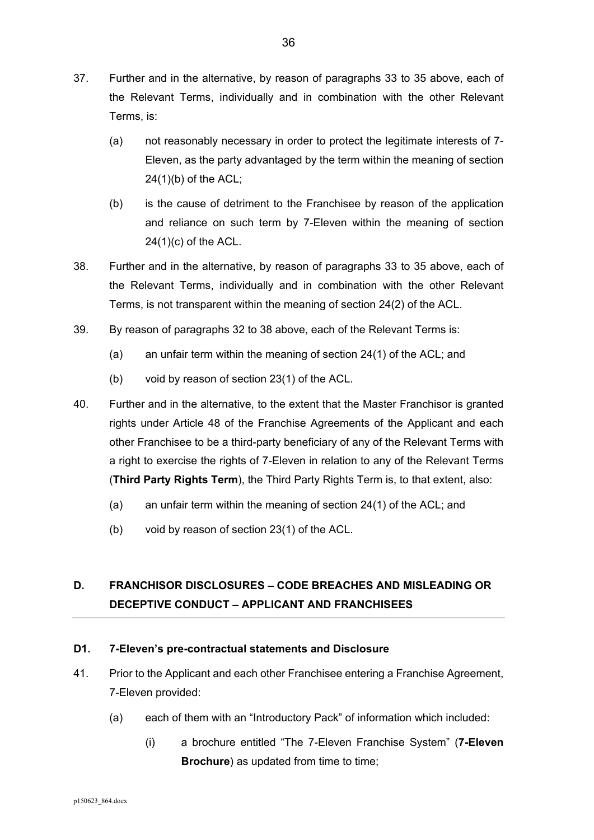- 37. Further and in the alternative, by reason of paragraphs 33 to 35 above, each of the Relevant Terms, individually and in combination with the other Relevant Terms, is:
	- (a) not reasonably necessary in order to protect the legitimate interests of 7- Eleven, as the party advantaged by the term within the meaning of section 24(1)(b) of the ACL;
	- (b) is the cause of detriment to the Franchisee by reason of the application and reliance on such term by 7-Eleven within the meaning of section 24(1)(c) of the ACL.
- 38. Further and in the alternative, by reason of paragraphs 33 to 35 above, each of the Relevant Terms, individually and in combination with the other Relevant Terms, is not transparent within the meaning of section 24(2) of the ACL.
- 39. By reason of paragraphs 32 to 38 above, each of the Relevant Terms is:
	- (a) an unfair term within the meaning of section 24(1) of the ACL; and
	- (b) void by reason of section 23(1) of the ACL.
- 40. Further and in the alternative, to the extent that the Master Franchisor is granted rights under Article 48 of the Franchise Agreements of the Applicant and each other Franchisee to be a third-party beneficiary of any of the Relevant Terms with a right to exercise the rights of 7-Eleven in relation to any of the Relevant Terms (**Third Party Rights Term**), the Third Party Rights Term is, to that extent, also:
	- (a) an unfair term within the meaning of section 24(1) of the ACL; and
	- (b) void by reason of section 23(1) of the ACL.

# **D. FRANCHISOR DISCLOSURES – CODE BREACHES AND MISLEADING OR DECEPTIVE CONDUCT – APPLICANT AND FRANCHISEES**

# **D1. 7-Eleven's pre-contractual statements and Disclosure**

- 41. Prior to the Applicant and each other Franchisee entering a Franchise Agreement, 7-Eleven provided:
	- (a) each of them with an "Introductory Pack" of information which included:
		- (i) a brochure entitled "The 7-Eleven Franchise System" (**7-Eleven Brochure**) as updated from time to time;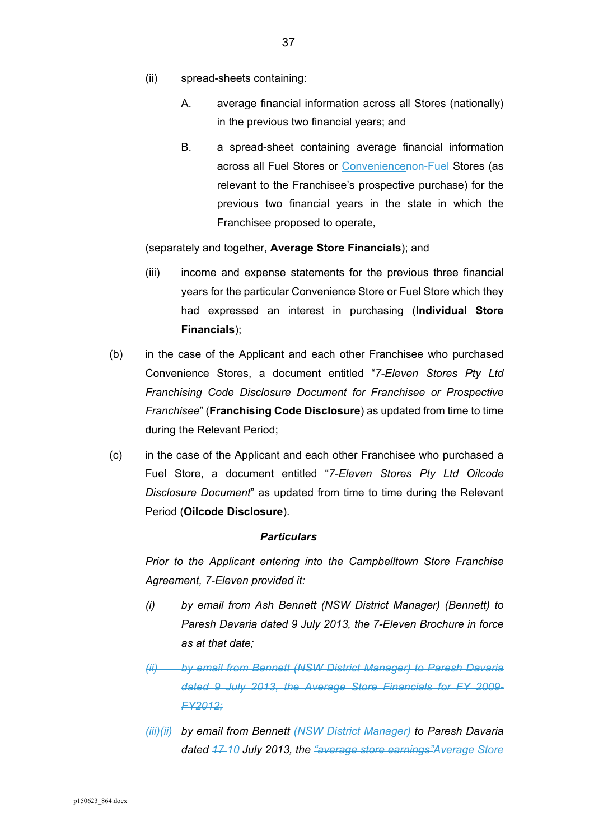- (ii) spread-sheets containing:
	- A. average financial information across all Stores (nationally) in the previous two financial years; and
	- B. a spread-sheet containing average financial information across all Fuel Stores or Conveniencenon-Fuel Stores (as relevant to the Franchisee's prospective purchase) for the previous two financial years in the state in which the Franchisee proposed to operate,

(separately and together, **Average Store Financials**); and

- (iii) income and expense statements for the previous three financial years for the particular Convenience Store or Fuel Store which they had expressed an interest in purchasing (**Individual Store Financials**);
- (b) in the case of the Applicant and each other Franchisee who purchased Convenience Stores, a document entitled "*7-Eleven Stores Pty Ltd Franchising Code Disclosure Document for Franchisee or Prospective Franchisee*" (**Franchising Code Disclosure**) as updated from time to time during the Relevant Period;
- (c) in the case of the Applicant and each other Franchisee who purchased a Fuel Store, a document entitled "*7-Eleven Stores Pty Ltd Oilcode Disclosure Document*" as updated from time to time during the Relevant Period (**Oilcode Disclosure**).

# *Particulars*

*Prior to the Applicant entering into the Campbelltown Store Franchise Agreement, 7-Eleven provided it:* 

- *(i) by email from Ash Bennett (NSW District Manager) (Bennett) to Paresh Davaria dated 9 July 2013, the 7-Eleven Brochure in force as at that date;*
- *(ii) by email from Bennett (NSW District Manager) to Paresh Davaria dated 9 July 2013, the Average Store Financials for FY 2009- FY2012;*
- *(iii)(ii) by email from Bennett (NSW District Manager) to Paresh Davaria dated 17 10 July 2013, the "average store earnings"Average Store*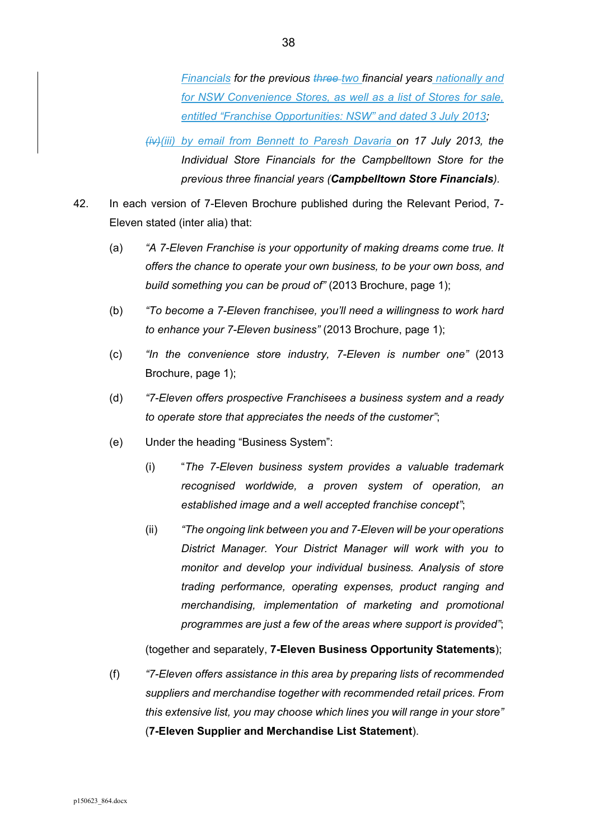*Financials for the previous three two financial years nationally and for NSW Convenience Stores, as well as a list of Stores for sale, entitled "Franchise Opportunities: NSW" and dated 3 July 2013;*

*(iv)(iii) by email from Bennett to Paresh Davaria on 17 July 2013, the Individual Store Financials for the Campbelltown Store for the previous three financial years (Campbelltown Store Financials).* 

- 42. In each version of 7-Eleven Brochure published during the Relevant Period, 7- Eleven stated (inter alia) that:
	- (a) *"A 7-Eleven Franchise is your opportunity of making dreams come true. It offers the chance to operate your own business, to be your own boss, and build something you can be proud of"* (2013 Brochure, page 1);
	- (b) *"To become a 7-Eleven franchisee, you'll need a willingness to work hard to enhance your 7-Eleven business"* (2013 Brochure, page 1);
	- (c) *"In the convenience store industry, 7-Eleven is number one"* (2013 Brochure, page 1);
	- (d) *"7-Eleven offers prospective Franchisees a business system and a ready to operate store that appreciates the needs of the customer"*;
	- (e) Under the heading "Business System":
		- (i) "*The 7-Eleven business system provides a valuable trademark recognised worldwide, a proven system of operation, an established image and a well accepted franchise concept"*;
		- (ii) *"The ongoing link between you and 7-Eleven will be your operations District Manager. Your District Manager will work with you to monitor and develop your individual business. Analysis of store trading performance, operating expenses, product ranging and merchandising, implementation of marketing and promotional programmes are just a few of the areas where support is provided"*;

(together and separately, **7-Eleven Business Opportunity Statements**);

(f) *"7-Eleven offers assistance in this area by preparing lists of recommended suppliers and merchandise together with recommended retail prices. From this extensive list, you may choose which lines you will range in your store"*  (**7-Eleven Supplier and Merchandise List Statement**).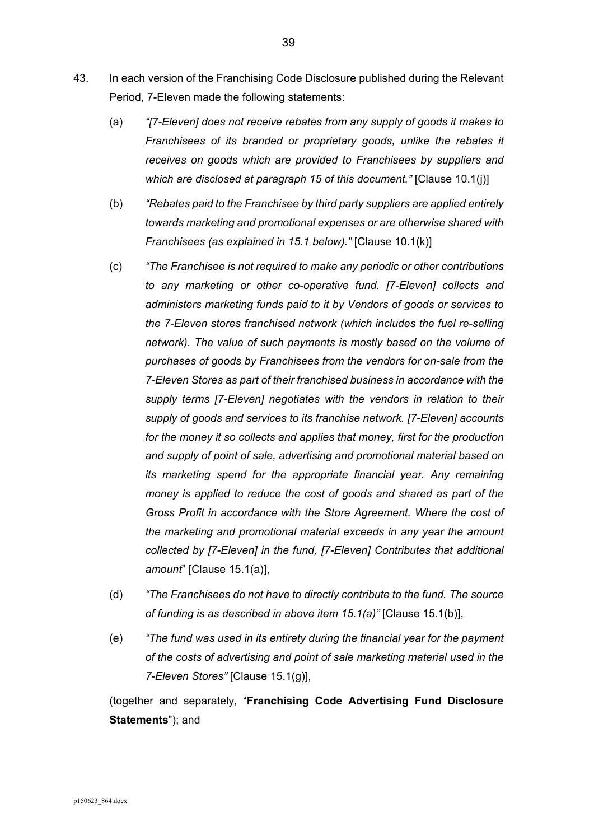- 43. In each version of the Franchising Code Disclosure published during the Relevant Period, 7-Eleven made the following statements:
	- (a) *"[7-Eleven] does not receive rebates from any supply of goods it makes to Franchisees of its branded or proprietary goods, unlike the rebates it receives on goods which are provided to Franchisees by suppliers and which are disclosed at paragraph 15 of this document."* [Clause 10.1(j)]
	- (b) *"Rebates paid to the Franchisee by third party suppliers are applied entirely towards marketing and promotional expenses or are otherwise shared with Franchisees (as explained in 15.1 below)."* [Clause 10.1(k)]
	- (c) *"The Franchisee is not required to make any periodic or other contributions to any marketing or other co-operative fund. [7-Eleven] collects and administers marketing funds paid to it by Vendors of goods or services to the 7-Eleven stores franchised network (which includes the fuel re-selling network). The value of such payments is mostly based on the volume of purchases of goods by Franchisees from the vendors for on-sale from the 7-Eleven Stores as part of their franchised business in accordance with the supply terms [7-Eleven] negotiates with the vendors in relation to their supply of goods and services to its franchise network. [7-Eleven] accounts for the money it so collects and applies that money, first for the production and supply of point of sale, advertising and promotional material based on its marketing spend for the appropriate financial year. Any remaining money is applied to reduce the cost of goods and shared as part of the Gross Profit in accordance with the Store Agreement. Where the cost of the marketing and promotional material exceeds in any year the amount collected by [7-Eleven] in the fund, [7-Eleven] Contributes that additional amount*" [Clause 15.1(a)],
	- (d) *"The Franchisees do not have to directly contribute to the fund. The source of funding is as described in above item 15.1(a)"* [Clause 15.1(b)],
	- (e) *"The fund was used in its entirety during the financial year for the payment of the costs of advertising and point of sale marketing material used in the 7-Eleven Stores"* [Clause 15.1(g)],

(together and separately, "**Franchising Code Advertising Fund Disclosure Statements**"); and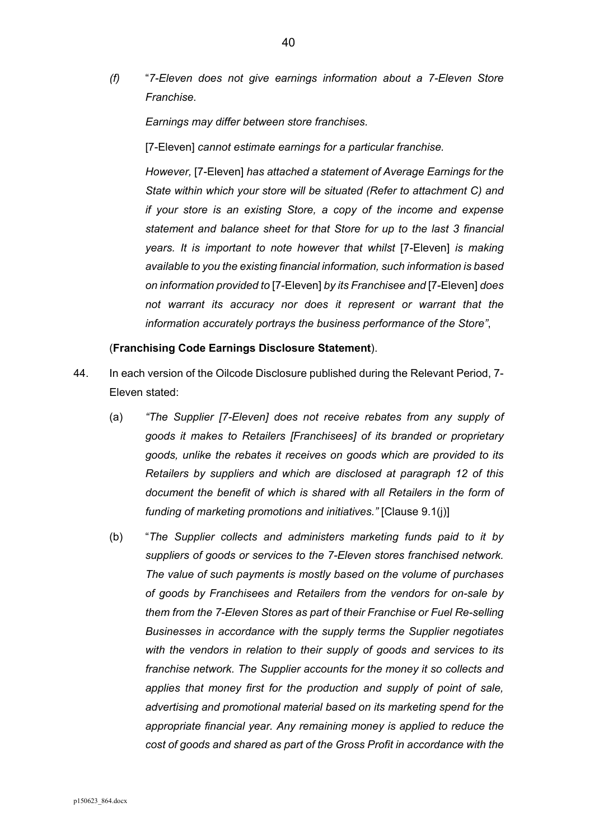*(f)* "*7-Eleven does not give earnings information about a 7-Eleven Store Franchise.* 

*Earnings may differ between store franchises.* 

[7-Eleven] *cannot estimate earnings for a particular franchise.* 

*However,* [7-Eleven] *has attached a statement of Average Earnings for the State within which your store will be situated (Refer to attachment C) and if your store is an existing Store, a copy of the income and expense statement and balance sheet for that Store for up to the last 3 financial years. It is important to note however that whilst* [7-Eleven] *is making available to you the existing financial information, such information is based on information provided to* [7-Eleven] *by its Franchisee and* [7-Eleven] *does not warrant its accuracy nor does it represent or warrant that the information accurately portrays the business performance of the Store"*,

### (**Franchising Code Earnings Disclosure Statement**).

- 44. In each version of the Oilcode Disclosure published during the Relevant Period, 7- Eleven stated:
	- (a) *"The Supplier [7-Eleven] does not receive rebates from any supply of goods it makes to Retailers [Franchisees] of its branded or proprietary goods, unlike the rebates it receives on goods which are provided to its Retailers by suppliers and which are disclosed at paragraph 12 of this document the benefit of which is shared with all Retailers in the form of funding of marketing promotions and initiatives."* [Clause 9.1(j)]
	- (b) "*The Supplier collects and administers marketing funds paid to it by suppliers of goods or services to the 7-Eleven stores franchised network. The value of such payments is mostly based on the volume of purchases of goods by Franchisees and Retailers from the vendors for on-sale by them from the 7-Eleven Stores as part of their Franchise or Fuel Re-selling Businesses in accordance with the supply terms the Supplier negotiates with the vendors in relation to their supply of goods and services to its franchise network. The Supplier accounts for the money it so collects and applies that money first for the production and supply of point of sale, advertising and promotional material based on its marketing spend for the appropriate financial year. Any remaining money is applied to reduce the cost of goods and shared as part of the Gross Profit in accordance with the*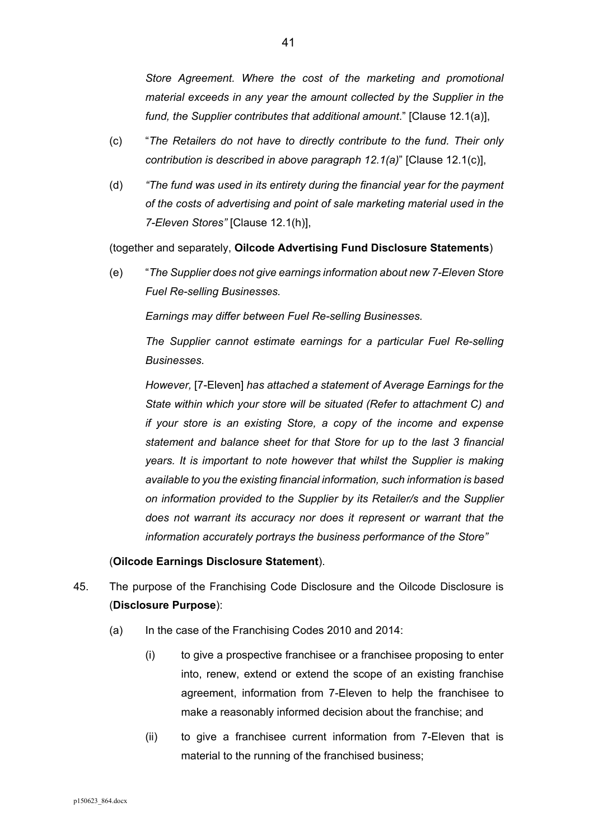*Store Agreement. Where the cost of the marketing and promotional material exceeds in any year the amount collected by the Supplier in the fund, the Supplier contributes that additional amount*." [Clause 12.1(a)],

- (c) "*The Retailers do not have to directly contribute to the fund. Their only contribution is described in above paragraph 12.1(a)*" [Clause 12.1(c)],
- (d) *"The fund was used in its entirety during the financial year for the payment of the costs of advertising and point of sale marketing material used in the 7-Eleven Stores"* [Clause 12.1(h)],

(together and separately, **Oilcode Advertising Fund Disclosure Statements**)

(e) "*The Supplier does not give earnings information about new 7-Eleven Store Fuel Re-selling Businesses.*

*Earnings may differ between Fuel Re-selling Businesses.* 

*The Supplier cannot estimate earnings for a particular Fuel Re-selling Businesses.* 

*However,* [7-Eleven] *has attached a statement of Average Earnings for the State within which your store will be situated (Refer to attachment C) and if your store is an existing Store, a copy of the income and expense statement and balance sheet for that Store for up to the last 3 financial years. It is important to note however that whilst the Supplier is making available to you the existing financial information, such information is based on information provided to the Supplier by its Retailer/s and the Supplier does not warrant its accuracy nor does it represent or warrant that the information accurately portrays the business performance of the Store"* 

# (**Oilcode Earnings Disclosure Statement**).

- 45. The purpose of the Franchising Code Disclosure and the Oilcode Disclosure is (**Disclosure Purpose**):
	- (a) In the case of the Franchising Codes 2010 and 2014:
		- (i) to give a prospective franchisee or a franchisee proposing to enter into, renew, extend or extend the scope of an existing franchise agreement, information from 7-Eleven to help the franchisee to make a reasonably informed decision about the franchise; and
		- (ii) to give a franchisee current information from 7-Eleven that is material to the running of the franchised business;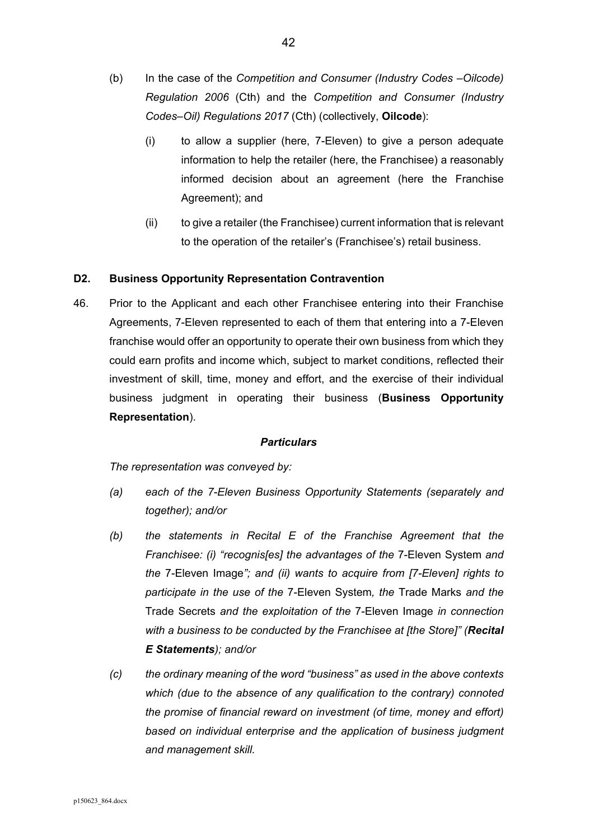- (b) In the case of the *Competition and Consumer (Industry Codes –Oilcode) Regulation 2006* (Cth) and the *Competition and Consumer (Industry Codes–Oil) Regulations 2017* (Cth) (collectively, **Oilcode**):
	- (i) to allow a supplier (here, 7-Eleven) to give a person adequate information to help the retailer (here, the Franchisee) a reasonably informed decision about an agreement (here the Franchise Agreement); and
	- (ii) to give a retailer (the Franchisee) current information that is relevant to the operation of the retailer's (Franchisee's) retail business.

# **D2. Business Opportunity Representation Contravention**

46. Prior to the Applicant and each other Franchisee entering into their Franchise Agreements, 7-Eleven represented to each of them that entering into a 7-Eleven franchise would offer an opportunity to operate their own business from which they could earn profits and income which, subject to market conditions, reflected their investment of skill, time, money and effort, and the exercise of their individual business judgment in operating their business (**Business Opportunity Representation**).

#### *Particulars*

*The representation was conveyed by:* 

- *(a) each of the 7-Eleven Business Opportunity Statements (separately and together); and/or*
- *(b) the statements in Recital E of the Franchise Agreement that the Franchisee: (i) "recognis[es] the advantages of the* 7-Eleven System *and the* 7-Eleven Image*"; and (ii) wants to acquire from [7-Eleven] rights to participate in the use of the* 7-Eleven System*, the* Trade Marks *and the*  Trade Secrets *and the exploitation of the* 7-Eleven Image *in connection with a business to be conducted by the Franchisee at [the Store]" (Recital E Statements); and/or*
- *(c) the ordinary meaning of the word "business" as used in the above contexts which (due to the absence of any qualification to the contrary) connoted the promise of financial reward on investment (of time, money and effort) based on individual enterprise and the application of business judgment and management skill.*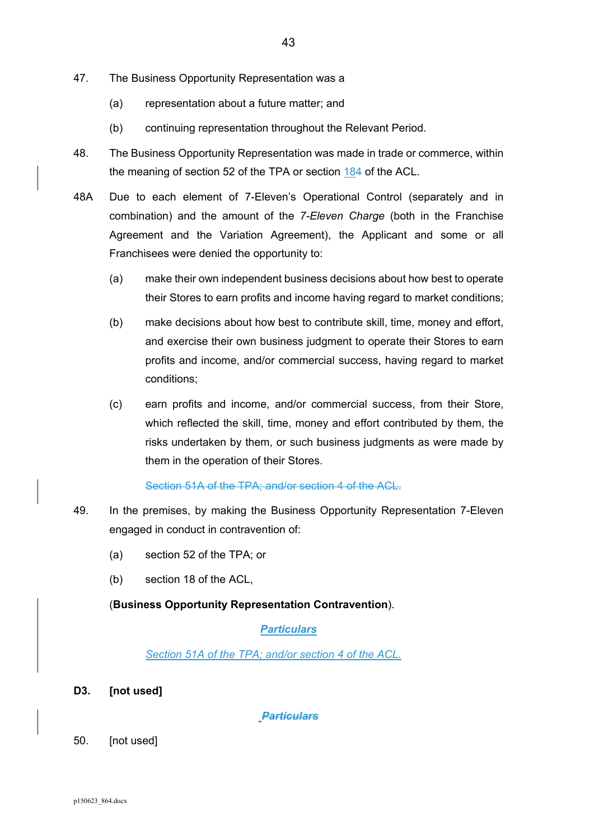- 47. The Business Opportunity Representation was a
	- (a) representation about a future matter; and
	- (b) continuing representation throughout the Relevant Period.
- 48. The Business Opportunity Representation was made in trade or commerce, within the meaning of section 52 of the TPA or section 184 of the ACL.
- 48A Due to each element of 7-Eleven's Operational Control (separately and in combination) and the amount of the *7-Eleven Charge* (both in the Franchise Agreement and the Variation Agreement), the Applicant and some or all Franchisees were denied the opportunity to:
	- (a) make their own independent business decisions about how best to operate their Stores to earn profits and income having regard to market conditions;
	- (b) make decisions about how best to contribute skill, time, money and effort, and exercise their own business judgment to operate their Stores to earn profits and income, and/or commercial success, having regard to market conditions;
	- (c) earn profits and income, and/or commercial success, from their Store, which reflected the skill, time, money and effort contributed by them, the risks undertaken by them, or such business judgments as were made by them in the operation of their Stores.

#### Section 51A of the TPA; and/or section 4 of the ACL.

- 49. In the premises, by making the Business Opportunity Representation 7-Eleven engaged in conduct in contravention of:
	- (a) section 52 of the TPA; or
	- (b) section 18 of the ACL,

#### (**Business Opportunity Representation Contravention**).

#### *Particulars*

*Section 51A of the TPA; and/or section 4 of the ACL.* 

**D3. [not used]** 

 *Particulars* 

50. [not used]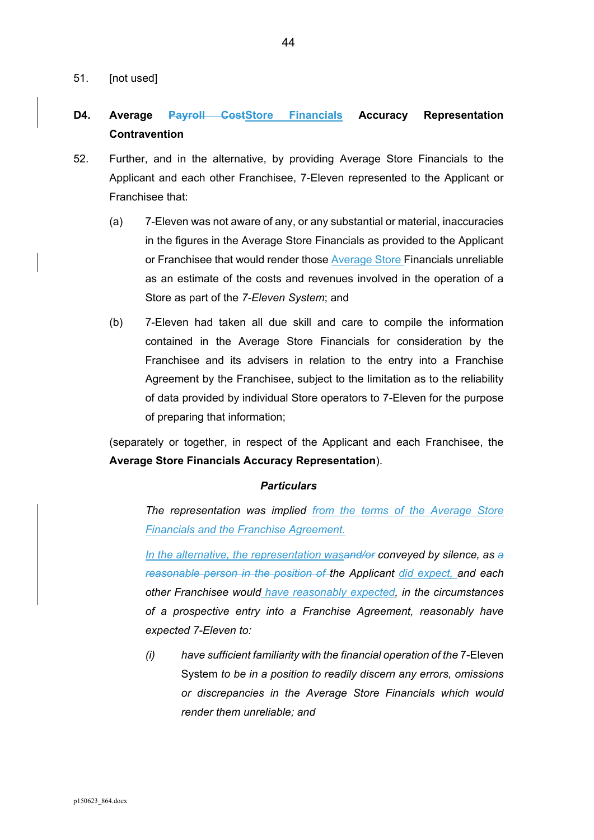51. [not used]

# **D4. Average Payroll CostStore Financials Accuracy Representation Contravention**

- 52. Further, and in the alternative, by providing Average Store Financials to the Applicant and each other Franchisee, 7-Eleven represented to the Applicant or Franchisee that:
	- (a) 7-Eleven was not aware of any, or any substantial or material, inaccuracies in the figures in the Average Store Financials as provided to the Applicant or Franchisee that would render those Average Store Financials unreliable as an estimate of the costs and revenues involved in the operation of a Store as part of the *7-Eleven System*; and
	- (b) 7-Eleven had taken all due skill and care to compile the information contained in the Average Store Financials for consideration by the Franchisee and its advisers in relation to the entry into a Franchise Agreement by the Franchisee, subject to the limitation as to the reliability of data provided by individual Store operators to 7-Eleven for the purpose of preparing that information;

(separately or together, in respect of the Applicant and each Franchisee, the **Average Store Financials Accuracy Representation**).

#### *Particulars*

*The representation was implied from the terms of the Average Store Financials and the Franchise Agreement.* 

*In the alternative, the representation wasand/or conveyed by silence, as a reasonable person in the position of the Applicant did expect, and each other Franchisee would have reasonably expected, in the circumstances of a prospective entry into a Franchise Agreement, reasonably have expected 7-Eleven to:* 

*(i) have sufficient familiarity with the financial operation of the* 7-Eleven System *to be in a position to readily discern any errors, omissions or discrepancies in the Average Store Financials which would render them unreliable; and*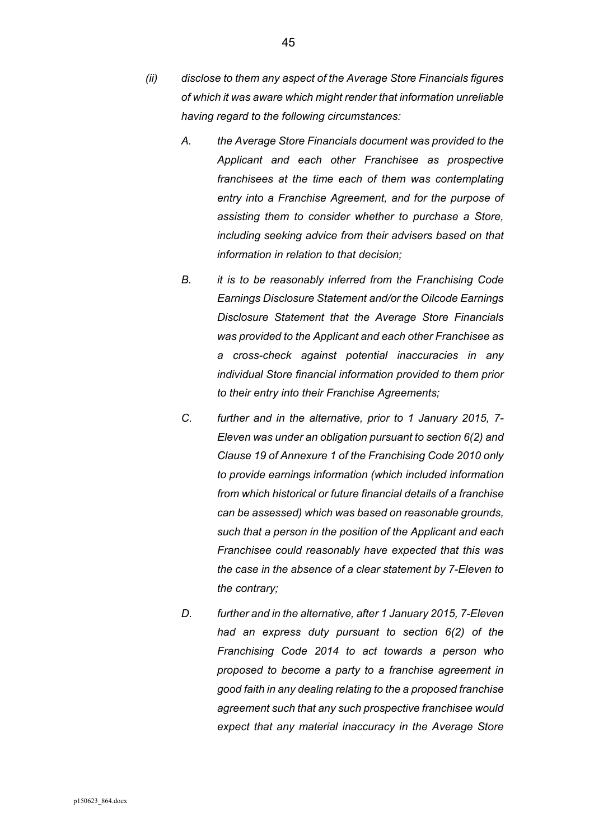- *A. the Average Store Financials document was provided to the Applicant and each other Franchisee as prospective franchisees at the time each of them was contemplating entry into a Franchise Agreement, and for the purpose of assisting them to consider whether to purchase a Store, including seeking advice from their advisers based on that information in relation to that decision;*
- *B. it is to be reasonably inferred from the Franchising Code Earnings Disclosure Statement and/or the Oilcode Earnings Disclosure Statement that the Average Store Financials was provided to the Applicant and each other Franchisee as a cross-check against potential inaccuracies in any individual Store financial information provided to them prior to their entry into their Franchise Agreements;*
- *C. further and in the alternative, prior to 1 January 2015, 7- Eleven was under an obligation pursuant to section 6(2) and Clause 19 of Annexure 1 of the Franchising Code 2010 only to provide earnings information (which included information from which historical or future financial details of a franchise can be assessed) which was based on reasonable grounds, such that a person in the position of the Applicant and each Franchisee could reasonably have expected that this was the case in the absence of a clear statement by 7-Eleven to the contrary;*
- *D. further and in the alternative, after 1 January 2015, 7-Eleven had an express duty pursuant to section 6(2) of the Franchising Code 2014 to act towards a person who proposed to become a party to a franchise agreement in good faith in any dealing relating to the a proposed franchise agreement such that any such prospective franchisee would expect that any material inaccuracy in the Average Store*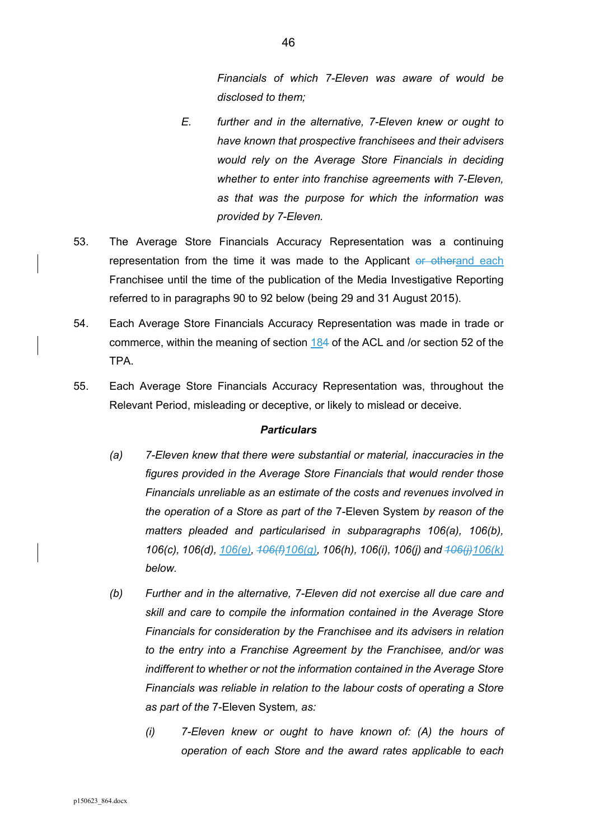*Financials of which 7-Eleven was aware of would be disclosed to them;* 

- *E. further and in the alternative, 7-Eleven knew or ought to have known that prospective franchisees and their advisers would rely on the Average Store Financials in deciding whether to enter into franchise agreements with 7-Eleven, as that was the purpose for which the information was provided by 7-Eleven.*
- 53. The Average Store Financials Accuracy Representation was a continuing representation from the time it was made to the Applicant or otherand each Franchisee until the time of the publication of the Media Investigative Reporting referred to in paragraphs 90 to 92 below (being 29 and 31 August 2015).
- 54. Each Average Store Financials Accuracy Representation was made in trade or commerce, within the meaning of section 184 of the ACL and /or section 52 of the TPA.
- 55. Each Average Store Financials Accuracy Representation was, throughout the Relevant Period, misleading or deceptive, or likely to mislead or deceive.

#### *Particulars*

- *(a) 7-Eleven knew that there were substantial or material, inaccuracies in the figures provided in the Average Store Financials that would render those Financials unreliable as an estimate of the costs and revenues involved in the operation of a Store as part of the* 7-Eleven System *by reason of the matters pleaded and particularised in subparagraphs 106(a), 106(b), 106(c), 106(d), 106(e), 106(f)106(g), 106(h), 106(i), 106(j) and 106(j)106(k) below.*
- *(b) Further and in the alternative, 7-Eleven did not exercise all due care and skill and care to compile the information contained in the Average Store Financials for consideration by the Franchisee and its advisers in relation to the entry into a Franchise Agreement by the Franchisee, and/or was indifferent to whether or not the information contained in the Average Store Financials was reliable in relation to the labour costs of operating a Store as part of the* 7-Eleven System*, as:* 
	- *(i) 7-Eleven knew or ought to have known of: (A) the hours of operation of each Store and the award rates applicable to each*

46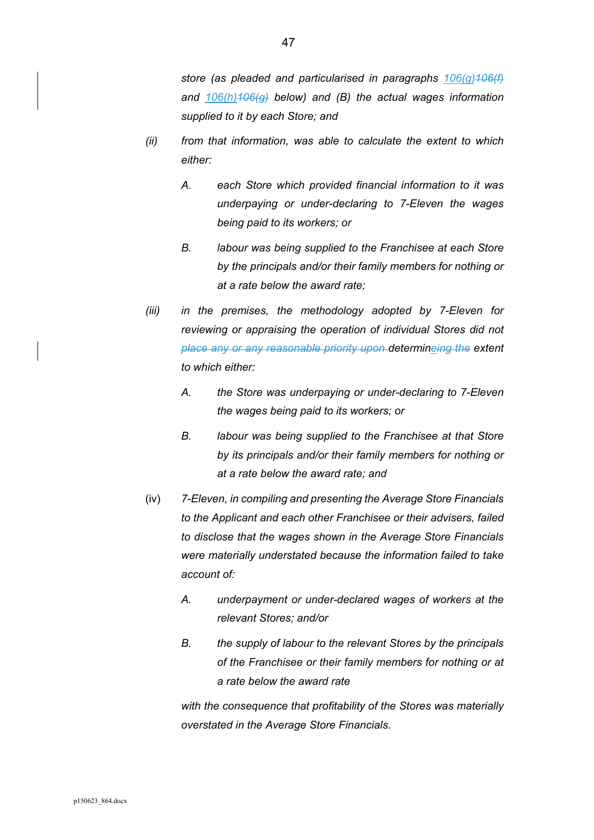- *(ii) from that information, was able to calculate the extent to which either:* 
	- *A. each Store which provided financial information to it was underpaying or under-declaring to 7-Eleven the wages being paid to its workers; or*
	- *B. labour was being supplied to the Franchisee at each Store by the principals and/or their family members for nothing or at a rate below the award rate;*
- *(iii) in the premises, the methodology adopted by 7-Eleven for reviewing or appraising the operation of individual Stores did not place any or any reasonable priority upon determineing the extent to which either:* 
	- *A. the Store was underpaying or under-declaring to 7-Eleven the wages being paid to its workers; or*
	- *B. labour was being supplied to the Franchisee at that Store by its principals and/or their family members for nothing or at a rate below the award rate; and*
- (iv) *7-Eleven, in compiling and presenting the Average Store Financials to the Applicant and each other Franchisee or their advisers, failed to disclose that the wages shown in the Average Store Financials were materially understated because the information failed to take account of:* 
	- *A. underpayment or under-declared wages of workers at the relevant Stores; and/or*
	- *B. the supply of labour to the relevant Stores by the principals of the Franchisee or their family members for nothing or at a rate below the award rate*

*with the consequence that profitability of the Stores was materially overstated in the Average Store Financials.*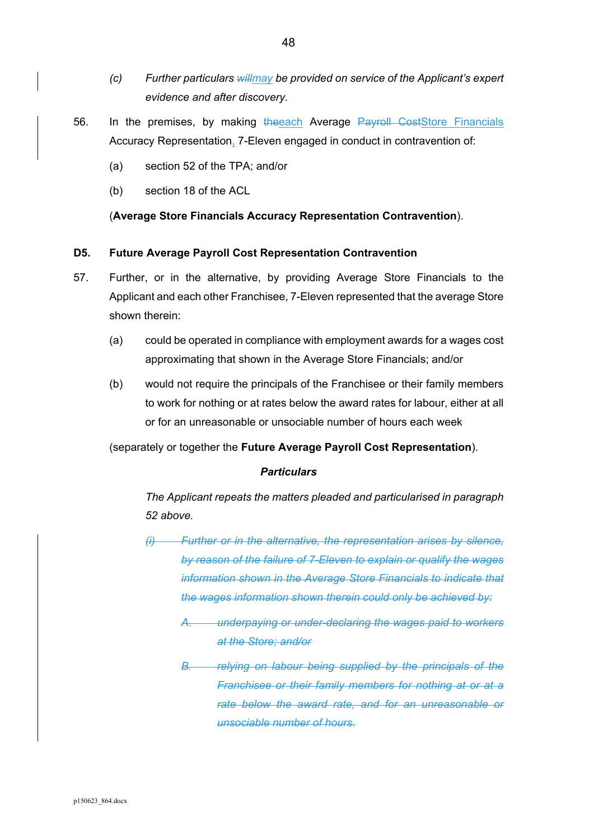- *(c) Further particulars willmay be provided on service of the Applicant's expert evidence and after discovery.*
- 56. In the premises, by making the each Average Payroll CostStore Financials Accuracy Representation, 7-Eleven engaged in conduct in contravention of:
	- (a) section 52 of the TPA; and/or
	- (b) section 18 of the ACL

(**Average Store Financials Accuracy Representation Contravention**).

#### **D5. Future Average Payroll Cost Representation Contravention**

- 57. Further, or in the alternative, by providing Average Store Financials to the Applicant and each other Franchisee, 7-Eleven represented that the average Store shown therein:
	- (a) could be operated in compliance with employment awards for a wages cost approximating that shown in the Average Store Financials; and/or
	- (b) would not require the principals of the Franchisee or their family members to work for nothing or at rates below the award rates for labour, either at all or for an unreasonable or unsociable number of hours each week

(separately or together the **Future Average Payroll Cost Representation**).

#### *Particulars*

*The Applicant repeats the matters pleaded and particularised in paragraph 52 above.* 

- *(i) Further or in the alternative, the representation arises by silence, by reason of the failure of 7-Eleven to explain or qualify the wages information shown in the Average Store Financials to indicate that the wages information shown therein could only be achieved by:* 
	- *A. underpaying or under-declaring the wages paid to workers at the Store; and/or*
	- *B. relying on labour being supplied by the principals of the Franchisee or their family members for nothing at or at a rate below the award rate, and for an unreasonable or unsociable number of hours.*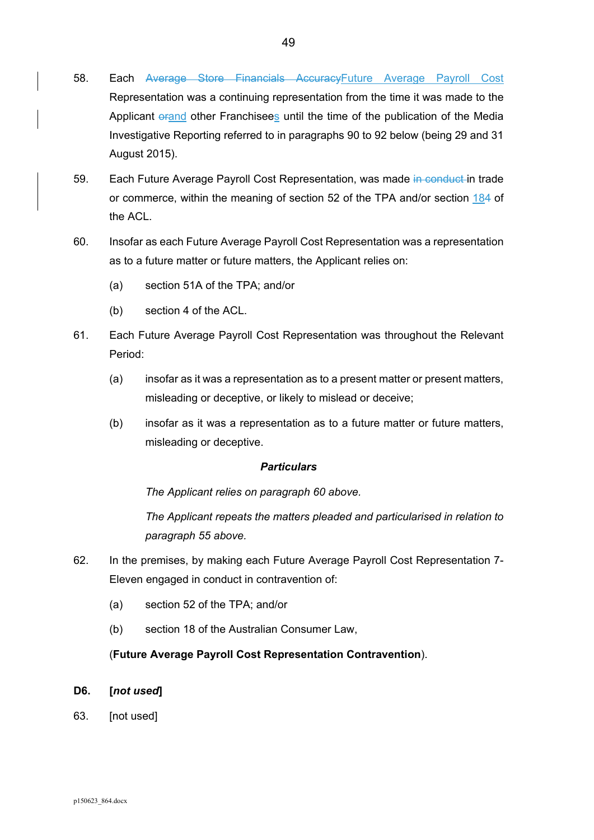- 58. Each Average Store Financials AccuracyFuture Average Payroll Cost Representation was a continuing representation from the time it was made to the Applicant orand other Franchisees until the time of the publication of the Media Investigative Reporting referred to in paragraphs 90 to 92 below (being 29 and 31 August 2015).
- 59. Each Future Average Payroll Cost Representation, was made in conduct in trade or commerce, within the meaning of section 52 of the TPA and/or section 184 of the ACI
- 60. Insofar as each Future Average Payroll Cost Representation was a representation as to a future matter or future matters, the Applicant relies on:
	- (a) section 51A of the TPA; and/or
	- (b) section 4 of the ACL.
- 61. Each Future Average Payroll Cost Representation was throughout the Relevant Period:
	- (a) insofar as it was a representation as to a present matter or present matters, misleading or deceptive, or likely to mislead or deceive;
	- (b) insofar as it was a representation as to a future matter or future matters, misleading or deceptive.

*The Applicant relies on paragraph 60 above.* 

*The Applicant repeats the matters pleaded and particularised in relation to paragraph 55 above.* 

- 62. In the premises, by making each Future Average Payroll Cost Representation 7- Eleven engaged in conduct in contravention of:
	- (a) section 52 of the TPA; and/or
	- (b) section 18 of the Australian Consumer Law,

# (**Future Average Payroll Cost Representation Contravention**).

- **D6. [***not used***]**
- 63. [not used]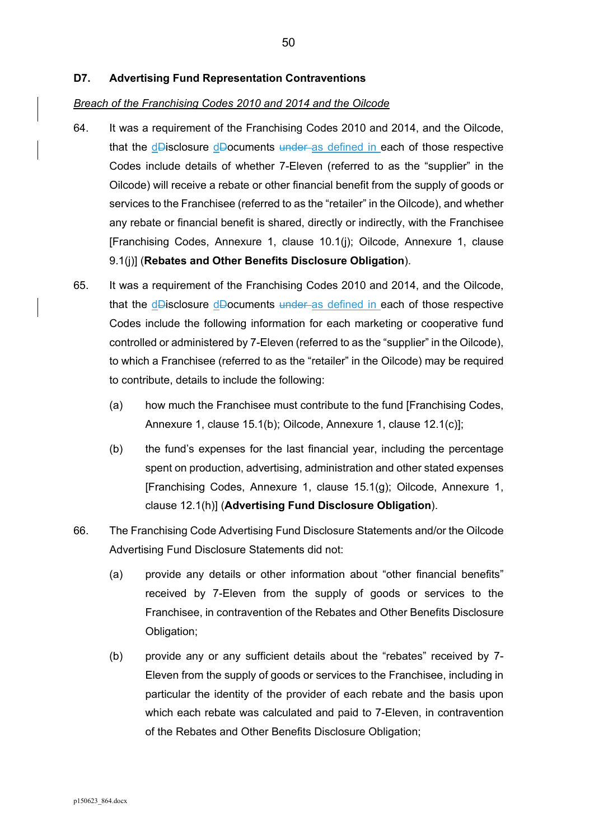#### **D7. Advertising Fund Representation Contraventions**

#### *Breach of the Franchising Codes 2010 and 2014 and the Oilcode*

- 64. It was a requirement of the Franchising Codes 2010 and 2014, and the Oilcode, that the dDisclosure dDocuments under as defined in each of those respective Codes include details of whether 7-Eleven (referred to as the "supplier" in the Oilcode) will receive a rebate or other financial benefit from the supply of goods or services to the Franchisee (referred to as the "retailer" in the Oilcode), and whether any rebate or financial benefit is shared, directly or indirectly, with the Franchisee [Franchising Codes, Annexure 1, clause 10.1(j); Oilcode, Annexure 1, clause 9.1(j)] (**Rebates and Other Benefits Disclosure Obligation**).
- 65. It was a requirement of the Franchising Codes 2010 and 2014, and the Oilcode, that the dDisclosure dDocuments under as defined in each of those respective Codes include the following information for each marketing or cooperative fund controlled or administered by 7-Eleven (referred to as the "supplier" in the Oilcode), to which a Franchisee (referred to as the "retailer" in the Oilcode) may be required to contribute, details to include the following:
	- (a) how much the Franchisee must contribute to the fund [Franchising Codes, Annexure 1, clause 15.1(b); Oilcode, Annexure 1, clause 12.1(c)];
	- (b) the fund's expenses for the last financial year, including the percentage spent on production, advertising, administration and other stated expenses [Franchising Codes, Annexure 1, clause 15.1(g); Oilcode, Annexure 1, clause 12.1(h)] (**Advertising Fund Disclosure Obligation**).
- 66. The Franchising Code Advertising Fund Disclosure Statements and/or the Oilcode Advertising Fund Disclosure Statements did not:
	- (a) provide any details or other information about "other financial benefits" received by 7-Eleven from the supply of goods or services to the Franchisee, in contravention of the Rebates and Other Benefits Disclosure Obligation;
	- (b) provide any or any sufficient details about the "rebates" received by 7- Eleven from the supply of goods or services to the Franchisee, including in particular the identity of the provider of each rebate and the basis upon which each rebate was calculated and paid to 7-Eleven, in contravention of the Rebates and Other Benefits Disclosure Obligation;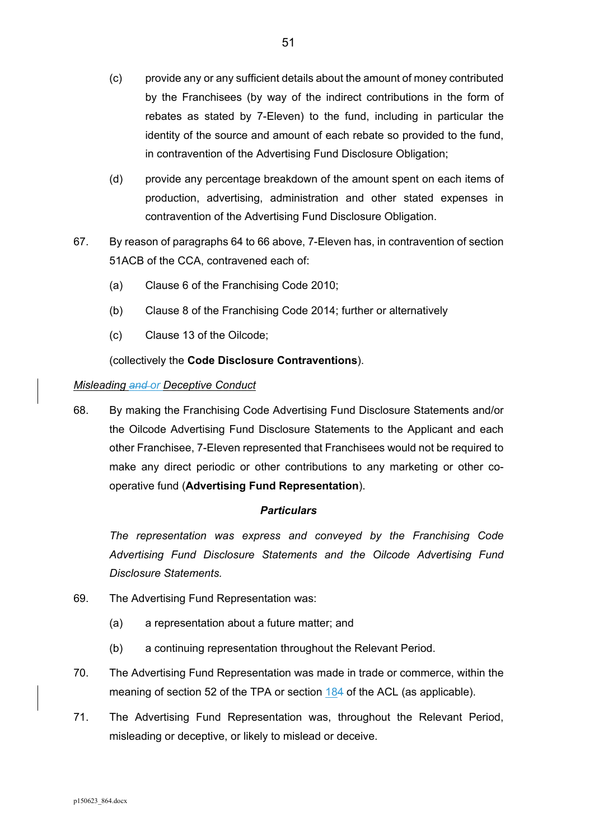- (c) provide any or any sufficient details about the amount of money contributed by the Franchisees (by way of the indirect contributions in the form of rebates as stated by 7-Eleven) to the fund, including in particular the identity of the source and amount of each rebate so provided to the fund, in contravention of the Advertising Fund Disclosure Obligation;
- (d) provide any percentage breakdown of the amount spent on each items of production, advertising, administration and other stated expenses in contravention of the Advertising Fund Disclosure Obligation.
- 67. By reason of paragraphs 64 to 66 above, 7-Eleven has, in contravention of section 51ACB of the CCA, contravened each of:
	- (a) Clause 6 of the Franchising Code 2010;
	- (b) Clause 8 of the Franchising Code 2014; further or alternatively
	- (c) Clause 13 of the Oilcode;

(collectively the **Code Disclosure Contraventions**).

### *Misleading and or Deceptive Conduct*

68. By making the Franchising Code Advertising Fund Disclosure Statements and/or the Oilcode Advertising Fund Disclosure Statements to the Applicant and each other Franchisee, 7-Eleven represented that Franchisees would not be required to make any direct periodic or other contributions to any marketing or other cooperative fund (**Advertising Fund Representation**).

# *Particulars*

*The representation was express and conveyed by the Franchising Code Advertising Fund Disclosure Statements and the Oilcode Advertising Fund Disclosure Statements.* 

- 69. The Advertising Fund Representation was:
	- (a) a representation about a future matter; and
	- (b) a continuing representation throughout the Relevant Period.
- 70. The Advertising Fund Representation was made in trade or commerce, within the meaning of section 52 of the TPA or section 184 of the ACL (as applicable).
- 71. The Advertising Fund Representation was, throughout the Relevant Period, misleading or deceptive, or likely to mislead or deceive.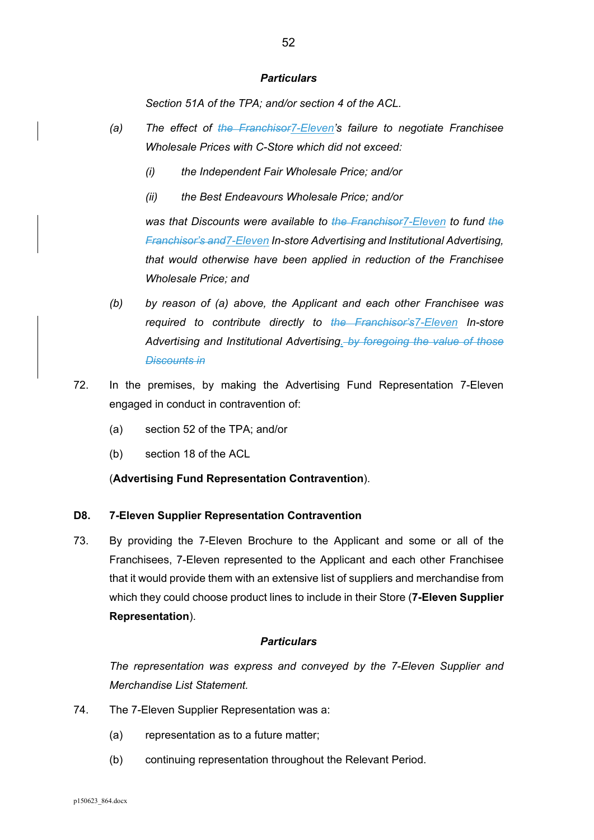*Section 51A of the TPA; and/or section 4 of the ACL.* 

- *(a) The effect of the Franchisor7-Eleven's failure to negotiate Franchisee Wholesale Prices with C-Store which did not exceed:* 
	- *(i) the Independent Fair Wholesale Price; and/or*
	- *(ii) the Best Endeavours Wholesale Price; and/or*

*was that Discounts were available to the Franchisor7-Eleven to fund the Franchisor's and7-Eleven In-store Advertising and Institutional Advertising, that would otherwise have been applied in reduction of the Franchisee Wholesale Price; and* 

- *(b) by reason of (a) above, the Applicant and each other Franchisee was required to contribute directly to the Franchisor's7-Eleven In-store Advertising and Institutional Advertising. by foregoing the value of those Discounts in*
- 72. In the premises, by making the Advertising Fund Representation 7-Eleven engaged in conduct in contravention of:
	- (a) section 52 of the TPA; and/or
	- (b) section 18 of the ACL

#### (**Advertising Fund Representation Contravention**).

#### **D8. 7-Eleven Supplier Representation Contravention**

73. By providing the 7-Eleven Brochure to the Applicant and some or all of the Franchisees, 7-Eleven represented to the Applicant and each other Franchisee that it would provide them with an extensive list of suppliers and merchandise from which they could choose product lines to include in their Store (**7-Eleven Supplier Representation**).

#### *Particulars*

*The representation was express and conveyed by the 7-Eleven Supplier and Merchandise List Statement.* 

- 74. The 7-Eleven Supplier Representation was a:
	- (a) representation as to a future matter;
	- (b) continuing representation throughout the Relevant Period.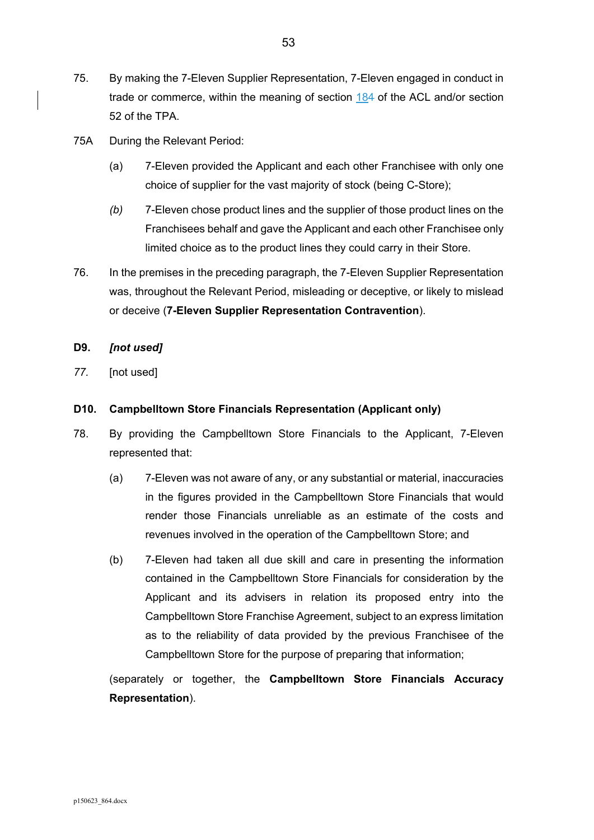- 75. By making the 7-Eleven Supplier Representation, 7-Eleven engaged in conduct in trade or commerce, within the meaning of section 184 of the ACL and/or section 52 of the TPA.
- 75A During the Relevant Period:
	- (a) 7-Eleven provided the Applicant and each other Franchisee with only one choice of supplier for the vast majority of stock (being C-Store);
	- *(b)* 7-Eleven chose product lines and the supplier of those product lines on the Franchisees behalf and gave the Applicant and each other Franchisee only limited choice as to the product lines they could carry in their Store.
- 76. In the premises in the preceding paragraph, the 7-Eleven Supplier Representation was, throughout the Relevant Period, misleading or deceptive, or likely to mislead or deceive (**7-Eleven Supplier Representation Contravention**).

# **D9.** *[not used]*

*77.* [not used]

# **D10. Campbelltown Store Financials Representation (Applicant only)**

- 78. By providing the Campbelltown Store Financials to the Applicant, 7-Eleven represented that:
	- (a) 7-Eleven was not aware of any, or any substantial or material, inaccuracies in the figures provided in the Campbelltown Store Financials that would render those Financials unreliable as an estimate of the costs and revenues involved in the operation of the Campbelltown Store; and
	- (b) 7-Eleven had taken all due skill and care in presenting the information contained in the Campbelltown Store Financials for consideration by the Applicant and its advisers in relation its proposed entry into the Campbelltown Store Franchise Agreement, subject to an express limitation as to the reliability of data provided by the previous Franchisee of the Campbelltown Store for the purpose of preparing that information;

(separately or together, the **Campbelltown Store Financials Accuracy Representation**).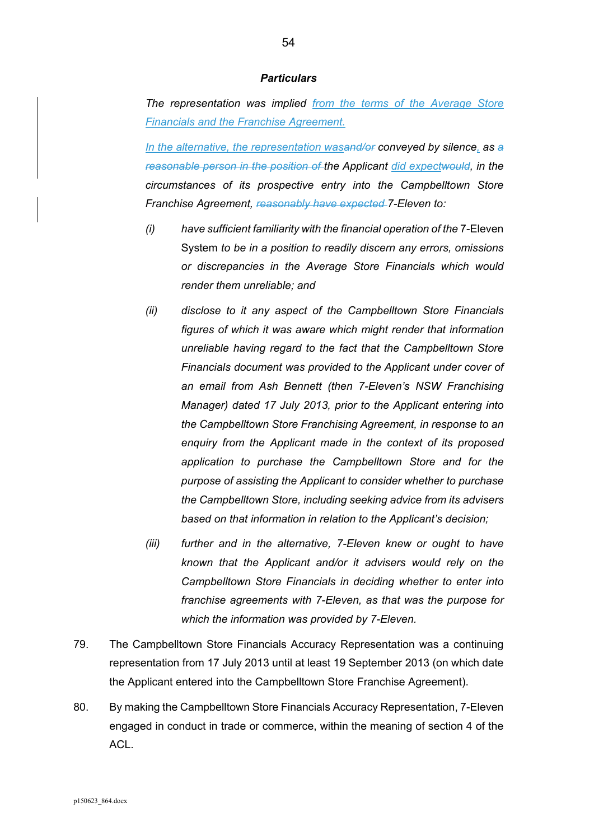*The representation was implied from the terms of the Average Store Financials and the Franchise Agreement.* 

*In the alternative, the representation wasand/or conveyed by silence, as a reasonable person in the position of the Applicant did expectwould, in the circumstances of its prospective entry into the Campbelltown Store Franchise Agreement, reasonably have expected 7-Eleven to:* 

- *(i) have sufficient familiarity with the financial operation of the* 7-Eleven System *to be in a position to readily discern any errors, omissions or discrepancies in the Average Store Financials which would render them unreliable; and*
- *(ii) disclose to it any aspect of the Campbelltown Store Financials figures of which it was aware which might render that information unreliable having regard to the fact that the Campbelltown Store Financials document was provided to the Applicant under cover of an email from Ash Bennett (then 7-Eleven's NSW Franchising Manager) dated 17 July 2013, prior to the Applicant entering into the Campbelltown Store Franchising Agreement, in response to an enquiry from the Applicant made in the context of its proposed application to purchase the Campbelltown Store and for the purpose of assisting the Applicant to consider whether to purchase the Campbelltown Store, including seeking advice from its advisers based on that information in relation to the Applicant's decision;*
- *(iii) further and in the alternative, 7-Eleven knew or ought to have known that the Applicant and/or it advisers would rely on the Campbelltown Store Financials in deciding whether to enter into franchise agreements with 7-Eleven, as that was the purpose for which the information was provided by 7-Eleven.*
- 79. The Campbelltown Store Financials Accuracy Representation was a continuing representation from 17 July 2013 until at least 19 September 2013 (on which date the Applicant entered into the Campbelltown Store Franchise Agreement).
- 80. By making the Campbelltown Store Financials Accuracy Representation, 7-Eleven engaged in conduct in trade or commerce, within the meaning of section 4 of the ACL.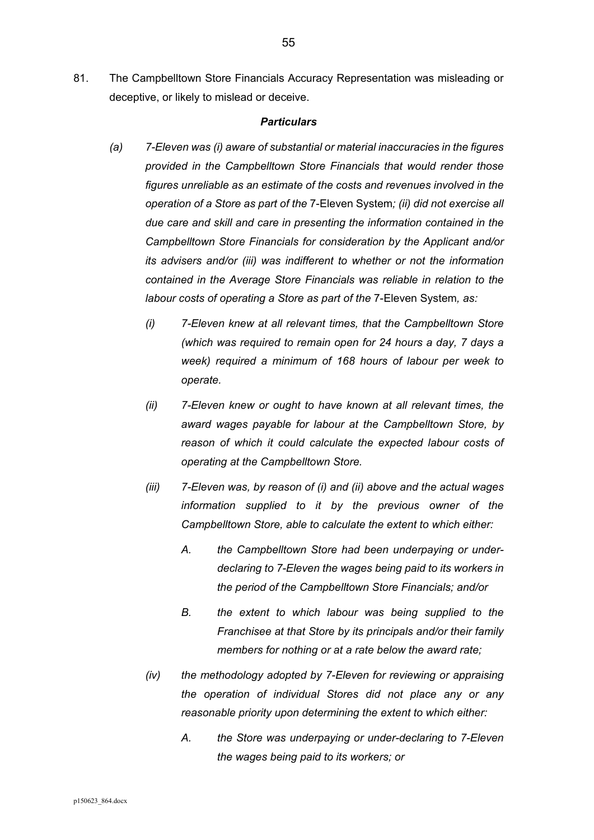81. The Campbelltown Store Financials Accuracy Representation was misleading or deceptive, or likely to mislead or deceive.

#### *Particulars*

- *(a) 7-Eleven was (i) aware of substantial or material inaccuracies in the figures provided in the Campbelltown Store Financials that would render those figures unreliable as an estimate of the costs and revenues involved in the operation of a Store as part of the* 7-Eleven System*; (ii) did not exercise all due care and skill and care in presenting the information contained in the Campbelltown Store Financials for consideration by the Applicant and/or its advisers and/or (iii) was indifferent to whether or not the information contained in the Average Store Financials was reliable in relation to the labour costs of operating a Store as part of the 7-Eleven System, as:* 
	- *(i) 7-Eleven knew at all relevant times, that the Campbelltown Store (which was required to remain open for 24 hours a day, 7 days a week) required a minimum of 168 hours of labour per week to operate.*
	- *(ii) 7-Eleven knew or ought to have known at all relevant times, the award wages payable for labour at the Campbelltown Store, by reason of which it could calculate the expected labour costs of operating at the Campbelltown Store.*
	- *(iii) 7-Eleven was, by reason of (i) and (ii) above and the actual wages information supplied to it by the previous owner of the Campbelltown Store, able to calculate the extent to which either:* 
		- *A. the Campbelltown Store had been underpaying or underdeclaring to 7-Eleven the wages being paid to its workers in the period of the Campbelltown Store Financials; and/or*
		- *B. the extent to which labour was being supplied to the Franchisee at that Store by its principals and/or their family members for nothing or at a rate below the award rate;*
	- *(iv) the methodology adopted by 7-Eleven for reviewing or appraising the operation of individual Stores did not place any or any reasonable priority upon determining the extent to which either:* 
		- *A. the Store was underpaying or under-declaring to 7-Eleven the wages being paid to its workers; or*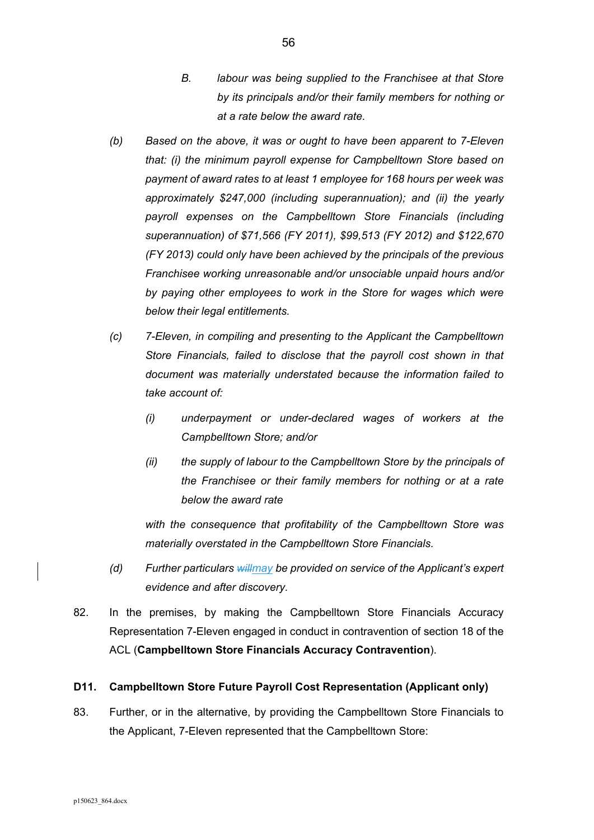- *B. labour was being supplied to the Franchisee at that Store by its principals and/or their family members for nothing or at a rate below the award rate.*
- *(b) Based on the above, it was or ought to have been apparent to 7-Eleven that: (i) the minimum payroll expense for Campbelltown Store based on payment of award rates to at least 1 employee for 168 hours per week was approximately \$247,000 (including superannuation); and (ii) the yearly payroll expenses on the Campbelltown Store Financials (including superannuation) of \$71,566 (FY 2011), \$99,513 (FY 2012) and \$122,670 (FY 2013) could only have been achieved by the principals of the previous Franchisee working unreasonable and/or unsociable unpaid hours and/or by paying other employees to work in the Store for wages which were below their legal entitlements.*
- *(c) 7-Eleven, in compiling and presenting to the Applicant the Campbelltown Store Financials, failed to disclose that the payroll cost shown in that document was materially understated because the information failed to take account of:* 
	- *(i) underpayment or under-declared wages of workers at the Campbelltown Store; and/or*
	- *(ii) the supply of labour to the Campbelltown Store by the principals of the Franchisee or their family members for nothing or at a rate below the award rate*

*with the consequence that profitability of the Campbelltown Store was materially overstated in the Campbelltown Store Financials.* 

- *(d) Further particulars willmay be provided on service of the Applicant's expert evidence and after discovery.*
- 82. In the premises, by making the Campbelltown Store Financials Accuracy Representation 7-Eleven engaged in conduct in contravention of section 18 of the ACL (**Campbelltown Store Financials Accuracy Contravention**).

# **D11. Campbelltown Store Future Payroll Cost Representation (Applicant only)**

83. Further, or in the alternative, by providing the Campbelltown Store Financials to the Applicant, 7-Eleven represented that the Campbelltown Store: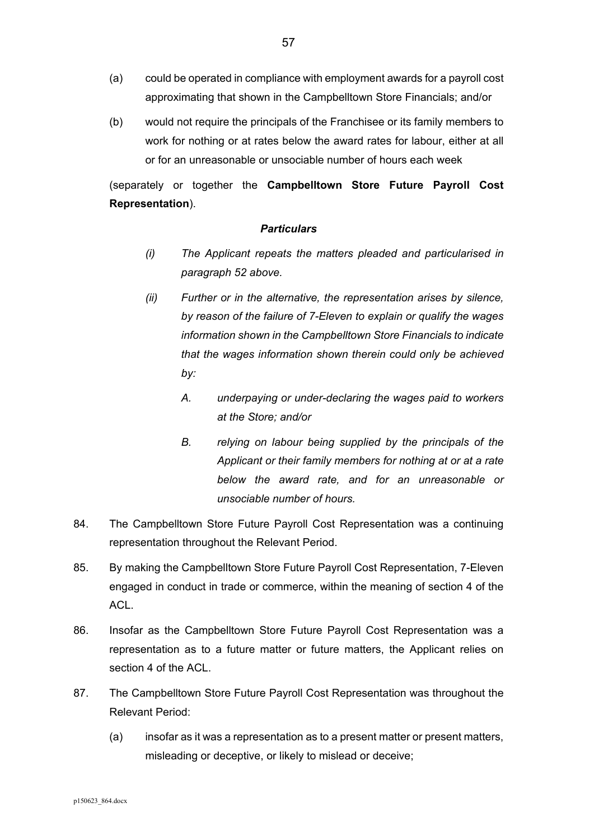- (a) could be operated in compliance with employment awards for a payroll cost approximating that shown in the Campbelltown Store Financials; and/or
- (b) would not require the principals of the Franchisee or its family members to work for nothing or at rates below the award rates for labour, either at all or for an unreasonable or unsociable number of hours each week

(separately or together the **Campbelltown Store Future Payroll Cost Representation**).

#### *Particulars*

- *(i) The Applicant repeats the matters pleaded and particularised in paragraph 52 above.*
- *(ii) Further or in the alternative, the representation arises by silence, by reason of the failure of 7-Eleven to explain or qualify the wages information shown in the Campbelltown Store Financials to indicate that the wages information shown therein could only be achieved by:* 
	- *A. underpaying or under-declaring the wages paid to workers at the Store; and/or*
	- *B. relying on labour being supplied by the principals of the Applicant or their family members for nothing at or at a rate below the award rate, and for an unreasonable or unsociable number of hours.*
- 84. The Campbelltown Store Future Payroll Cost Representation was a continuing representation throughout the Relevant Period.
- 85. By making the Campbelltown Store Future Payroll Cost Representation, 7-Eleven engaged in conduct in trade or commerce, within the meaning of section 4 of the ACL.
- 86. Insofar as the Campbelltown Store Future Payroll Cost Representation was a representation as to a future matter or future matters, the Applicant relies on section 4 of the ACL.
- 87. The Campbelltown Store Future Payroll Cost Representation was throughout the Relevant Period:
	- (a) insofar as it was a representation as to a present matter or present matters, misleading or deceptive, or likely to mislead or deceive;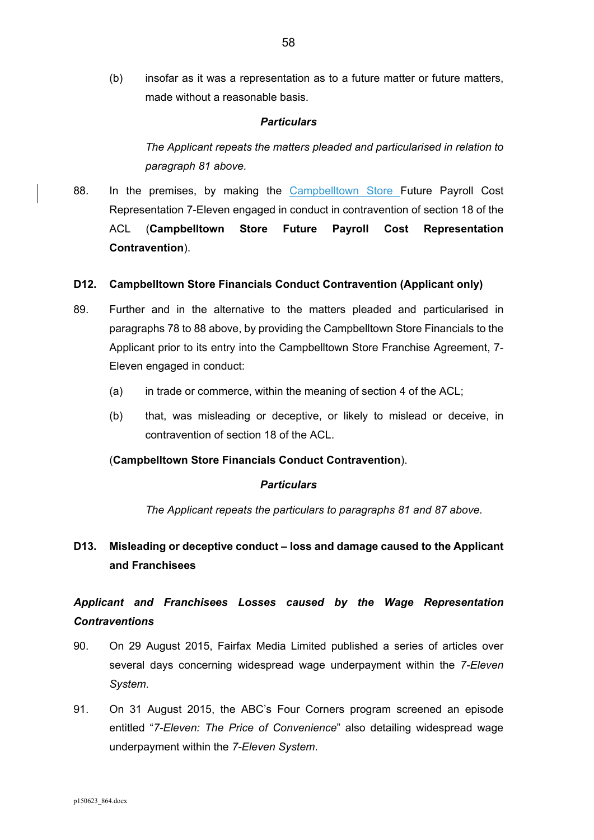(b) insofar as it was a representation as to a future matter or future matters, made without a reasonable basis.

#### *Particulars*

*The Applicant repeats the matters pleaded and particularised in relation to paragraph 81 above.* 

88. In the premises, by making the Campbelltown Store Future Payroll Cost Representation 7-Eleven engaged in conduct in contravention of section 18 of the ACL (**Campbelltown Store Future Payroll Cost Representation Contravention**).

#### **D12. Campbelltown Store Financials Conduct Contravention (Applicant only)**

- 89. Further and in the alternative to the matters pleaded and particularised in paragraphs 78 to 88 above, by providing the Campbelltown Store Financials to the Applicant prior to its entry into the Campbelltown Store Franchise Agreement, 7- Eleven engaged in conduct:
	- $(a)$  in trade or commerce, within the meaning of section 4 of the ACL;
	- (b) that, was misleading or deceptive, or likely to mislead or deceive, in contravention of section 18 of the ACL.

#### (**Campbelltown Store Financials Conduct Contravention**).

#### *Particulars*

*The Applicant repeats the particulars to paragraphs 81 and 87 above.* 

# **D13. Misleading or deceptive conduct – loss and damage caused to the Applicant and Franchisees**

# *Applicant and Franchisees Losses caused by the Wage Representation Contraventions*

- 90. On 29 August 2015, Fairfax Media Limited published a series of articles over several days concerning widespread wage underpayment within the *7-Eleven System*.
- 91. On 31 August 2015, the ABC's Four Corners program screened an episode entitled "*7-Eleven: The Price of Convenience*" also detailing widespread wage underpayment within the *7-Eleven System*.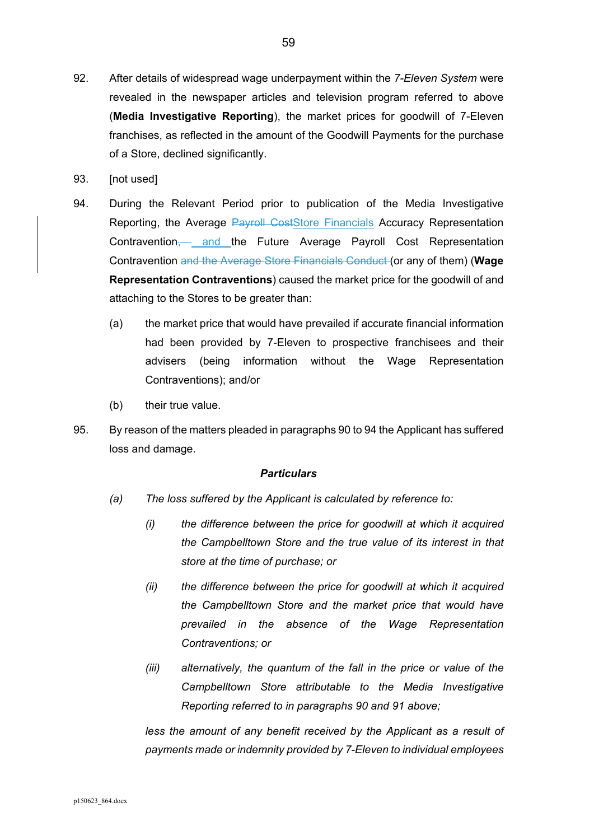- 92. After details of widespread wage underpayment within the *7-Eleven System* were revealed in the newspaper articles and television program referred to above (**Media Investigative Reporting**), the market prices for goodwill of 7-Eleven franchises, as reflected in the amount of the Goodwill Payments for the purchase of a Store, declined significantly.
- 93. [not used]
- 94. During the Relevant Period prior to publication of the Media Investigative Reporting, the Average Payroll CostStore Financials Accuracy Representation Contravention, and the Future Average Payroll Cost Representation Contravention and the Average Store Financials Conduct (or any of them) (**Wage Representation Contraventions**) caused the market price for the goodwill of and attaching to the Stores to be greater than:
	- (a) the market price that would have prevailed if accurate financial information had been provided by 7-Eleven to prospective franchisees and their advisers (being information without the Wage Representation Contraventions); and/or
	- (b) their true value.
- 95. By reason of the matters pleaded in paragraphs 90 to 94 the Applicant has suffered loss and damage.

- *(a) The loss suffered by the Applicant is calculated by reference to:* 
	- *(i) the difference between the price for goodwill at which it acquired the Campbelltown Store and the true value of its interest in that store at the time of purchase; or*
	- *(ii) the difference between the price for goodwill at which it acquired the Campbelltown Store and the market price that would have prevailed in the absence of the Wage Representation Contraventions; or*
	- *(iii) alternatively, the quantum of the fall in the price or value of the Campbelltown Store attributable to the Media Investigative Reporting referred to in paragraphs 90 and 91 above;*

*less the amount of any benefit received by the Applicant as a result of payments made or indemnity provided by 7-Eleven to individual employees*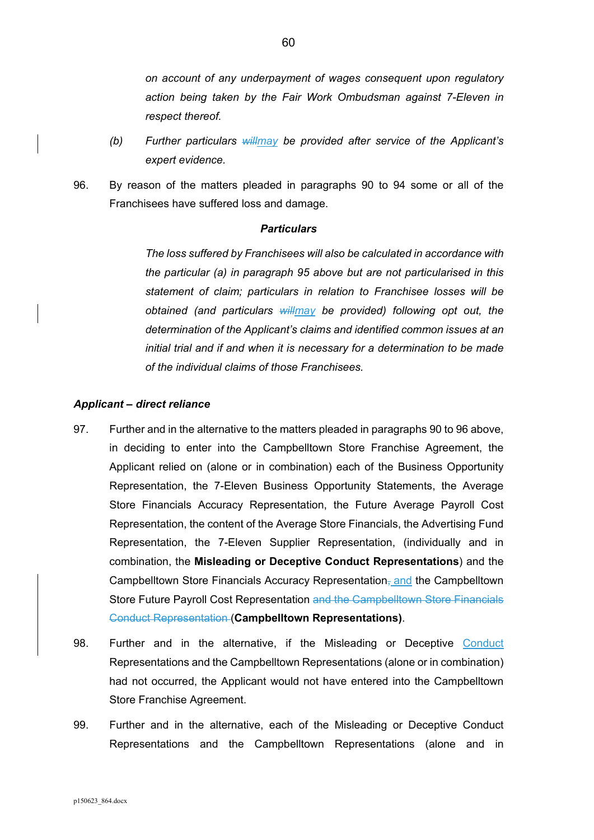*on account of any underpayment of wages consequent upon regulatory action being taken by the Fair Work Ombudsman against 7-Eleven in respect thereof.* 

- *(b) Further particulars willmay be provided after service of the Applicant's expert evidence.*
- 96. By reason of the matters pleaded in paragraphs 90 to 94 some or all of the Franchisees have suffered loss and damage.

#### *Particulars*

*The loss suffered by Franchisees will also be calculated in accordance with the particular (a) in paragraph 95 above but are not particularised in this statement of claim; particulars in relation to Franchisee losses will be obtained (and particulars willmay be provided) following opt out, the determination of the Applicant's claims and identified common issues at an initial trial and if and when it is necessary for a determination to be made of the individual claims of those Franchisees.* 

#### *Applicant – direct reliance*

- 97. Further and in the alternative to the matters pleaded in paragraphs 90 to 96 above, in deciding to enter into the Campbelltown Store Franchise Agreement, the Applicant relied on (alone or in combination) each of the Business Opportunity Representation, the 7-Eleven Business Opportunity Statements, the Average Store Financials Accuracy Representation, the Future Average Payroll Cost Representation, the content of the Average Store Financials, the Advertising Fund Representation, the 7-Eleven Supplier Representation, (individually and in combination, the **Misleading or Deceptive Conduct Representations**) and the Campbelltown Store Financials Accuracy Representation<sub>7</sub> and the Campbelltown Store Future Payroll Cost Representation and the Campbelltown Store Financials Conduct Representation (**Campbelltown Representations)**.
- 98. Further and in the alternative, if the Misleading or Deceptive Conduct Representations and the Campbelltown Representations (alone or in combination) had not occurred, the Applicant would not have entered into the Campbelltown Store Franchise Agreement.
- 99. Further and in the alternative, each of the Misleading or Deceptive Conduct Representations and the Campbelltown Representations (alone and in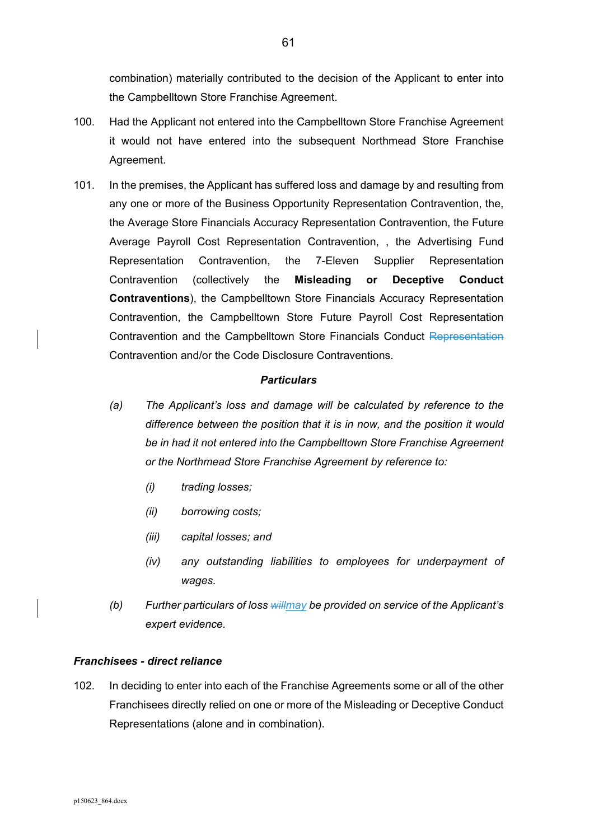combination) materially contributed to the decision of the Applicant to enter into the Campbelltown Store Franchise Agreement.

- 100. Had the Applicant not entered into the Campbelltown Store Franchise Agreement it would not have entered into the subsequent Northmead Store Franchise Agreement.
- 101. In the premises, the Applicant has suffered loss and damage by and resulting from any one or more of the Business Opportunity Representation Contravention, the, the Average Store Financials Accuracy Representation Contravention, the Future Average Payroll Cost Representation Contravention, , the Advertising Fund Representation Contravention, the 7-Eleven Supplier Representation Contravention (collectively the **Misleading or Deceptive Conduct Contraventions**), the Campbelltown Store Financials Accuracy Representation Contravention, the Campbelltown Store Future Payroll Cost Representation Contravention and the Campbelltown Store Financials Conduct Representation Contravention and/or the Code Disclosure Contraventions.

### *Particulars*

- *(a) The Applicant's loss and damage will be calculated by reference to the difference between the position that it is in now, and the position it would be in had it not entered into the Campbelltown Store Franchise Agreement or the Northmead Store Franchise Agreement by reference to:* 
	- *(i) trading losses;*
	- *(ii) borrowing costs;*
	- *(iii) capital losses; and*
	- *(iv) any outstanding liabilities to employees for underpayment of wages.*
- *(b) Further particulars of loss willmay be provided on service of the Applicant's expert evidence.*

#### *Franchisees - direct reliance*

102. In deciding to enter into each of the Franchise Agreements some or all of the other Franchisees directly relied on one or more of the Misleading or Deceptive Conduct Representations (alone and in combination).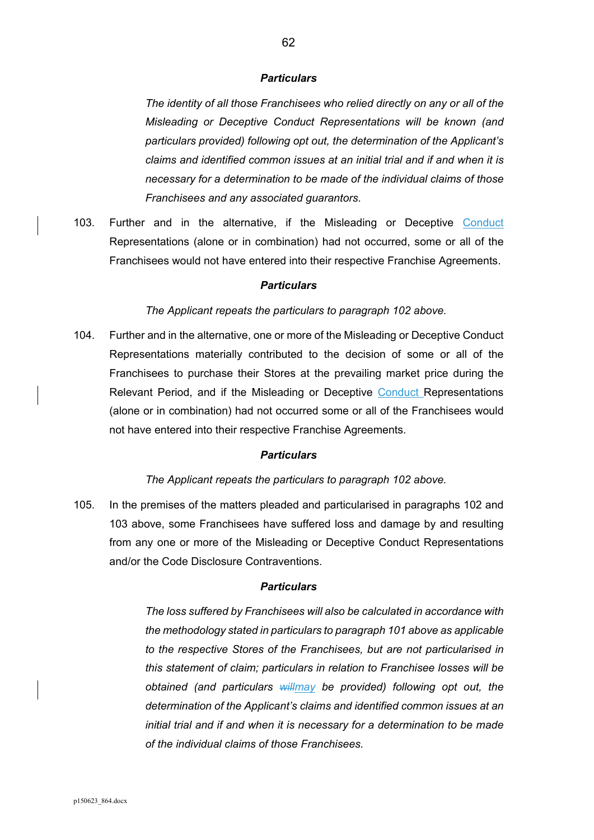*The identity of all those Franchisees who relied directly on any or all of the Misleading or Deceptive Conduct Representations will be known (and particulars provided) following opt out, the determination of the Applicant's claims and identified common issues at an initial trial and if and when it is necessary for a determination to be made of the individual claims of those Franchisees and any associated guarantors.* 

103. Further and in the alternative, if the Misleading or Deceptive Conduct Representations (alone or in combination) had not occurred, some or all of the Franchisees would not have entered into their respective Franchise Agreements.

#### *Particulars*

*The Applicant repeats the particulars to paragraph 102 above.* 

104. Further and in the alternative, one or more of the Misleading or Deceptive Conduct Representations materially contributed to the decision of some or all of the Franchisees to purchase their Stores at the prevailing market price during the Relevant Period, and if the Misleading or Deceptive Conduct Representations (alone or in combination) had not occurred some or all of the Franchisees would not have entered into their respective Franchise Agreements.

### *Particulars*

#### *The Applicant repeats the particulars to paragraph 102 above.*

105. In the premises of the matters pleaded and particularised in paragraphs 102 and 103 above, some Franchisees have suffered loss and damage by and resulting from any one or more of the Misleading or Deceptive Conduct Representations and/or the Code Disclosure Contraventions.

#### *Particulars*

*The loss suffered by Franchisees will also be calculated in accordance with the methodology stated in particulars to paragraph 101 above as applicable to the respective Stores of the Franchisees, but are not particularised in this statement of claim; particulars in relation to Franchisee losses will be obtained (and particulars willmay be provided) following opt out, the determination of the Applicant's claims and identified common issues at an initial trial and if and when it is necessary for a determination to be made of the individual claims of those Franchisees.*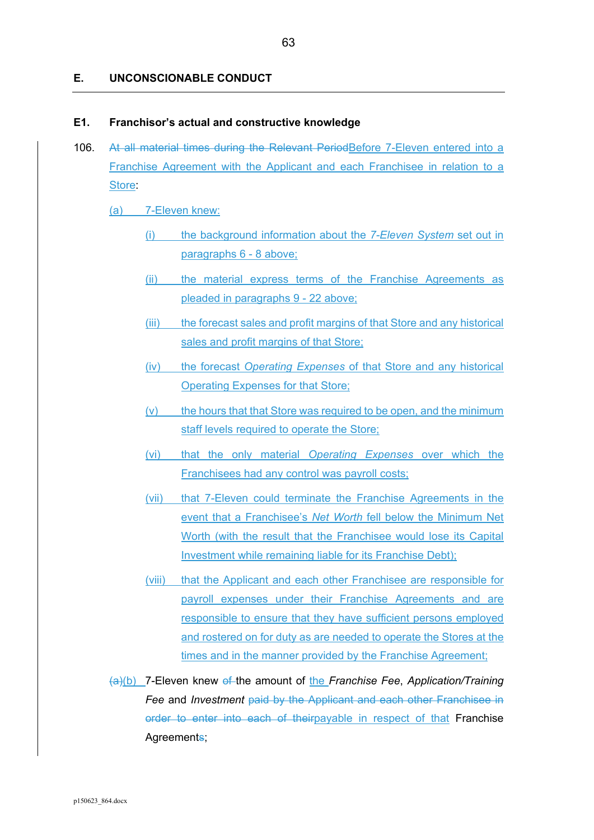#### **E. UNCONSCIONABLE CONDUCT**

#### **E1. Franchisor's actual and constructive knowledge**

106. At all material times during the Relevant PeriodBefore 7-Eleven entered into a Franchise Agreement with the Applicant and each Franchisee in relation to a Store:

(a) 7-Eleven knew:

- (i) the background information about the *7-Eleven System* set out in paragraphs 6 - 8 above;
- (ii) the material express terms of the Franchise Agreements as pleaded in paragraphs 9 - 22 above;
- (iii) the forecast sales and profit margins of that Store and any historical sales and profit margins of that Store;
- (iv) the forecast *Operating Expenses* of that Store and any historical Operating Expenses for that Store;
- (v) the hours that that Store was required to be open, and the minimum staff levels required to operate the Store;
- (vi) that the only material *Operating Expenses* over which the Franchisees had any control was payroll costs;
- (vii) that 7-Eleven could terminate the Franchise Agreements in the event that a Franchisee's *Net Worth* fell below the Minimum Net Worth (with the result that the Franchisee would lose its Capital Investment while remaining liable for its Franchise Debt);
- (viii) that the Applicant and each other Franchisee are responsible for payroll expenses under their Franchise Agreements and are responsible to ensure that they have sufficient persons employed and rostered on for duty as are needed to operate the Stores at the times and in the manner provided by the Franchise Agreement;
- (a)(b) 7-Eleven knew of the amount of the *Franchise Fee*, *Application/Training Fee* and *Investment* paid by the Applicant and each other Franchisee in order to enter into each of theirpayable in respect of that Franchise Agreements;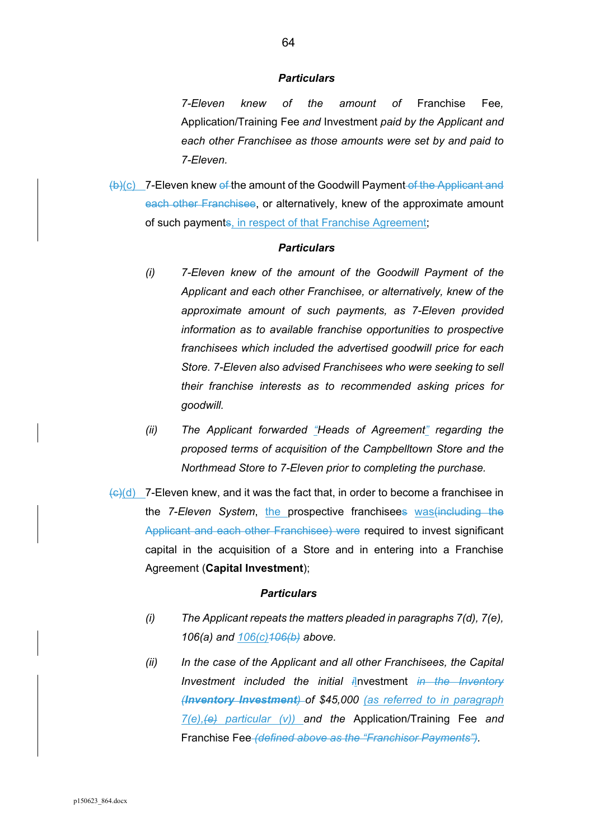*7-Eleven knew of the amount of* Franchise Fee*,*  Application/Training Fee *and* Investment *paid by the Applicant and each other Franchisee as those amounts were set by and paid to 7-Eleven.* 

(b)(c) 7-Eleven knew of the amount of the Goodwill Payment of the Applicant and each other Franchisee, or alternatively, knew of the approximate amount of such payments, in respect of that Franchise Agreement;

#### *Particulars*

- *(i) 7-Eleven knew of the amount of the Goodwill Payment of the Applicant and each other Franchisee, or alternatively, knew of the approximate amount of such payments, as 7-Eleven provided information as to available franchise opportunities to prospective franchisees which included the advertised goodwill price for each Store. 7-Eleven also advised Franchisees who were seeking to sell their franchise interests as to recommended asking prices for goodwill.*
- *(ii) The Applicant forwarded "Heads of Agreement" regarding the proposed terms of acquisition of the Campbelltown Store and the Northmead Store to 7-Eleven prior to completing the purchase.*
- $\left\langle \Theta \right\rangle$ (d) 7-Eleven knew, and it was the fact that, in order to become a franchisee in the *7-Eleven System*, the prospective franchisees was(including the Applicant and each other Franchisee) were required to invest significant capital in the acquisition of a Store and in entering into a Franchise Agreement (**Capital Investment**);

#### *Particulars*

- *(i) The Applicant repeats the matters pleaded in paragraphs 7(d), 7(e), 106(a) and 106(c)106(b) above.*
- *(ii) In the case of the Applicant and all other Franchisees, the Capital Investment included the initial i*Investment *in the Inventory (Inventory Investment) of \$45,000 (as referred to in paragraph 7(e),(e) particular (v)) and the* Application/Training Fee *and*  Franchise Fee *(defined above as the "Franchisor Payments").*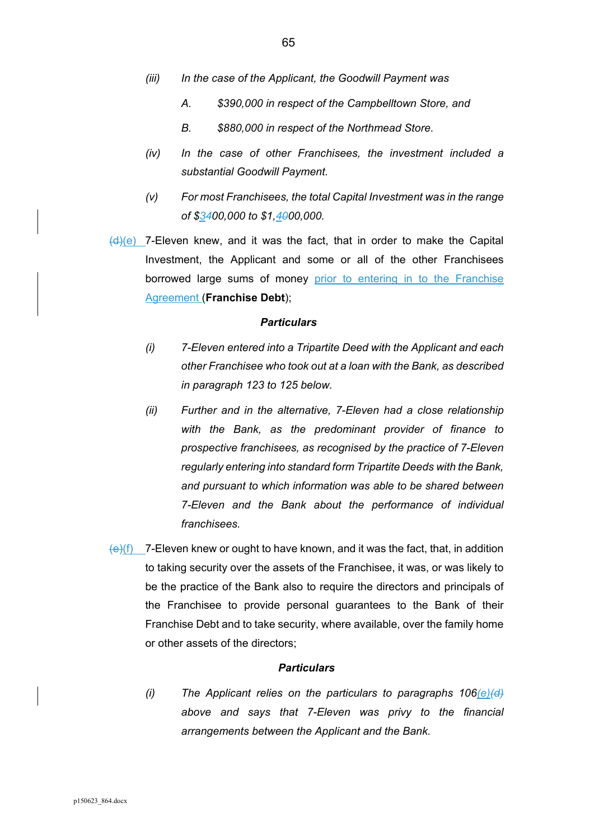- *(iii) In the case of the Applicant, the Goodwill Payment was* 
	- *A. \$390,000 in respect of the Campbelltown Store, and*
	- *B. \$880,000 in respect of the Northmead Store.*
- *(iv) In the case of other Franchisees, the investment included a substantial Goodwill Payment.*
- *(v) For most Franchisees, the total Capital Investment was in the range of \$3400,000 to \$1,4000,000.*
- $(d)(e)$  7-Eleven knew, and it was the fact, that in order to make the Capital Investment, the Applicant and some or all of the other Franchisees borrowed large sums of money prior to entering in to the Franchise Agreement (**Franchise Debt**);

- *(i) 7-Eleven entered into a Tripartite Deed with the Applicant and each other Franchisee who took out at a loan with the Bank, as described in paragraph 123 to 125 below.*
- *(ii) Further and in the alternative, 7-Eleven had a close relationship with the Bank, as the predominant provider of finance to prospective franchisees, as recognised by the practice of 7-Eleven regularly entering into standard form Tripartite Deeds with the Bank, and pursuant to which information was able to be shared between 7-Eleven and the Bank about the performance of individual franchisees.*
- $\overline{e}(e)(f)$  7-Eleven knew or ought to have known, and it was the fact, that, in addition to taking security over the assets of the Franchisee, it was, or was likely to be the practice of the Bank also to require the directors and principals of the Franchisee to provide personal guarantees to the Bank of their Franchise Debt and to take security, where available, over the family home or other assets of the directors;

#### *Particulars*

*(i) The Applicant relies on the particulars to paragraphs 106(e)(d) above and says that 7-Eleven was privy to the financial arrangements between the Applicant and the Bank.*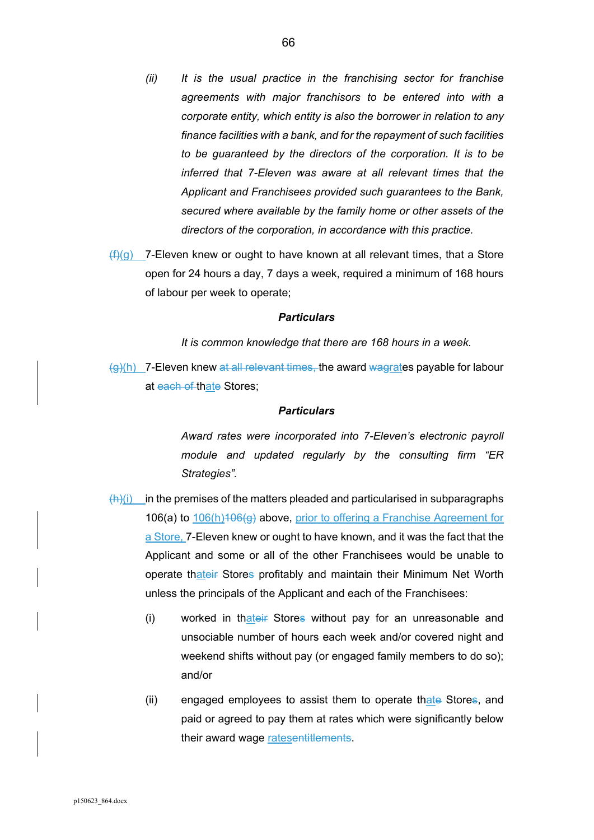- *(ii) It is the usual practice in the franchising sector for franchise agreements with major franchisors to be entered into with a corporate entity, which entity is also the borrower in relation to any finance facilities with a bank, and for the repayment of such facilities to be guaranteed by the directors of the corporation. It is to be inferred that 7-Eleven was aware at all relevant times that the Applicant and Franchisees provided such guarantees to the Bank, secured where available by the family home or other assets of the directors of the corporation, in accordance with this practice.*
- $(f)(g)$  7-Eleven knew or ought to have known at all relevant times, that a Store open for 24 hours a day, 7 days a week, required a minimum of 168 hours of labour per week to operate;

*It is common knowledge that there are 168 hours in a week.* 

 $\left\langle \varphi\right\rangle$ (h) 7-Eleven knew at all relevant times, the award wagrates payable for labour at each of thate Stores;

#### *Particulars*

*Award rates were incorporated into 7-Eleven's electronic payroll module and updated regularly by the consulting firm "ER Strategies".* 

- $(h)(i)$  in the premises of the matters pleaded and particularised in subparagraphs 106(a) to 106(h)106(g) above, prior to offering a Franchise Agreement for a Store, 7-Eleven knew or ought to have known, and it was the fact that the Applicant and some or all of the other Franchisees would be unable to operate thateir Stores profitably and maintain their Minimum Net Worth unless the principals of the Applicant and each of the Franchisees:
	- (i) worked in thateir Stores without pay for an unreasonable and unsociable number of hours each week and/or covered night and weekend shifts without pay (or engaged family members to do so); and/or
	- (ii) engaged employees to assist them to operate thate Stores, and paid or agreed to pay them at rates which were significantly below their award wage ratesentitlements.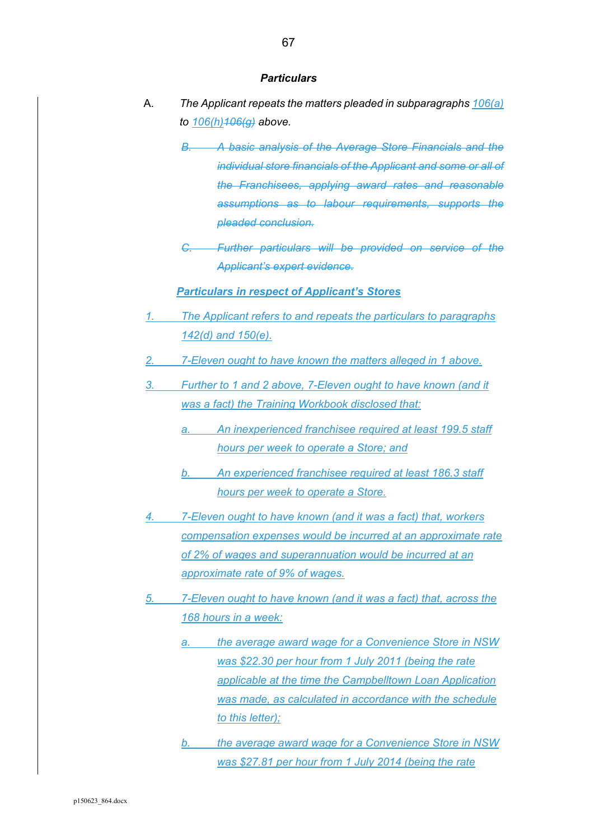- A. *The Applicant repeats the matters pleaded in subparagraphs 106(a) to 106(h)106(g) above.* 
	- *B. A basic analysis of the Average Store Financials and the individual store financials of the Applicant and some or all of the Franchisees, applying award rates and reasonable assumptions as to labour requirements, supports the pleaded conclusion.*
	- *C. Further particulars will be provided on service of the Applicant's expert evidence.*

#### *Particulars in respect of Applicant's Stores*

- *1. The Applicant refers to and repeats the particulars to paragraphs 142(d) and 150(e).*
- *2. 7-Eleven ought to have known the matters alleged in 1 above.*
- *3. Further to 1 and 2 above, 7-Eleven ought to have known (and it was a fact) the Training Workbook disclosed that:* 
	- *a. An inexperienced franchisee required at least 199.5 staff hours per week to operate a Store; and*
	- *b. An experienced franchisee required at least 186.3 staff hours per week to operate a Store.*
- *4. 7-Eleven ought to have known (and it was a fact) that, workers compensation expenses would be incurred at an approximate rate of 2% of wages and superannuation would be incurred at an approximate rate of 9% of wages.*
- *5. 7-Eleven ought to have known (and it was a fact) that, across the 168 hours in a week:* 
	- *a. the average award wage for a Convenience Store in NSW was \$22.30 per hour from 1 July 2011 (being the rate applicable at the time the Campbelltown Loan Application was made, as calculated in accordance with the schedule to this letter);*
	- *b. the average award wage for a Convenience Store in NSW was \$27.81 per hour from 1 July 2014 (being the rate*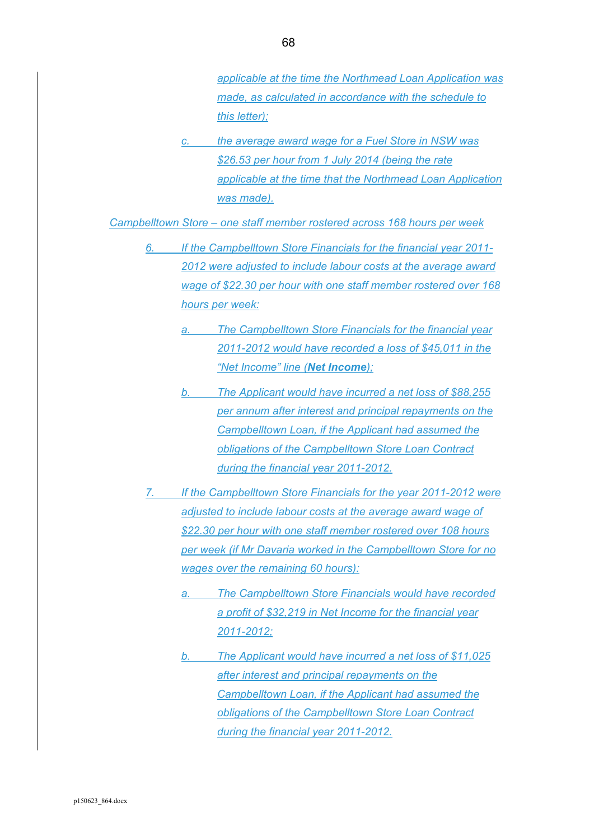*applicable at the time the Northmead Loan Application was made, as calculated in accordance with the schedule to this letter);* 

*c. the average award wage for a Fuel Store in NSW was \$26.53 per hour from 1 July 2014 (being the rate applicable at the time that the Northmead Loan Application was made).* 

*Campbelltown Store – one staff member rostered across 168 hours per week* 

- *6. If the Campbelltown Store Financials for the financial year 2011- 2012 were adjusted to include labour costs at the average award wage of \$22.30 per hour with one staff member rostered over 168 hours per week:* 
	- *a. The Campbelltown Store Financials for the financial year 2011-2012 would have recorded a loss of \$45,011 in the "Net Income" line (Net Income);*
	- *b. The Applicant would have incurred a net loss of \$88,255 per annum after interest and principal repayments on the Campbelltown Loan, if the Applicant had assumed the obligations of the Campbelltown Store Loan Contract during the financial year 2011-2012.*
- *7. If the Campbelltown Store Financials for the year 2011-2012 were adjusted to include labour costs at the average award wage of \$22.30 per hour with one staff member rostered over 108 hours per week (if Mr Davaria worked in the Campbelltown Store for no wages over the remaining 60 hours):* 
	- *a. The Campbelltown Store Financials would have recorded a profit of \$32,219 in Net Income for the financial year 2011-2012;*
	- *b. The Applicant would have incurred a net loss of \$11,025 after interest and principal repayments on the Campbelltown Loan, if the Applicant had assumed the obligations of the Campbelltown Store Loan Contract during the financial year 2011-2012.*

68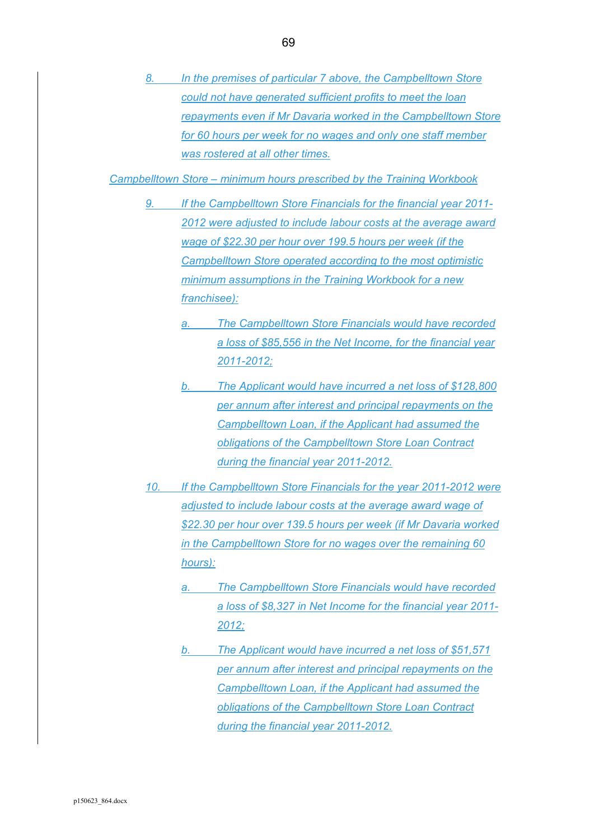*8. In the premises of particular 7 above, the Campbelltown Store could not have generated sufficient profits to meet the loan repayments even if Mr Davaria worked in the Campbelltown Store for 60 hours per week for no wages and only one staff member was rostered at all other times.* 

*Campbelltown Store – minimum hours prescribed by the Training Workbook* 

- *9. If the Campbelltown Store Financials for the financial year 2011- 2012 were adjusted to include labour costs at the average award wage of \$22.30 per hour over 199.5 hours per week (if the Campbelltown Store operated according to the most optimistic minimum assumptions in the Training Workbook for a new franchisee):* 
	- *a. The Campbelltown Store Financials would have recorded a loss of \$85,556 in the Net Income, for the financial year 2011-2012;*
	- *b. The Applicant would have incurred a net loss of \$128,800 per annum after interest and principal repayments on the Campbelltown Loan, if the Applicant had assumed the obligations of the Campbelltown Store Loan Contract during the financial year 2011-2012.*
- *10. If the Campbelltown Store Financials for the year 2011-2012 were adjusted to include labour costs at the average award wage of \$22.30 per hour over 139.5 hours per week (if Mr Davaria worked in the Campbelltown Store for no wages over the remaining 60 hours):* 
	- **The Campbelltown Store Financials would have recorded** *a loss of \$8,327 in Net Income for the financial year 2011- 2012;*
	- *b. The Applicant would have incurred a net loss of \$51,571 per annum after interest and principal repayments on the Campbelltown Loan, if the Applicant had assumed the obligations of the Campbelltown Store Loan Contract during the financial year 2011-2012.*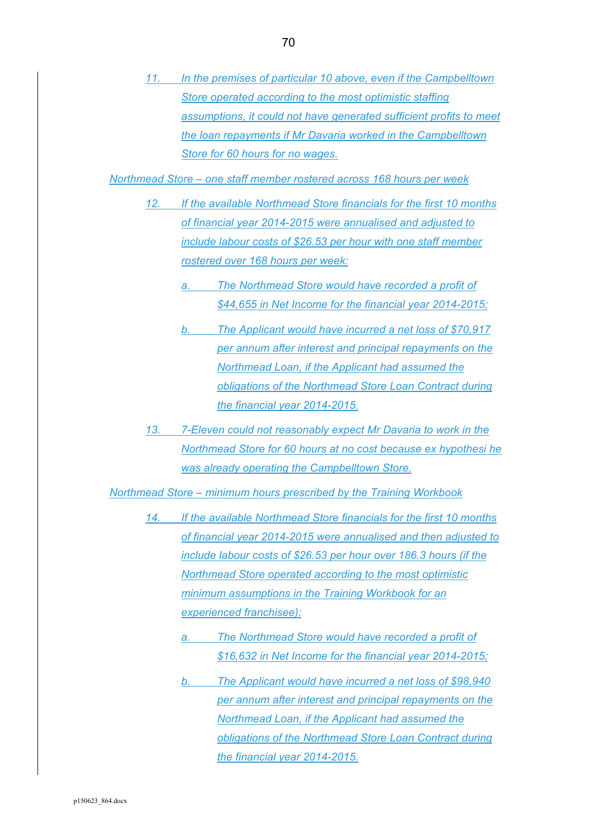*11. In the premises of particular 10 above, even if the Campbelltown Store operated according to the most optimistic staffing assumptions, it could not have generated sufficient profits to meet the loan repayments if Mr Davaria worked in the Campbelltown Store for 60 hours for no wages.* 

*Northmead Store – one staff member rostered across 168 hours per week* 

- *12. If the available Northmead Store financials for the first 10 months of financial year 2014-2015 were annualised and adjusted to include labour costs of \$26.53 per hour with one staff member rostered over 168 hours per week:* 
	- *a. The Northmead Store would have recorded a profit of \$44,655 in Net Income for the financial year 2014-2015;*
	- *b. The Applicant would have incurred a net loss of \$70,917 per annum after interest and principal repayments on the Northmead Loan, if the Applicant had assumed the obligations of the Northmead Store Loan Contract during the financial year 2014-2015.*
- *13. 7-Eleven could not reasonably expect Mr Davaria to work in the Northmead Store for 60 hours at no cost because ex hypothesi he was already operating the Campbelltown Store.*

*Northmead Store – minimum hours prescribed by the Training Workbook* 

- *14. If the available Northmead Store financials for the first 10 months of financial year 2014-2015 were annualised and then adjusted to include labour costs of \$26.53 per hour over 186.3 hours (if the Northmead Store operated according to the most optimistic minimum assumptions in the Training Workbook for an experienced franchisee):* 
	- *a. The Northmead Store would have recorded a profit of \$16,632 in Net Income for the financial year 2014-2015;*
	- *b. The Applicant would have incurred a net loss of \$98,940 per annum after interest and principal repayments on the Northmead Loan, if the Applicant had assumed the obligations of the Northmead Store Loan Contract during the financial year 2014-2015.*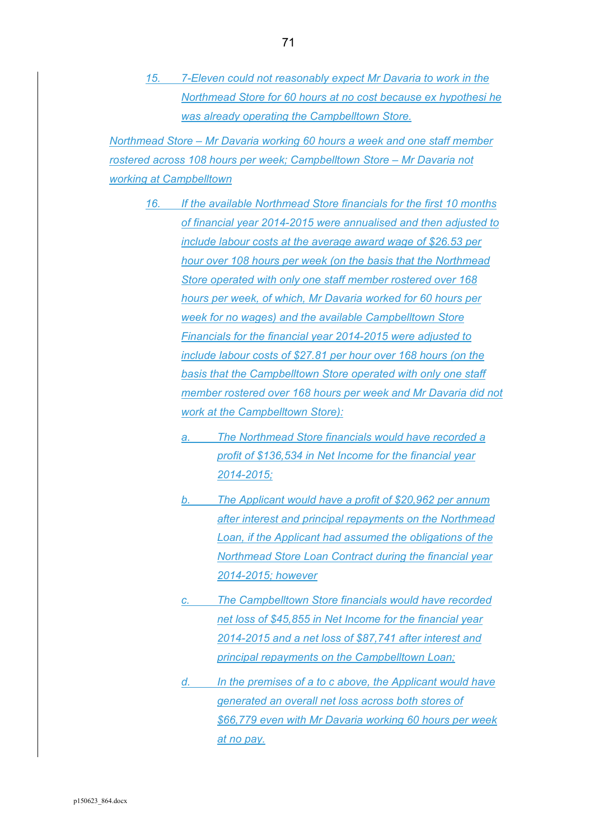*15. 7-Eleven could not reasonably expect Mr Davaria to work in the Northmead Store for 60 hours at no cost because ex hypothesi he was already operating the Campbelltown Store.* 

*Northmead Store – Mr Davaria working 60 hours a week and one staff member rostered across 108 hours per week; Campbelltown Store – Mr Davaria not working at Campbelltown* 

- *16. If the available Northmead Store financials for the first 10 months of financial year 2014-2015 were annualised and then adjusted to include labour costs at the average award wage of \$26.53 per hour over 108 hours per week (on the basis that the Northmead Store operated with only one staff member rostered over 168 hours per week, of which, Mr Davaria worked for 60 hours per week for no wages) and the available Campbelltown Store Financials for the financial year 2014-2015 were adjusted to include labour costs of \$27.81 per hour over 168 hours (on the basis that the Campbelltown Store operated with only one staff member rostered over 168 hours per week and Mr Davaria did not work at the Campbelltown Store):* 
	- *a. The Northmead Store financials would have recorded a profit of \$136,534 in Net Income for the financial year 2014-2015;*
	- *b. The Applicant would have a profit of \$20,962 per annum after interest and principal repayments on the Northmead Loan, if the Applicant had assumed the obligations of the Northmead Store Loan Contract during the financial year 2014-2015; however*
	- *c. The Campbelltown Store financials would have recorded net loss of \$45,855 in Net Income for the financial year 2014-2015 and a net loss of \$87,741 after interest and principal repayments on the Campbelltown Loan;*
	- *d. In the premises of a to c above, the Applicant would have generated an overall net loss across both stores of \$66,779 even with Mr Davaria working 60 hours per week at no pay.*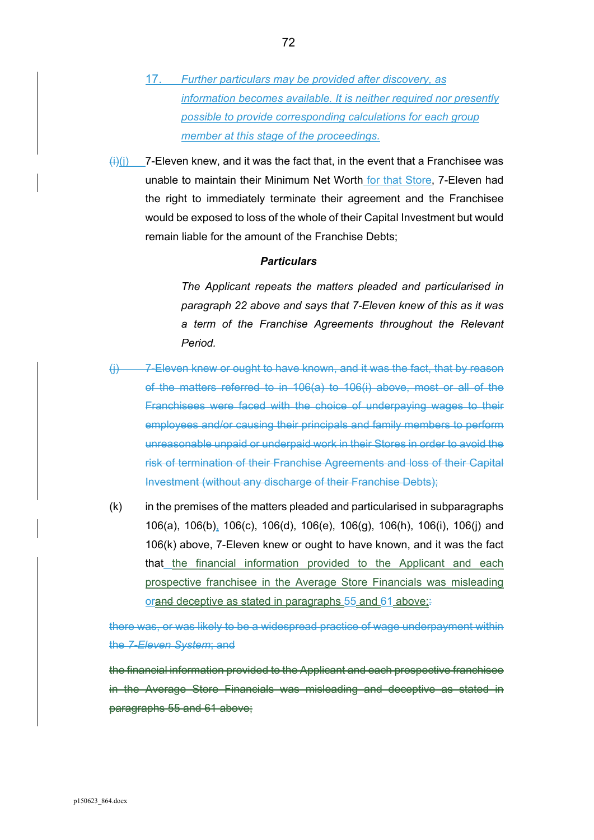- 17. *Further particulars may be provided after discovery, as information becomes available. It is neither required nor presently possible to provide corresponding calculations for each group member at this stage of the proceedings.*
- $\frac{\langle i \rangle}{\langle j \rangle}$  7-Eleven knew, and it was the fact that, in the event that a Franchisee was unable to maintain their Minimum Net Worth for that Store, 7-Eleven had the right to immediately terminate their agreement and the Franchisee would be exposed to loss of the whole of their Capital Investment but would remain liable for the amount of the Franchise Debts;

*The Applicant repeats the matters pleaded and particularised in paragraph 22 above and says that 7-Eleven knew of this as it was a term of the Franchise Agreements throughout the Relevant Period.* 

- (j) 7-Eleven knew or ought to have known, and it was the fact, that by reason of the matters referred to in 106(a) to 106(i) above, most or all of the Franchisees were faced with the choice of underpaying wages to their employees and/or causing their principals and family members to perform unreasonable unpaid or underpaid work in their Stores in order to avoid the risk of termination of their Franchise Agreements and loss of their Capital Investment (without any discharge of their Franchise Debts);
- (k) in the premises of the matters pleaded and particularised in subparagraphs 106(a), 106(b), 106(c), 106(d), 106(e), 106(g), 106(h), 106(i), 106(j) and 106(k) above, 7-Eleven knew or ought to have known, and it was the fact that the financial information provided to the Applicant and each prospective franchisee in the Average Store Financials was misleading orand deceptive as stated in paragraphs 55 and 61 above;

there was, or was likely to be a widespread practice of wage underpayment within the *7-Eleven System*; and

the financial information provided to the Applicant and each prospective franchisee in the Average Store Financials was misleading and deceptive as stated in paragraphs 55 and 61 above;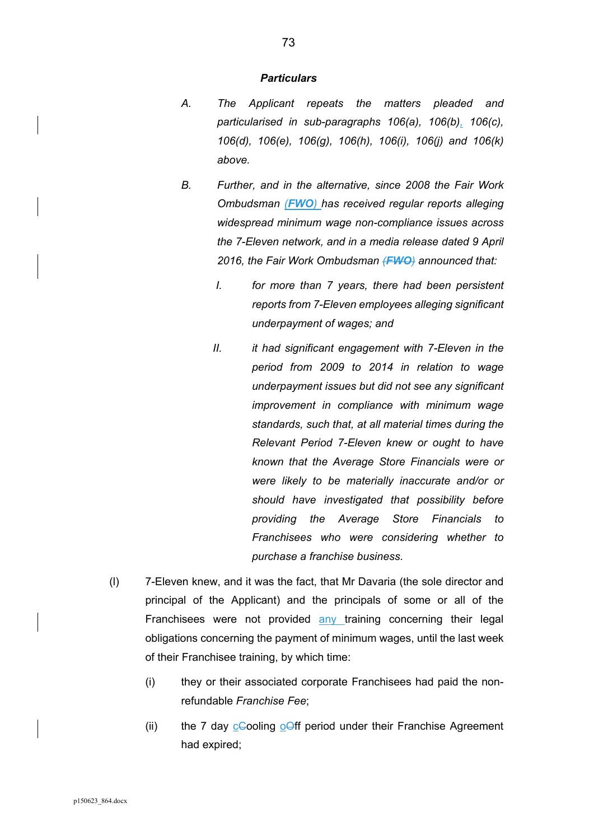- *A. The Applicant repeats the matters pleaded and particularised in sub-paragraphs 106(a), 106(b), 106(c), 106(d), 106(e), 106(g), 106(h), 106(i), 106(j) and 106(k) above.*
- *B. Further, and in the alternative, since 2008 the Fair Work Ombudsman (FWO) has received regular reports alleging widespread minimum wage non-compliance issues across the 7-Eleven network, and in a media release dated 9 April 2016, the Fair Work Ombudsman (FWO) announced that:* 
	- *I. for more than 7 years, there had been persistent reports from 7-Eleven employees alleging significant underpayment of wages; and*
	- *II. it had significant engagement with 7-Eleven in the period from 2009 to 2014 in relation to wage underpayment issues but did not see any significant improvement in compliance with minimum wage standards, such that, at all material times during the Relevant Period 7-Eleven knew or ought to have known that the Average Store Financials were or were likely to be materially inaccurate and/or or should have investigated that possibility before providing the Average Store Financials to Franchisees who were considering whether to purchase a franchise business.*
- (l) 7-Eleven knew, and it was the fact, that Mr Davaria (the sole director and principal of the Applicant) and the principals of some or all of the Franchisees were not provided any training concerning their legal obligations concerning the payment of minimum wages, until the last week of their Franchisee training, by which time:
	- (i) they or their associated corporate Franchisees had paid the nonrefundable *Franchise Fee*;
	- (ii) the 7 day  $c$ Cooling ooff period under their Franchise Agreement had expired;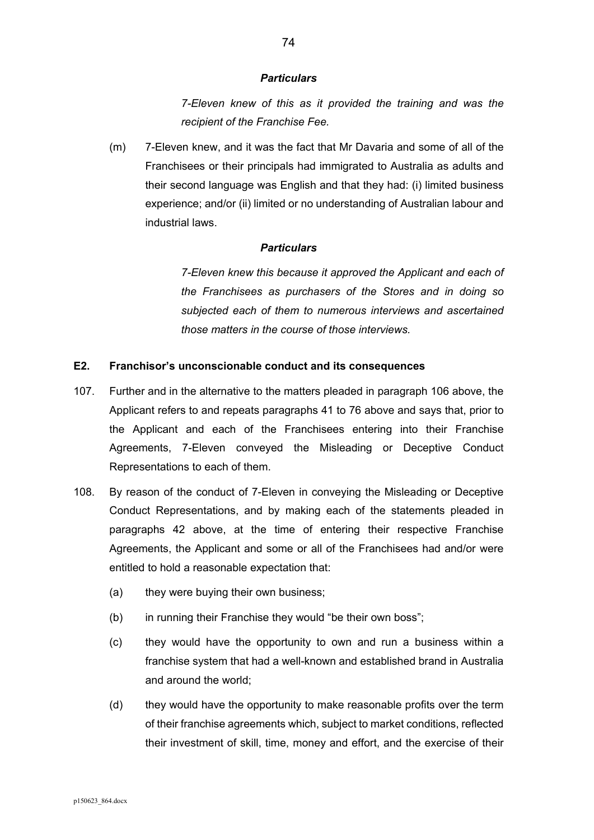*7-Eleven knew of this as it provided the training and was the recipient of the Franchise Fee.* 

(m) 7-Eleven knew, and it was the fact that Mr Davaria and some of all of the Franchisees or their principals had immigrated to Australia as adults and their second language was English and that they had: (i) limited business experience; and/or (ii) limited or no understanding of Australian labour and industrial laws.

### *Particulars*

*7-Eleven knew this because it approved the Applicant and each of the Franchisees as purchasers of the Stores and in doing so subjected each of them to numerous interviews and ascertained those matters in the course of those interviews.* 

## **E2. Franchisor's unconscionable conduct and its consequences**

- 107. Further and in the alternative to the matters pleaded in paragraph 106 above, the Applicant refers to and repeats paragraphs 41 to 76 above and says that, prior to the Applicant and each of the Franchisees entering into their Franchise Agreements, 7-Eleven conveyed the Misleading or Deceptive Conduct Representations to each of them.
- 108. By reason of the conduct of 7-Eleven in conveying the Misleading or Deceptive Conduct Representations, and by making each of the statements pleaded in paragraphs 42 above, at the time of entering their respective Franchise Agreements, the Applicant and some or all of the Franchisees had and/or were entitled to hold a reasonable expectation that:
	- (a) they were buying their own business;
	- (b) in running their Franchise they would "be their own boss":
	- (c) they would have the opportunity to own and run a business within a franchise system that had a well-known and established brand in Australia and around the world;
	- (d) they would have the opportunity to make reasonable profits over the term of their franchise agreements which, subject to market conditions, reflected their investment of skill, time, money and effort, and the exercise of their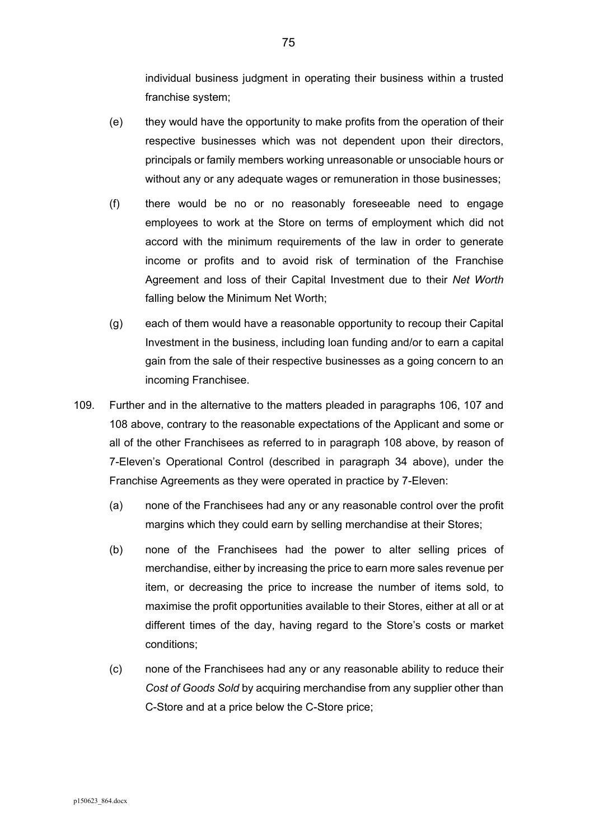individual business judgment in operating their business within a trusted franchise system;

- (e) they would have the opportunity to make profits from the operation of their respective businesses which was not dependent upon their directors, principals or family members working unreasonable or unsociable hours or without any or any adequate wages or remuneration in those businesses;
- (f) there would be no or no reasonably foreseeable need to engage employees to work at the Store on terms of employment which did not accord with the minimum requirements of the law in order to generate income or profits and to avoid risk of termination of the Franchise Agreement and loss of their Capital Investment due to their *Net Worth* falling below the Minimum Net Worth;
- (g) each of them would have a reasonable opportunity to recoup their Capital Investment in the business, including loan funding and/or to earn a capital gain from the sale of their respective businesses as a going concern to an incoming Franchisee.
- 109. Further and in the alternative to the matters pleaded in paragraphs 106, 107 and 108 above, contrary to the reasonable expectations of the Applicant and some or all of the other Franchisees as referred to in paragraph 108 above, by reason of 7-Eleven's Operational Control (described in paragraph 34 above), under the Franchise Agreements as they were operated in practice by 7-Eleven:
	- (a) none of the Franchisees had any or any reasonable control over the profit margins which they could earn by selling merchandise at their Stores;
	- (b) none of the Franchisees had the power to alter selling prices of merchandise, either by increasing the price to earn more sales revenue per item, or decreasing the price to increase the number of items sold, to maximise the profit opportunities available to their Stores, either at all or at different times of the day, having regard to the Store's costs or market conditions;
	- (c) none of the Franchisees had any or any reasonable ability to reduce their *Cost of Goods Sold* by acquiring merchandise from any supplier other than C-Store and at a price below the C-Store price;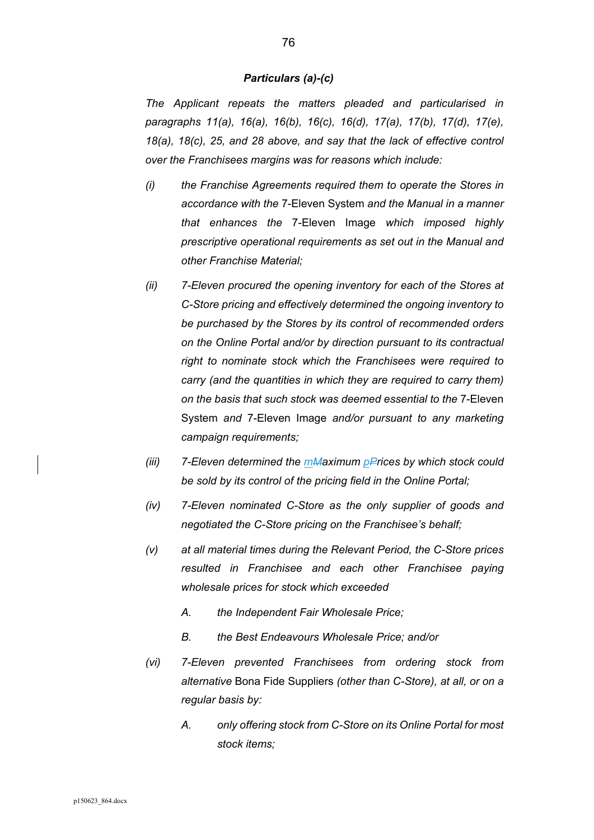#### *Particulars (a)-(c)*

*The Applicant repeats the matters pleaded and particularised in paragraphs 11(a), 16(a), 16(b), 16(c), 16(d), 17(a), 17(b), 17(d), 17(e), 18(a), 18(c), 25, and 28 above, and say that the lack of effective control over the Franchisees margins was for reasons which include:* 

- *(i) the Franchise Agreements required them to operate the Stores in accordance with the* 7-Eleven System *and the Manual in a manner that enhances the* 7-Eleven Image *which imposed highly prescriptive operational requirements as set out in the Manual and other Franchise Material;*
- *(ii) 7-Eleven procured the opening inventory for each of the Stores at C-Store pricing and effectively determined the ongoing inventory to be purchased by the Stores by its control of recommended orders on the Online Portal and/or by direction pursuant to its contractual right to nominate stock which the Franchisees were required to carry (and the quantities in which they are required to carry them) on the basis that such stock was deemed essential to the* 7-Eleven System *and* 7-Eleven Image *and/or pursuant to any marketing campaign requirements;*
- *(iii) 7-Eleven determined the mMaximum pPrices by which stock could be sold by its control of the pricing field in the Online Portal;*
- *(iv) 7-Eleven nominated C-Store as the only supplier of goods and negotiated the C-Store pricing on the Franchisee's behalf;*
- *(v) at all material times during the Relevant Period, the C-Store prices resulted in Franchisee and each other Franchisee paying wholesale prices for stock which exceeded* 
	- *A. the Independent Fair Wholesale Price;*
	- *B. the Best Endeavours Wholesale Price; and/or*
- *(vi) 7-Eleven prevented Franchisees from ordering stock from alternative* Bona Fide Suppliers *(other than C-Store), at all, or on a regular basis by:* 
	- *A. only offering stock from C-Store on its Online Portal for most stock items;*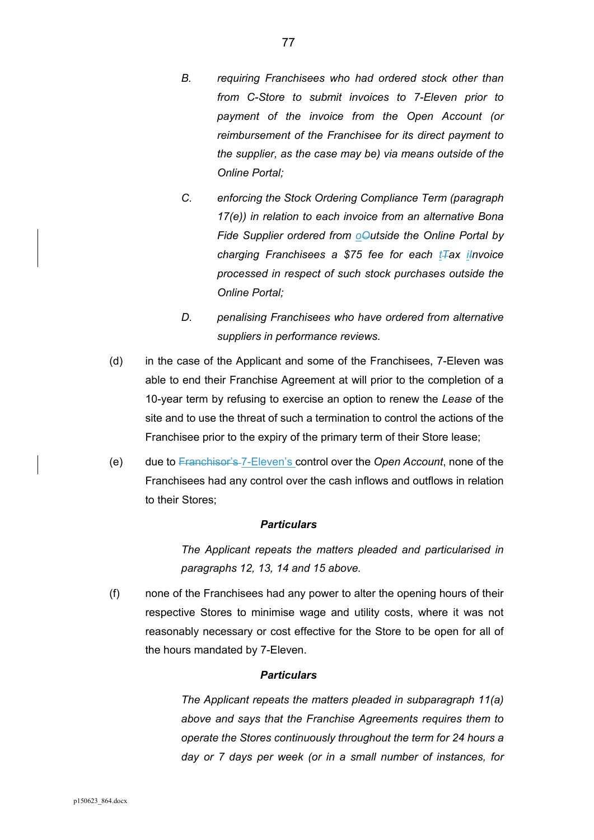- *B. requiring Franchisees who had ordered stock other than from C-Store to submit invoices to 7-Eleven prior to payment of the invoice from the Open Account (or reimbursement of the Franchisee for its direct payment to the supplier, as the case may be) via means outside of the Online Portal;*
- *C. enforcing the Stock Ordering Compliance Term (paragraph 17(e)) in relation to each invoice from an alternative Bona*  Fide Supplier ordered from *o*Udside the Online Portal by *charging Franchisees a \$75 fee for each tTax iInvoice processed in respect of such stock purchases outside the Online Portal;*
- *D. penalising Franchisees who have ordered from alternative suppliers in performance reviews.*
- (d) in the case of the Applicant and some of the Franchisees, 7-Eleven was able to end their Franchise Agreement at will prior to the completion of a 10-year term by refusing to exercise an option to renew the *Lease* of the site and to use the threat of such a termination to control the actions of the Franchisee prior to the expiry of the primary term of their Store lease;
- (e) due to Franchisor's 7-Eleven's control over the *Open Account*, none of the Franchisees had any control over the cash inflows and outflows in relation to their Stores;

*The Applicant repeats the matters pleaded and particularised in paragraphs 12, 13, 14 and 15 above.* 

(f) none of the Franchisees had any power to alter the opening hours of their respective Stores to minimise wage and utility costs, where it was not reasonably necessary or cost effective for the Store to be open for all of the hours mandated by 7-Eleven.

#### *Particulars*

*The Applicant repeats the matters pleaded in subparagraph 11(a) above and says that the Franchise Agreements requires them to operate the Stores continuously throughout the term for 24 hours a day or 7 days per week (or in a small number of instances, for*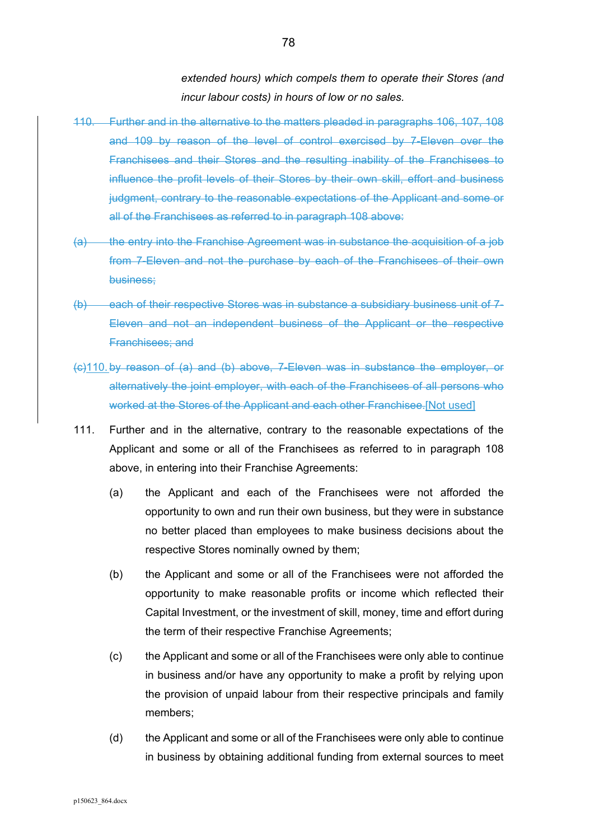*extended hours) which compels them to operate their Stores (and incur labour costs) in hours of low or no sales.* 

- 110. Further and in the alternative to the matters pleaded in paragraphs 106, 107, 108 and 109 by reason of the level of control exercised by 7-Eleven over the Franchisees and their Stores and the resulting inability of the Franchisees to influence the profit levels of their Stores by their own skill, effort and business judgment, contrary to the reasonable expectations of the Applicant and some or all of the Franchisees as referred to in paragraph 108 above:
- (a) the entry into the Franchise Agreement was in substance the acquisition of a job from 7-Eleven and not the purchase by each of the Franchisees of their own business;
- (b) each of their respective Stores was in substance a subsidiary business unit of 7- Eleven and not an independent business of the Applicant or the respective Franchisees; and
- (c)110. by reason of (a) and (b) above, 7-Eleven was in substance the employer, or alternatively the joint employer, with each of the Franchisees of all persons who worked at the Stores of the Applicant and each other Franchisee.[Not used]
- 111. Further and in the alternative, contrary to the reasonable expectations of the Applicant and some or all of the Franchisees as referred to in paragraph 108 above, in entering into their Franchise Agreements:
	- (a) the Applicant and each of the Franchisees were not afforded the opportunity to own and run their own business, but they were in substance no better placed than employees to make business decisions about the respective Stores nominally owned by them;
	- (b) the Applicant and some or all of the Franchisees were not afforded the opportunity to make reasonable profits or income which reflected their Capital Investment, or the investment of skill, money, time and effort during the term of their respective Franchise Agreements;
	- (c) the Applicant and some or all of the Franchisees were only able to continue in business and/or have any opportunity to make a profit by relying upon the provision of unpaid labour from their respective principals and family members;
	- (d) the Applicant and some or all of the Franchisees were only able to continue in business by obtaining additional funding from external sources to meet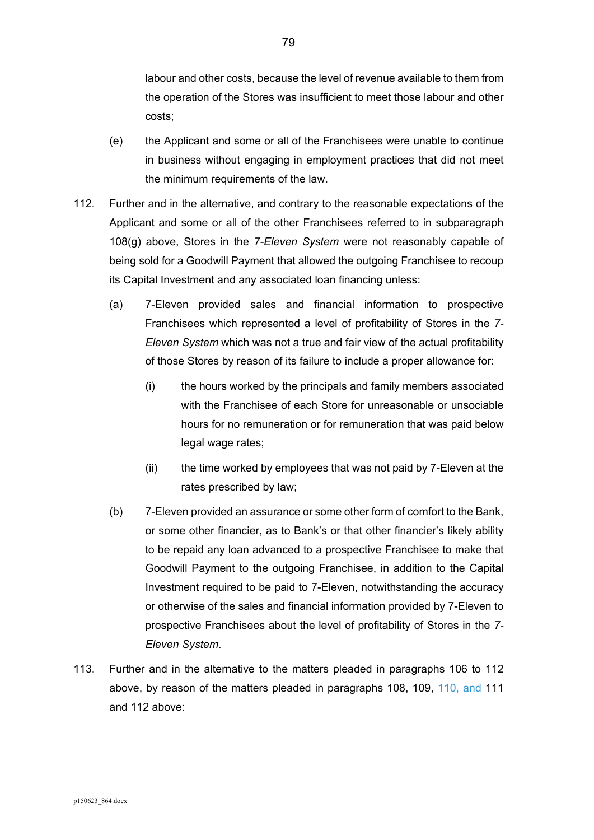labour and other costs, because the level of revenue available to them from the operation of the Stores was insufficient to meet those labour and other costs;

- (e) the Applicant and some or all of the Franchisees were unable to continue in business without engaging in employment practices that did not meet the minimum requirements of the law.
- 112. Further and in the alternative, and contrary to the reasonable expectations of the Applicant and some or all of the other Franchisees referred to in subparagraph 108(g) above, Stores in the *7-Eleven System* were not reasonably capable of being sold for a Goodwill Payment that allowed the outgoing Franchisee to recoup its Capital Investment and any associated loan financing unless:
	- (a) 7-Eleven provided sales and financial information to prospective Franchisees which represented a level of profitability of Stores in the *7- Eleven System* which was not a true and fair view of the actual profitability of those Stores by reason of its failure to include a proper allowance for:
		- (i) the hours worked by the principals and family members associated with the Franchisee of each Store for unreasonable or unsociable hours for no remuneration or for remuneration that was paid below legal wage rates;
		- (ii) the time worked by employees that was not paid by 7-Eleven at the rates prescribed by law;
	- (b) 7-Eleven provided an assurance or some other form of comfort to the Bank, or some other financier, as to Bank's or that other financier's likely ability to be repaid any loan advanced to a prospective Franchisee to make that Goodwill Payment to the outgoing Franchisee, in addition to the Capital Investment required to be paid to 7-Eleven, notwithstanding the accuracy or otherwise of the sales and financial information provided by 7-Eleven to prospective Franchisees about the level of profitability of Stores in the *7- Eleven System*.
- 113. Further and in the alternative to the matters pleaded in paragraphs 106 to 112 above, by reason of the matters pleaded in paragraphs 108, 109, 410, and 111 and 112 above: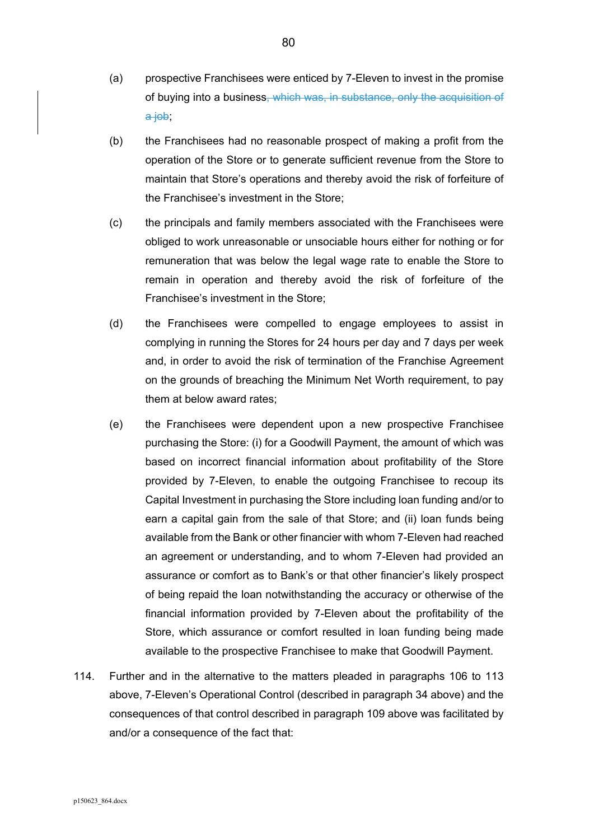- (a) prospective Franchisees were enticed by 7-Eleven to invest in the promise of buying into a business, which was, in substance, only the acquisition of a job;
- (b) the Franchisees had no reasonable prospect of making a profit from the operation of the Store or to generate sufficient revenue from the Store to maintain that Store's operations and thereby avoid the risk of forfeiture of the Franchisee's investment in the Store;
- (c) the principals and family members associated with the Franchisees were obliged to work unreasonable or unsociable hours either for nothing or for remuneration that was below the legal wage rate to enable the Store to remain in operation and thereby avoid the risk of forfeiture of the Franchisee's investment in the Store;
- (d) the Franchisees were compelled to engage employees to assist in complying in running the Stores for 24 hours per day and 7 days per week and, in order to avoid the risk of termination of the Franchise Agreement on the grounds of breaching the Minimum Net Worth requirement, to pay them at below award rates;
- (e) the Franchisees were dependent upon a new prospective Franchisee purchasing the Store: (i) for a Goodwill Payment, the amount of which was based on incorrect financial information about profitability of the Store provided by 7-Eleven, to enable the outgoing Franchisee to recoup its Capital Investment in purchasing the Store including loan funding and/or to earn a capital gain from the sale of that Store; and (ii) loan funds being available from the Bank or other financier with whom 7-Eleven had reached an agreement or understanding, and to whom 7-Eleven had provided an assurance or comfort as to Bank's or that other financier's likely prospect of being repaid the loan notwithstanding the accuracy or otherwise of the financial information provided by 7-Eleven about the profitability of the Store, which assurance or comfort resulted in loan funding being made available to the prospective Franchisee to make that Goodwill Payment.
- 114. Further and in the alternative to the matters pleaded in paragraphs 106 to 113 above, 7-Eleven's Operational Control (described in paragraph 34 above) and the consequences of that control described in paragraph 109 above was facilitated by and/or a consequence of the fact that: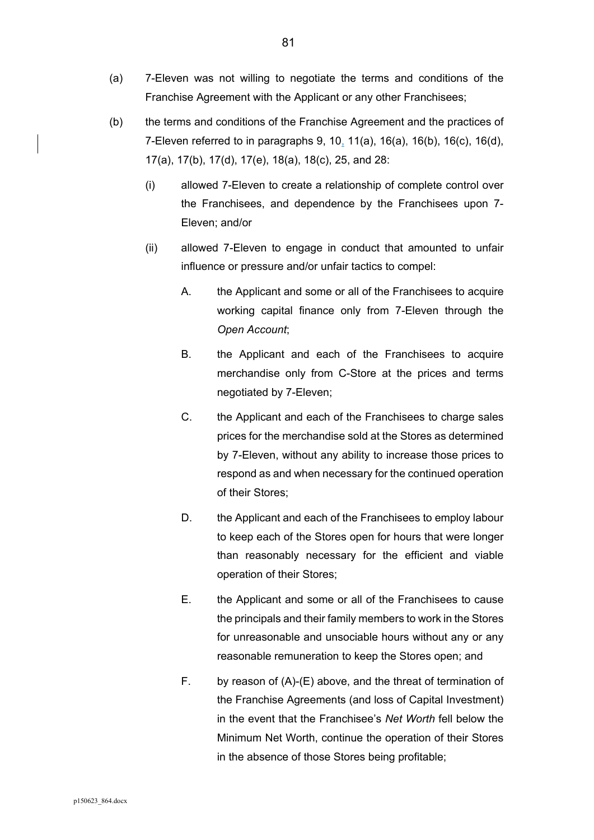- (a) 7-Eleven was not willing to negotiate the terms and conditions of the Franchise Agreement with the Applicant or any other Franchisees;
- (b) the terms and conditions of the Franchise Agreement and the practices of 7-Eleven referred to in paragraphs 9, 10, 11(a), 16(a), 16(b), 16(c), 16(d), 17(a), 17(b), 17(d), 17(e), 18(a), 18(c), 25, and 28:
	- (i) allowed 7-Eleven to create a relationship of complete control over the Franchisees, and dependence by the Franchisees upon 7- Eleven; and/or
	- (ii) allowed 7-Eleven to engage in conduct that amounted to unfair influence or pressure and/or unfair tactics to compel:
		- A. the Applicant and some or all of the Franchisees to acquire working capital finance only from 7-Eleven through the *Open Account*;
		- B. the Applicant and each of the Franchisees to acquire merchandise only from C-Store at the prices and terms negotiated by 7-Eleven;
		- C. the Applicant and each of the Franchisees to charge sales prices for the merchandise sold at the Stores as determined by 7-Eleven, without any ability to increase those prices to respond as and when necessary for the continued operation of their Stores;
		- D. the Applicant and each of the Franchisees to employ labour to keep each of the Stores open for hours that were longer than reasonably necessary for the efficient and viable operation of their Stores;
		- E. the Applicant and some or all of the Franchisees to cause the principals and their family members to work in the Stores for unreasonable and unsociable hours without any or any reasonable remuneration to keep the Stores open; and
		- F. by reason of (A)-(E) above, and the threat of termination of the Franchise Agreements (and loss of Capital Investment) in the event that the Franchisee's *Net Worth* fell below the Minimum Net Worth, continue the operation of their Stores in the absence of those Stores being profitable;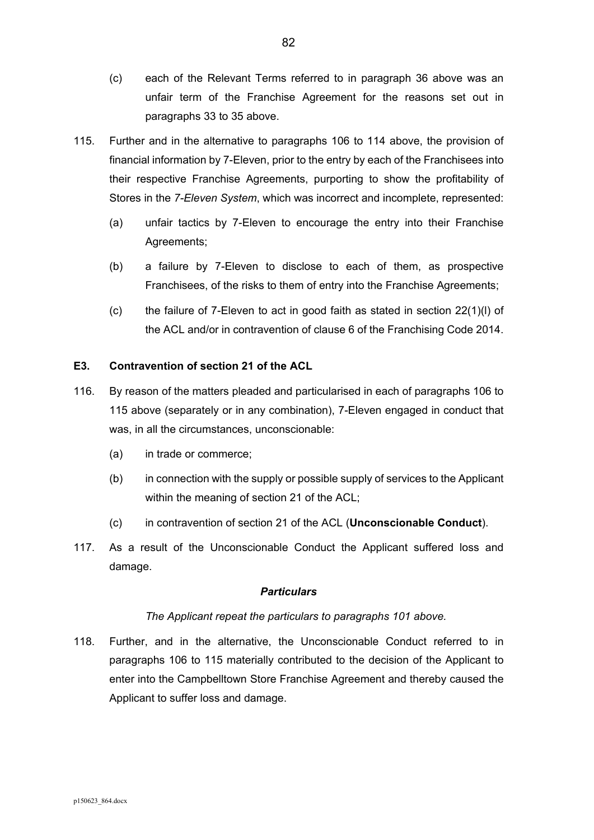- (c) each of the Relevant Terms referred to in paragraph 36 above was an unfair term of the Franchise Agreement for the reasons set out in paragraphs 33 to 35 above.
- 115. Further and in the alternative to paragraphs 106 to 114 above, the provision of financial information by 7-Eleven, prior to the entry by each of the Franchisees into their respective Franchise Agreements, purporting to show the profitability of Stores in the *7-Eleven System*, which was incorrect and incomplete, represented:
	- (a) unfair tactics by 7-Eleven to encourage the entry into their Franchise Agreements;
	- (b) a failure by 7-Eleven to disclose to each of them, as prospective Franchisees, of the risks to them of entry into the Franchise Agreements;
	- (c) the failure of 7-Eleven to act in good faith as stated in section 22(1)(l) of the ACL and/or in contravention of clause 6 of the Franchising Code 2014.

# **E3. Contravention of section 21 of the ACL**

- 116. By reason of the matters pleaded and particularised in each of paragraphs 106 to 115 above (separately or in any combination), 7-Eleven engaged in conduct that was, in all the circumstances, unconscionable:
	- (a) in trade or commerce;
	- (b) in connection with the supply or possible supply of services to the Applicant within the meaning of section 21 of the ACL;
	- (c) in contravention of section 21 of the ACL (**Unconscionable Conduct**).
- 117. As a result of the Unconscionable Conduct the Applicant suffered loss and damage.

## *Particulars*

## *The Applicant repeat the particulars to paragraphs 101 above.*

118. Further, and in the alternative, the Unconscionable Conduct referred to in paragraphs 106 to 115 materially contributed to the decision of the Applicant to enter into the Campbelltown Store Franchise Agreement and thereby caused the Applicant to suffer loss and damage.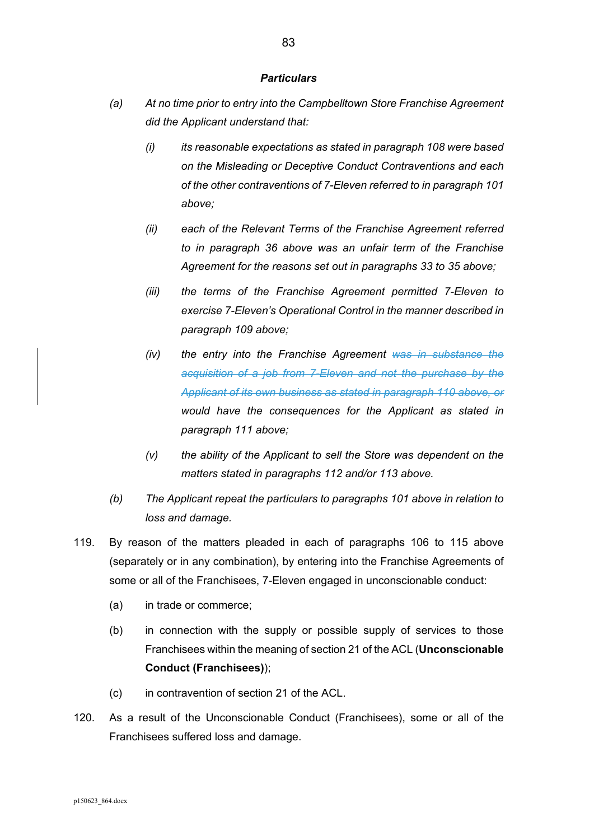- *(a) At no time prior to entry into the Campbelltown Store Franchise Agreement did the Applicant understand that:* 
	- *(i) its reasonable expectations as stated in paragraph 108 were based on the Misleading or Deceptive Conduct Contraventions and each of the other contraventions of 7-Eleven referred to in paragraph 101 above;*
	- *(ii) each of the Relevant Terms of the Franchise Agreement referred to in paragraph 36 above was an unfair term of the Franchise Agreement for the reasons set out in paragraphs 33 to 35 above;*
	- *(iii) the terms of the Franchise Agreement permitted 7-Eleven to exercise 7-Eleven's Operational Control in the manner described in paragraph 109 above;*
	- *(iv) the entry into the Franchise Agreement was in substance the acquisition of a job from 7-Eleven and not the purchase by the Applicant of its own business as stated in paragraph 110 above, or would have the consequences for the Applicant as stated in paragraph 111 above;*
	- *(v) the ability of the Applicant to sell the Store was dependent on the matters stated in paragraphs 112 and/or 113 above.*
- *(b) The Applicant repeat the particulars to paragraphs 101 above in relation to loss and damage.*
- 119. By reason of the matters pleaded in each of paragraphs 106 to 115 above (separately or in any combination), by entering into the Franchise Agreements of some or all of the Franchisees, 7-Eleven engaged in unconscionable conduct:
	- (a) in trade or commerce;
	- (b) in connection with the supply or possible supply of services to those Franchisees within the meaning of section 21 of the ACL (**Unconscionable Conduct (Franchisees)**);
	- (c) in contravention of section 21 of the ACL.
- 120. As a result of the Unconscionable Conduct (Franchisees), some or all of the Franchisees suffered loss and damage.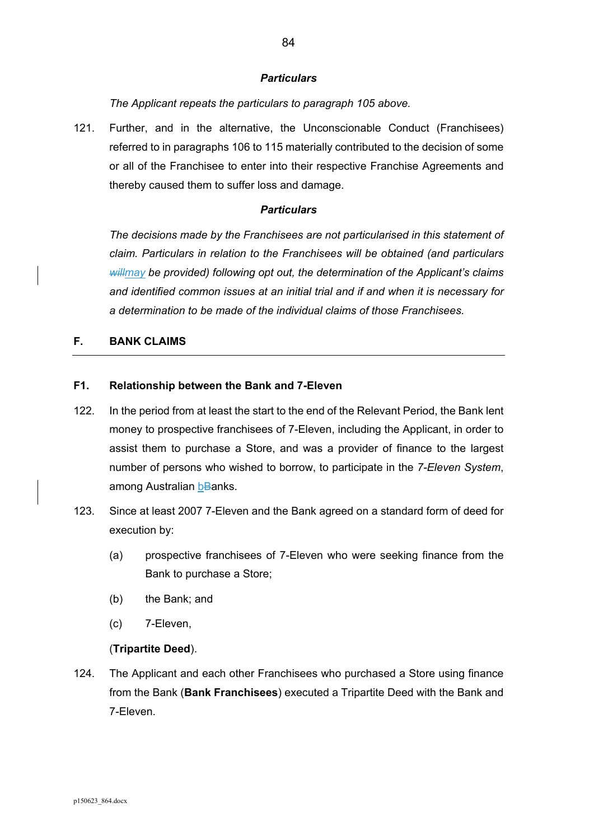*The Applicant repeats the particulars to paragraph 105 above.* 

121. Further, and in the alternative, the Unconscionable Conduct (Franchisees) referred to in paragraphs 106 to 115 materially contributed to the decision of some or all of the Franchisee to enter into their respective Franchise Agreements and thereby caused them to suffer loss and damage.

### *Particulars*

*The decisions made by the Franchisees are not particularised in this statement of claim. Particulars in relation to the Franchisees will be obtained (and particulars willmay be provided) following opt out, the determination of the Applicant's claims and identified common issues at an initial trial and if and when it is necessary for a determination to be made of the individual claims of those Franchisees.* 

### **F. BANK CLAIMS**

### **F1. Relationship between the Bank and 7-Eleven**

- 122. In the period from at least the start to the end of the Relevant Period, the Bank lent money to prospective franchisees of 7-Eleven, including the Applicant, in order to assist them to purchase a Store, and was a provider of finance to the largest number of persons who wished to borrow, to participate in the *7-Eleven System*, among Australian bBanks.
- 123. Since at least 2007 7-Eleven and the Bank agreed on a standard form of deed for execution by:
	- (a) prospective franchisees of 7-Eleven who were seeking finance from the Bank to purchase a Store;
	- (b) the Bank; and
	- (c) 7-Eleven,

## (**Tripartite Deed**).

124. The Applicant and each other Franchisees who purchased a Store using finance from the Bank (**Bank Franchisees**) executed a Tripartite Deed with the Bank and 7-Eleven.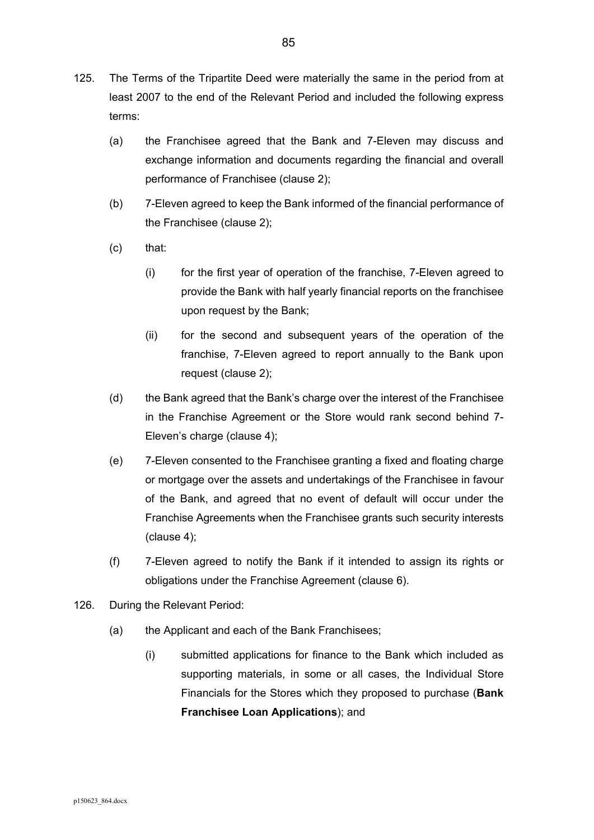- 125. The Terms of the Tripartite Deed were materially the same in the period from at least 2007 to the end of the Relevant Period and included the following express terms:
	- (a) the Franchisee agreed that the Bank and 7-Eleven may discuss and exchange information and documents regarding the financial and overall performance of Franchisee (clause 2);
	- (b) 7-Eleven agreed to keep the Bank informed of the financial performance of the Franchisee (clause 2);
	- (c) that:
		- (i) for the first year of operation of the franchise, 7-Eleven agreed to provide the Bank with half yearly financial reports on the franchisee upon request by the Bank;
		- (ii) for the second and subsequent years of the operation of the franchise, 7-Eleven agreed to report annually to the Bank upon request (clause 2);
	- (d) the Bank agreed that the Bank's charge over the interest of the Franchisee in the Franchise Agreement or the Store would rank second behind 7- Eleven's charge (clause 4);
	- (e) 7-Eleven consented to the Franchisee granting a fixed and floating charge or mortgage over the assets and undertakings of the Franchisee in favour of the Bank, and agreed that no event of default will occur under the Franchise Agreements when the Franchisee grants such security interests (clause 4);
	- (f) 7-Eleven agreed to notify the Bank if it intended to assign its rights or obligations under the Franchise Agreement (clause 6).
- 126. During the Relevant Period:
	- (a) the Applicant and each of the Bank Franchisees;
		- (i) submitted applications for finance to the Bank which included as supporting materials, in some or all cases, the Individual Store Financials for the Stores which they proposed to purchase (**Bank Franchisee Loan Applications**); and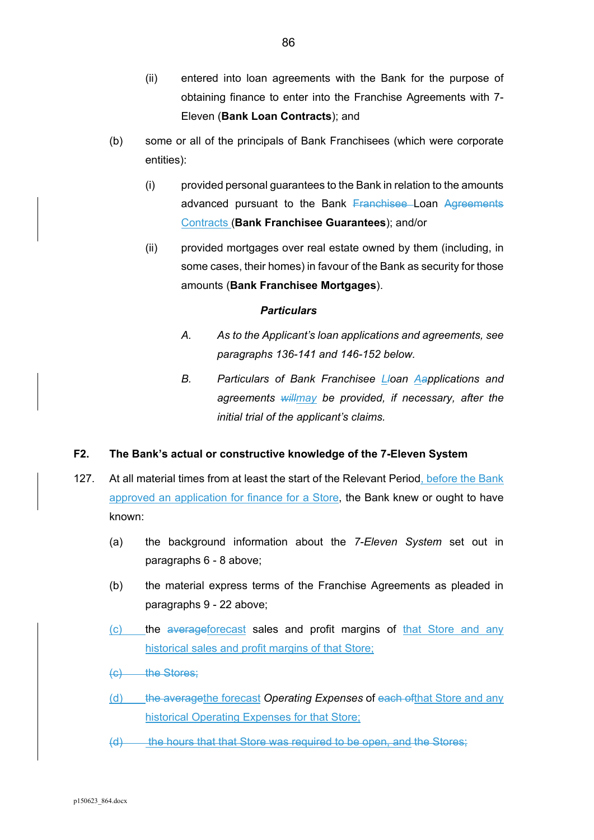- (ii) entered into loan agreements with the Bank for the purpose of obtaining finance to enter into the Franchise Agreements with 7- Eleven (**Bank Loan Contracts**); and
- (b) some or all of the principals of Bank Franchisees (which were corporate entities):
	- (i) provided personal guarantees to the Bank in relation to the amounts advanced pursuant to the Bank Franchisee Loan Agreements Contracts (**Bank Franchisee Guarantees**); and/or
	- (ii) provided mortgages over real estate owned by them (including, in some cases, their homes) in favour of the Bank as security for those amounts (**Bank Franchisee Mortgages**).

- *A. As to the Applicant's loan applications and agreements, see paragraphs 136-141 and 146-152 below.*
- *B. Particulars of Bank Franchisee Lloan Aapplications and agreements willmay be provided, if necessary, after the initial trial of the applicant's claims.*

# **F2. The Bank's actual or constructive knowledge of the 7-Eleven System**

- 127. At all material times from at least the start of the Relevant Period, before the Bank approved an application for finance for a Store, the Bank knew or ought to have known:
	- (a) the background information about the *7-Eleven System* set out in paragraphs 6 - 8 above;
	- (b) the material express terms of the Franchise Agreements as pleaded in paragraphs 9 - 22 above;
	- (c) the averageforecast sales and profit margins of that Store and any historical sales and profit margins of that Store;
	- (c) the Stores;
	- (d) the averagethe forecast *Operating Expenses* of each ofthat Store and any historical Operating Expenses for that Store;
	- (d) the hours that that Store was required to be open, and the Stores;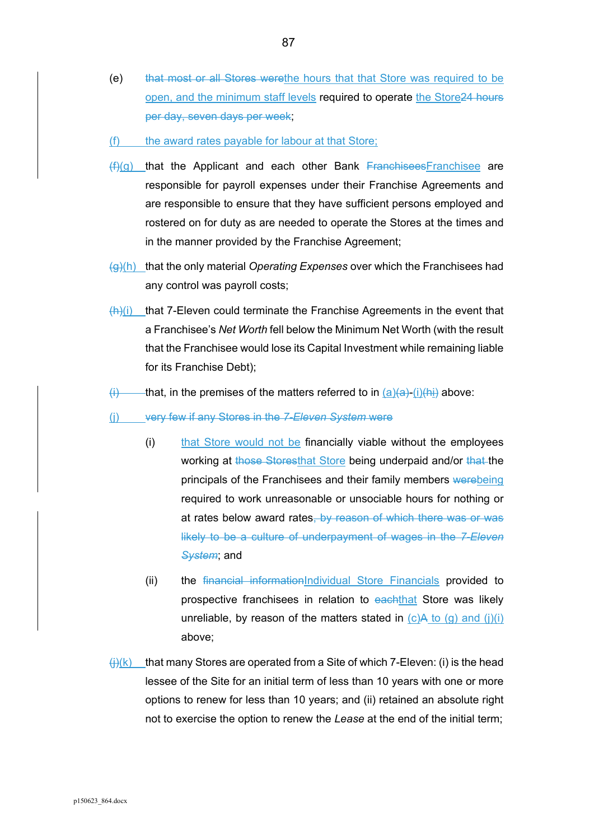- (e) that most or all Stores werethe hours that that Store was required to be open, and the minimum staff levels required to operate the Store24 hours per day, seven days per week;
- (f) the award rates payable for labour at that Store;
- $(f)(g)$  that the Applicant and each other Bank Franchisees Franchisee are responsible for payroll expenses under their Franchise Agreements and are responsible to ensure that they have sufficient persons employed and rostered on for duty as are needed to operate the Stores at the times and in the manner provided by the Franchise Agreement;
- (g)(h) that the only material *Operating Expenses* over which the Franchisees had any control was payroll costs;
- $\frac{f(h)}{i}$  that 7-Eleven could terminate the Franchise Agreements in the event that a Franchisee's *Net Worth* fell below the Minimum Net Worth (with the result that the Franchisee would lose its Capital Investment while remaining liable for its Franchise Debt);
- $\overline{f}$  that, in the premises of the matters referred to in  $\overline{a}$ ) $\overline{f}$  (i) $\overline{f}$  above:
- (j) very few if any Stores in the *7-Eleven System* were
	- (i) that Store would not be financially viable without the employees working at those Storesthat Store being underpaid and/or that the principals of the Franchisees and their family members werebeing required to work unreasonable or unsociable hours for nothing or at rates below award rates, by reason of which there was or was likely to be a culture of underpayment of wages in the *7-Eleven System*; and
	- (ii) the financial informationIndividual Store Financials provided to prospective franchisees in relation to eachthat Store was likely unreliable, by reason of the matters stated in  $(c)A$  to  $(q)$  and  $(i)(i)$ above;
- $\frac{\pi}{\sqrt{N}}$  that many Stores are operated from a Site of which 7-Eleven: (i) is the head lessee of the Site for an initial term of less than 10 years with one or more options to renew for less than 10 years; and (ii) retained an absolute right not to exercise the option to renew the *Lease* at the end of the initial term;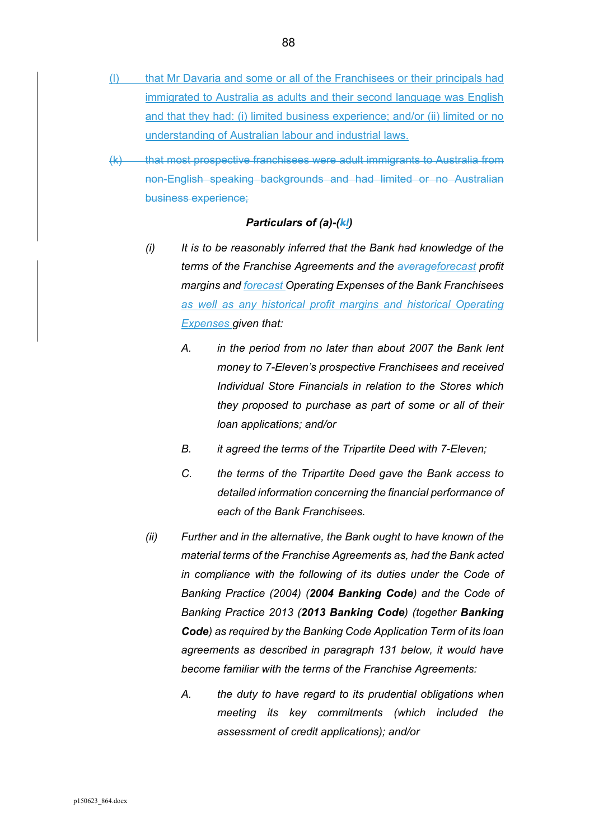- (l) that Mr Davaria and some or all of the Franchisees or their principals had immigrated to Australia as adults and their second language was English and that they had: (i) limited business experience; and/or (ii) limited or no understanding of Australian labour and industrial laws.
- (k) that most prospective franchisees were adult immigrants to Australia from non-English speaking backgrounds and had limited or no Australian business experience;

### *Particulars of (a)-(kl)*

- *(i) It is to be reasonably inferred that the Bank had knowledge of the terms of the Franchise Agreements and the averageforecast profit margins and forecast Operating Expenses of the Bank Franchisees*  as well as any historical profit margins and historical Operating *Expenses given that:* 
	- *A. in the period from no later than about 2007 the Bank lent money to 7-Eleven's prospective Franchisees and received Individual Store Financials in relation to the Stores which they proposed to purchase as part of some or all of their loan applications; and/or*
	- *B. it agreed the terms of the Tripartite Deed with 7-Eleven;*
	- *C. the terms of the Tripartite Deed gave the Bank access to detailed information concerning the financial performance of each of the Bank Franchisees.*
- *(ii) Further and in the alternative, the Bank ought to have known of the material terms of the Franchise Agreements as, had the Bank acted in compliance with the following of its duties under the Code of Banking Practice (2004) (2004 Banking Code) and the Code of Banking Practice 2013 (2013 Banking Code) (together Banking Code) as required by the Banking Code Application Term of its loan agreements as described in paragraph 131 below, it would have become familiar with the terms of the Franchise Agreements:* 
	- *A. the duty to have regard to its prudential obligations when meeting its key commitments (which included the assessment of credit applications); and/or*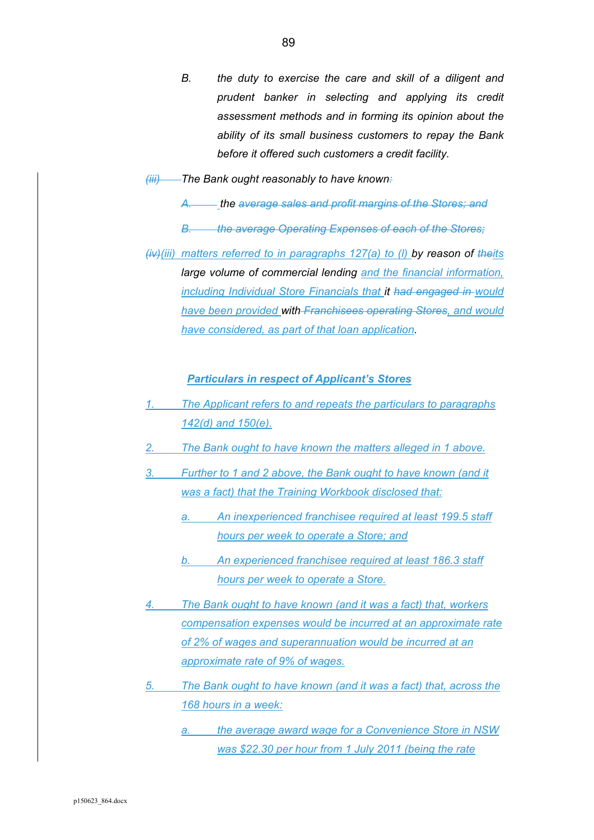- *B. the duty to exercise the care and skill of a diligent and prudent banker in selecting and applying its credit assessment methods and in forming its opinion about the ability of its small business customers to repay the Bank before it offered such customers a credit facility.*
- *(iii) The Bank ought reasonably to have known:* 
	- *A. the average sales and profit margins of the Stores; and*
	- *B. the average Operating Expenses of each of the Stores;*
- *(iv)(iii) matters referred to in paragraphs 127(a) to (l) by reason of theits large volume of commercial lending and the financial information, including Individual Store Financials that it had engaged in would have been provided with Franchisees operating Stores, and would have considered, as part of that loan application.*

*Particulars in respect of Applicant's Stores* 

- *1. The Applicant refers to and repeats the particulars to paragraphs 142(d) and 150(e).*
- *2. The Bank ought to have known the matters alleged in 1 above.*
- *3. Further to 1 and 2 above, the Bank ought to have known (and it was a fact) that the Training Workbook disclosed that:* 
	- *a. An inexperienced franchisee required at least 199.5 staff hours per week to operate a Store; and*
	- *b. An experienced franchisee required at least 186.3 staff hours per week to operate a Store.*
- *4. The Bank ought to have known (and it was a fact) that, workers compensation expenses would be incurred at an approximate rate of 2% of wages and superannuation would be incurred at an approximate rate of 9% of wages.*
- *5. The Bank ought to have known (and it was a fact) that, across the 168 hours in a week:* 
	- *the average award wage for a Convenience Store in NSW was \$22.30 per hour from 1 July 2011 (being the rate*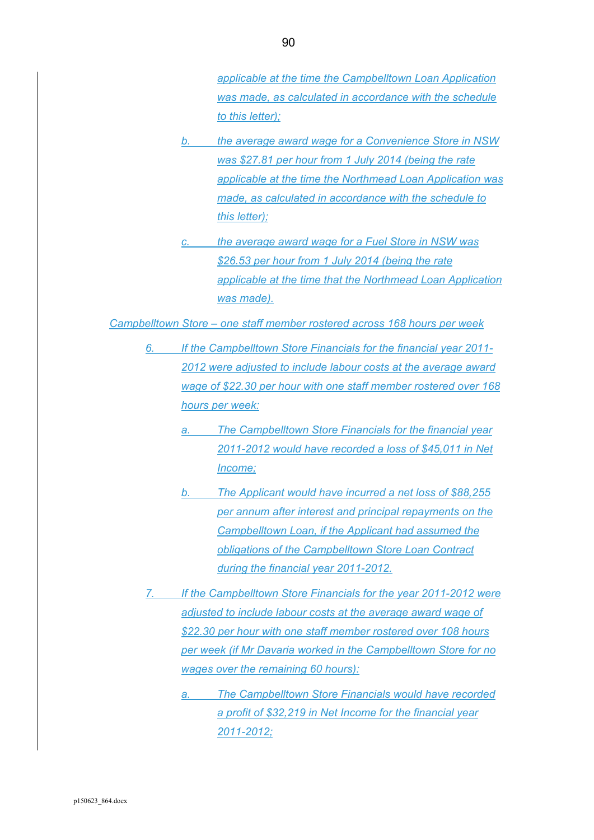*applicable at the time the Campbelltown Loan Application was made, as calculated in accordance with the schedule to this letter);* 

- *b. the average award wage for a Convenience Store in NSW was \$27.81 per hour from 1 July 2014 (being the rate applicable at the time the Northmead Loan Application was made, as calculated in accordance with the schedule to this letter);*
- *c. the average award wage for a Fuel Store in NSW was \$26.53 per hour from 1 July 2014 (being the rate applicable at the time that the Northmead Loan Application was made).*

*Campbelltown Store – one staff member rostered across 168 hours per week* 

- *6. If the Campbelltown Store Financials for the financial year 2011- 2012 were adjusted to include labour costs at the average award wage of \$22.30 per hour with one staff member rostered over 168 hours per week:* 
	- *a. The Campbelltown Store Financials for the financial year 2011-2012 would have recorded a loss of \$45,011 in Net Income;*
	- *b. The Applicant would have incurred a net loss of \$88,255 per annum after interest and principal repayments on the Campbelltown Loan, if the Applicant had assumed the obligations of the Campbelltown Store Loan Contract during the financial year 2011-2012.*
- *7. If the Campbelltown Store Financials for the year 2011-2012 were adjusted to include labour costs at the average award wage of \$22.30 per hour with one staff member rostered over 108 hours per week (if Mr Davaria worked in the Campbelltown Store for no wages over the remaining 60 hours):* 
	- *a. The Campbelltown Store Financials would have recorded a profit of \$32,219 in Net Income for the financial year 2011-2012;*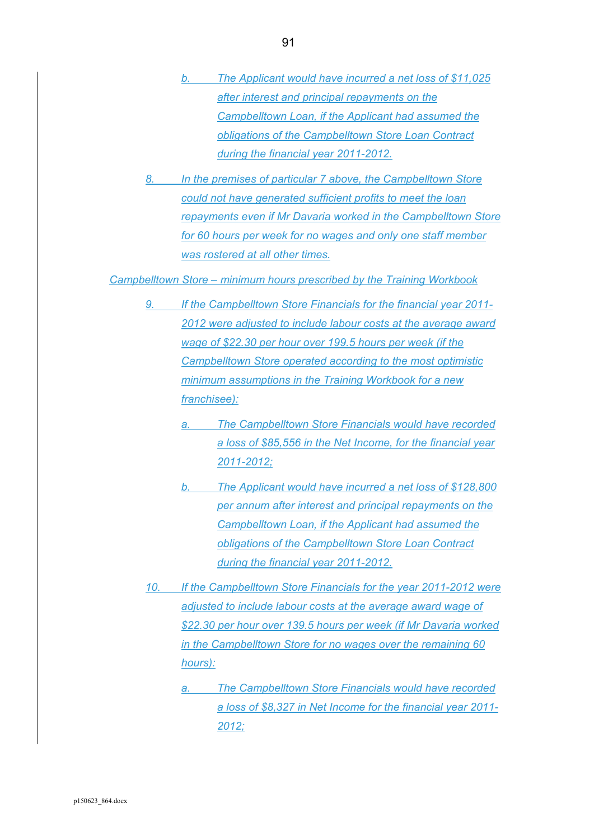- *b. The Applicant would have incurred a net loss of \$11,025 after interest and principal repayments on the Campbelltown Loan, if the Applicant had assumed the obligations of the Campbelltown Store Loan Contract during the financial year 2011-2012.*
- *8. In the premises of particular 7 above, the Campbelltown Store could not have generated sufficient profits to meet the loan repayments even if Mr Davaria worked in the Campbelltown Store for 60 hours per week for no wages and only one staff member was rostered at all other times.*

*Campbelltown Store – minimum hours prescribed by the Training Workbook* 

- *9. If the Campbelltown Store Financials for the financial year 2011- 2012 were adjusted to include labour costs at the average award wage of \$22.30 per hour over 199.5 hours per week (if the Campbelltown Store operated according to the most optimistic minimum assumptions in the Training Workbook for a new franchisee):* 
	- *a. The Campbelltown Store Financials would have recorded a loss of \$85,556 in the Net Income, for the financial year 2011-2012;*
	- *b. The Applicant would have incurred a net loss of \$128,800 per annum after interest and principal repayments on the Campbelltown Loan, if the Applicant had assumed the obligations of the Campbelltown Store Loan Contract during the financial year 2011-2012.*
- *10. If the Campbelltown Store Financials for the year 2011-2012 were adjusted to include labour costs at the average award wage of \$22.30 per hour over 139.5 hours per week (if Mr Davaria worked in the Campbelltown Store for no wages over the remaining 60 hours):* 
	- *a. The Campbelltown Store Financials would have recorded a loss of \$8,327 in Net Income for the financial year 2011- 2012;*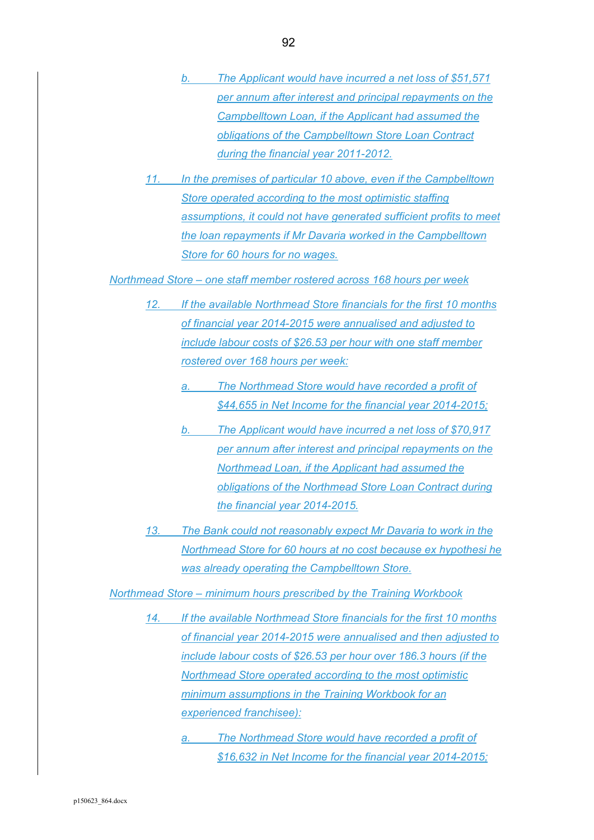- *b. The Applicant would have incurred a net loss of \$51,571 per annum after interest and principal repayments on the Campbelltown Loan, if the Applicant had assumed the obligations of the Campbelltown Store Loan Contract during the financial year 2011-2012.*
- *11. In the premises of particular 10 above, even if the Campbelltown Store operated according to the most optimistic staffing assumptions, it could not have generated sufficient profits to meet the loan repayments if Mr Davaria worked in the Campbelltown Store for 60 hours for no wages.*

*Northmead Store – one staff member rostered across 168 hours per week* 

- *12. If the available Northmead Store financials for the first 10 months of financial year 2014-2015 were annualised and adjusted to include labour costs of \$26.53 per hour with one staff member rostered over 168 hours per week:* 
	- *a. The Northmead Store would have recorded a profit of \$44,655 in Net Income for the financial year 2014-2015;*
	- *b. The Applicant would have incurred a net loss of \$70,917 per annum after interest and principal repayments on the Northmead Loan, if the Applicant had assumed the obligations of the Northmead Store Loan Contract during the financial year 2014-2015.*
- *13. The Bank could not reasonably expect Mr Davaria to work in the Northmead Store for 60 hours at no cost because ex hypothesi he was already operating the Campbelltown Store.*

*Northmead Store – minimum hours prescribed by the Training Workbook* 

- *14. If the available Northmead Store financials for the first 10 months of financial year 2014-2015 were annualised and then adjusted to include labour costs of \$26.53 per hour over 186.3 hours (if the Northmead Store operated according to the most optimistic minimum assumptions in the Training Workbook for an experienced franchisee):* 
	- *a. The Northmead Store would have recorded a profit of \$16,632 in Net Income for the financial year 2014-2015;*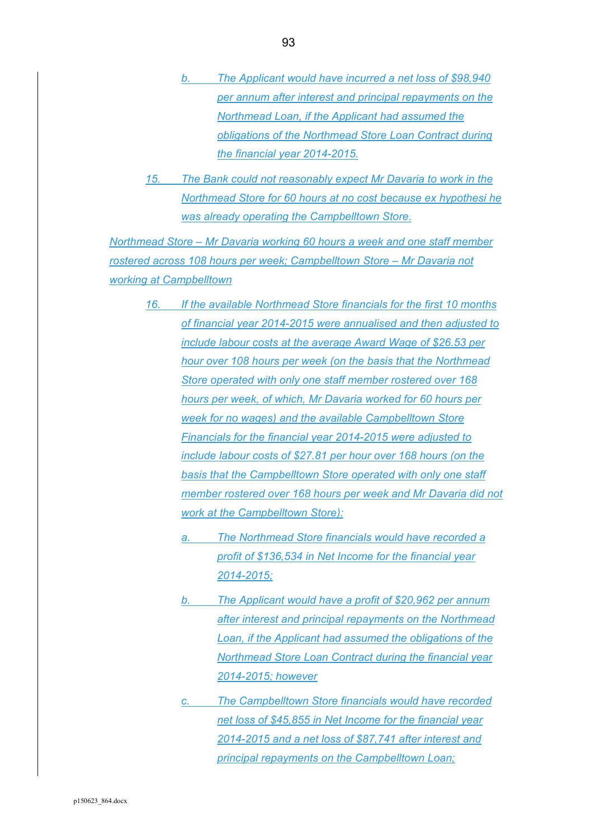- *b. The Applicant would have incurred a net loss of \$98,940 per annum after interest and principal repayments on the Northmead Loan, if the Applicant had assumed the obligations of the Northmead Store Loan Contract during the financial year 2014-2015.*
- *15. The Bank could not reasonably expect Mr Davaria to work in the Northmead Store for 60 hours at no cost because ex hypothesi he was already operating the Campbelltown Store.*

*Northmead Store – Mr Davaria working 60 hours a week and one staff member rostered across 108 hours per week; Campbelltown Store – Mr Davaria not working at Campbelltown* 

- *16. If the available Northmead Store financials for the first 10 months of financial year 2014-2015 were annualised and then adjusted to include labour costs at the average Award Wage of \$26.53 per hour over 108 hours per week (on the basis that the Northmead Store operated with only one staff member rostered over 168 hours per week, of which, Mr Davaria worked for 60 hours per week for no wages) and the available Campbelltown Store Financials for the financial year 2014-2015 were adjusted to include labour costs of \$27.81 per hour over 168 hours (on the basis that the Campbelltown Store operated with only one staff member rostered over 168 hours per week and Mr Davaria did not work at the Campbelltown Store):* 
	- *a. The Northmead Store financials would have recorded a profit of \$136,534 in Net Income for the financial year 2014-2015;*
	- *b. The Applicant would have a profit of \$20,962 per annum after interest and principal repayments on the Northmead Loan, if the Applicant had assumed the obligations of the Northmead Store Loan Contract during the financial year 2014-2015; however*
	- **The Campbelltown Store financials would have recorded** *net loss of \$45,855 in Net Income for the financial year 2014-2015 and a net loss of \$87,741 after interest and principal repayments on the Campbelltown Loan;*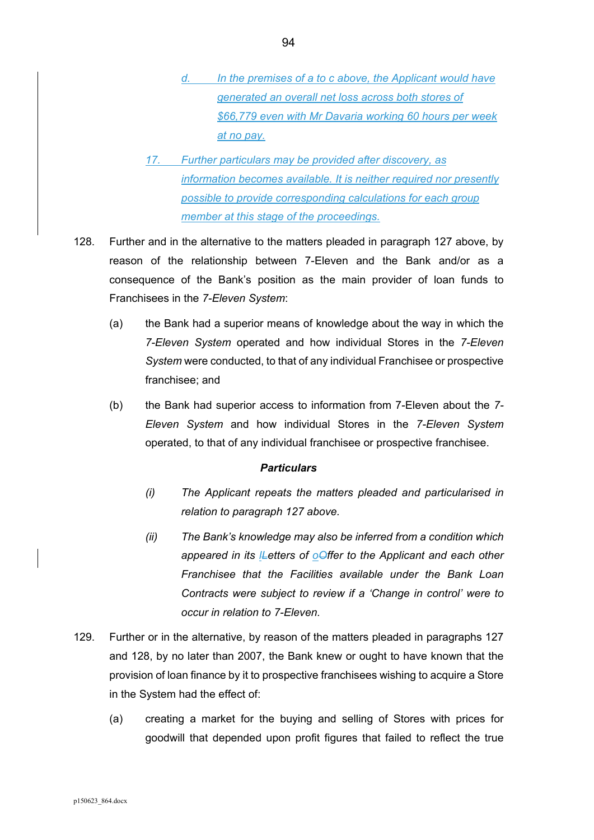- *d. In the premises of a to c above, the Applicant would have generated an overall net loss across both stores of \$66,779 even with Mr Davaria working 60 hours per week at no pay.*
- *17. Further particulars may be provided after discovery, as information becomes available. It is neither required nor presently possible to provide corresponding calculations for each group member at this stage of the proceedings.*
- 128. Further and in the alternative to the matters pleaded in paragraph 127 above, by reason of the relationship between 7-Eleven and the Bank and/or as a consequence of the Bank's position as the main provider of loan funds to Franchisees in the *7-Eleven System*:
	- (a) the Bank had a superior means of knowledge about the way in which the *7-Eleven System* operated and how individual Stores in the *7-Eleven System* were conducted, to that of any individual Franchisee or prospective franchisee; and
	- (b) the Bank had superior access to information from 7-Eleven about the *7- Eleven System* and how individual Stores in the *7-Eleven System* operated, to that of any individual franchisee or prospective franchisee.

- *(i) The Applicant repeats the matters pleaded and particularised in relation to paragraph 127 above.*
- *(ii) The Bank's knowledge may also be inferred from a condition which appeared in its lLetters of oOffer to the Applicant and each other Franchisee that the Facilities available under the Bank Loan Contracts were subject to review if a 'Change in control' were to occur in relation to 7-Eleven.*
- 129. Further or in the alternative, by reason of the matters pleaded in paragraphs 127 and 128, by no later than 2007, the Bank knew or ought to have known that the provision of loan finance by it to prospective franchisees wishing to acquire a Store in the System had the effect of:
	- (a) creating a market for the buying and selling of Stores with prices for goodwill that depended upon profit figures that failed to reflect the true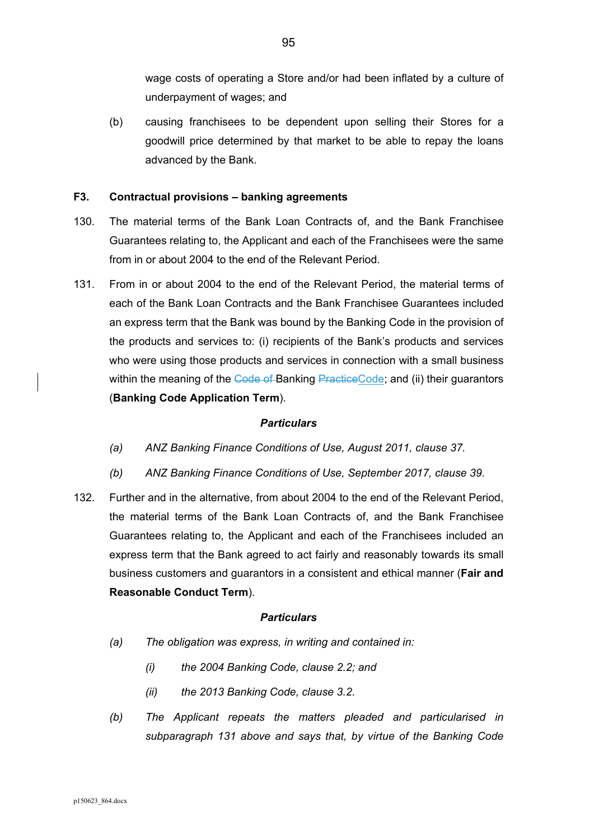wage costs of operating a Store and/or had been inflated by a culture of underpayment of wages; and

(b) causing franchisees to be dependent upon selling their Stores for a goodwill price determined by that market to be able to repay the loans advanced by the Bank.

### **F3. Contractual provisions – banking agreements**

- 130. The material terms of the Bank Loan Contracts of, and the Bank Franchisee Guarantees relating to, the Applicant and each of the Franchisees were the same from in or about 2004 to the end of the Relevant Period.
- 131. From in or about 2004 to the end of the Relevant Period, the material terms of each of the Bank Loan Contracts and the Bank Franchisee Guarantees included an express term that the Bank was bound by the Banking Code in the provision of the products and services to: (i) recipients of the Bank's products and services who were using those products and services in connection with a small business within the meaning of the Code of Banking PracticeCode; and (ii) their quarantors (**Banking Code Application Term**).

#### *Particulars*

- *(a) ANZ Banking Finance Conditions of Use, August 2011, clause 37.*
- *(b) ANZ Banking Finance Conditions of Use, September 2017, clause 39.*
- 132. Further and in the alternative, from about 2004 to the end of the Relevant Period, the material terms of the Bank Loan Contracts of, and the Bank Franchisee Guarantees relating to, the Applicant and each of the Franchisees included an express term that the Bank agreed to act fairly and reasonably towards its small business customers and guarantors in a consistent and ethical manner (**Fair and Reasonable Conduct Term**).

- *(a) The obligation was express, in writing and contained in:* 
	- *(i) the 2004 Banking Code, clause 2.2; and*
	- *(ii) the 2013 Banking Code, clause 3.2.*
- *(b) The Applicant repeats the matters pleaded and particularised in subparagraph 131 above and says that, by virtue of the Banking Code*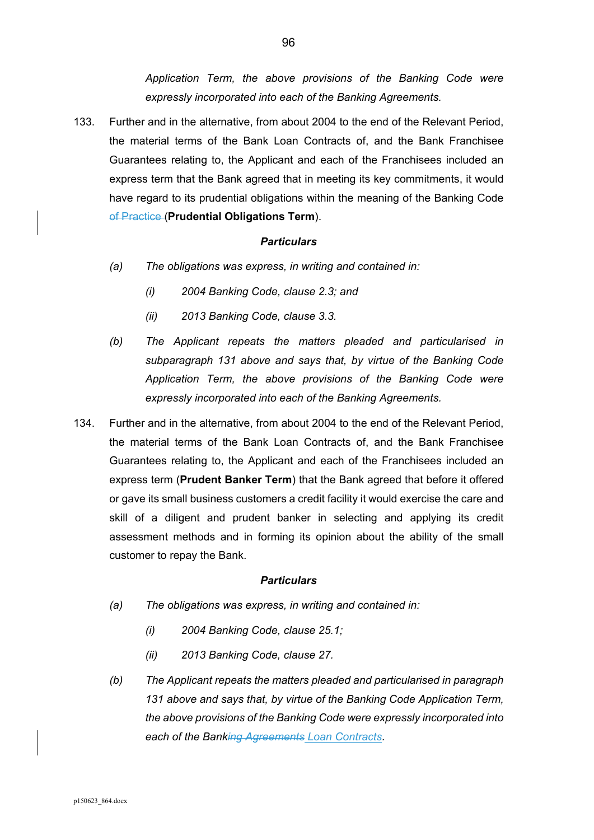*Application Term, the above provisions of the Banking Code were expressly incorporated into each of the Banking Agreements.* 

133. Further and in the alternative, from about 2004 to the end of the Relevant Period, the material terms of the Bank Loan Contracts of, and the Bank Franchisee Guarantees relating to, the Applicant and each of the Franchisees included an express term that the Bank agreed that in meeting its key commitments, it would have regard to its prudential obligations within the meaning of the Banking Code of Practice (**Prudential Obligations Term**).

#### *Particulars*

- *(a) The obligations was express, in writing and contained in:* 
	- *(i) 2004 Banking Code, clause 2.3; and*
	- *(ii) 2013 Banking Code, clause 3.3.*
- *(b) The Applicant repeats the matters pleaded and particularised in subparagraph 131 above and says that, by virtue of the Banking Code Application Term, the above provisions of the Banking Code were expressly incorporated into each of the Banking Agreements.*
- 134. Further and in the alternative, from about 2004 to the end of the Relevant Period, the material terms of the Bank Loan Contracts of, and the Bank Franchisee Guarantees relating to, the Applicant and each of the Franchisees included an express term (**Prudent Banker Term**) that the Bank agreed that before it offered or gave its small business customers a credit facility it would exercise the care and skill of a diligent and prudent banker in selecting and applying its credit assessment methods and in forming its opinion about the ability of the small customer to repay the Bank.

- *(a) The obligations was express, in writing and contained in:* 
	- *(i) 2004 Banking Code, clause 25.1;*
	- *(ii) 2013 Banking Code, clause 27.*
- *(b) The Applicant repeats the matters pleaded and particularised in paragraph 131 above and says that, by virtue of the Banking Code Application Term, the above provisions of the Banking Code were expressly incorporated into each of the Banking Agreements Loan Contracts.*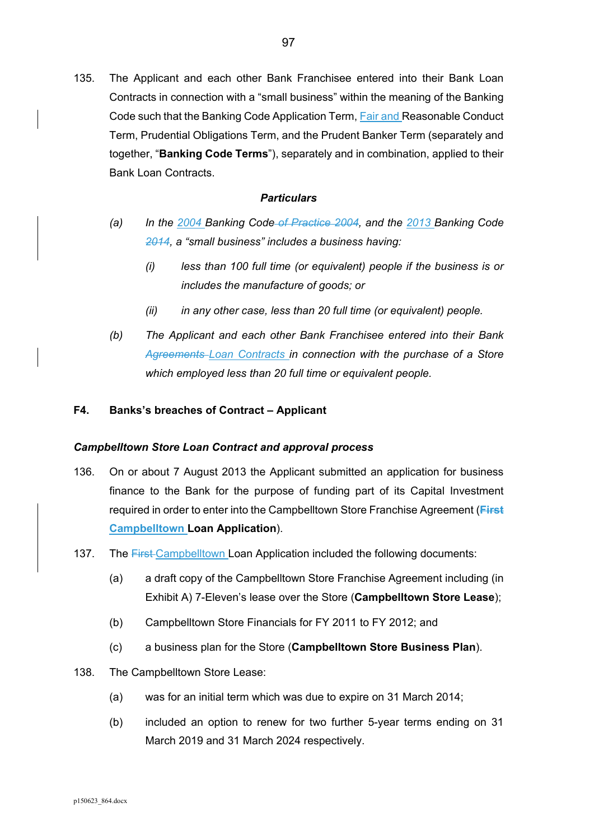135. The Applicant and each other Bank Franchisee entered into their Bank Loan Contracts in connection with a "small business" within the meaning of the Banking Code such that the Banking Code Application Term, Fair and Reasonable Conduct Term, Prudential Obligations Term, and the Prudent Banker Term (separately and together, "**Banking Code Terms**"), separately and in combination, applied to their Bank Loan Contracts.

#### *Particulars*

- *(a) In the 2004 Banking Code of Practice 2004, and the 2013 Banking Code 2014, a "small business" includes a business having:* 
	- *(i) less than 100 full time (or equivalent) people if the business is or includes the manufacture of goods; or*
	- *(ii) in any other case, less than 20 full time (or equivalent) people.*
- *(b) The Applicant and each other Bank Franchisee entered into their Bank Agreements Loan Contracts in connection with the purchase of a Store which employed less than 20 full time or equivalent people.*

## **F4. Banks's breaches of Contract – Applicant**

#### *Campbelltown Store Loan Contract and approval process*

- 136. On or about 7 August 2013 the Applicant submitted an application for business finance to the Bank for the purpose of funding part of its Capital Investment required in order to enter into the Campbelltown Store Franchise Agreement (**First Campbelltown Loan Application**).
- 137. The First Campbelltown Loan Application included the following documents:
	- (a) a draft copy of the Campbelltown Store Franchise Agreement including (in Exhibit A) 7-Eleven's lease over the Store (**Campbelltown Store Lease**);
	- (b) Campbelltown Store Financials for FY 2011 to FY 2012; and
	- (c) a business plan for the Store (**Campbelltown Store Business Plan**).
- 138. The Campbelltown Store Lease:
	- (a) was for an initial term which was due to expire on 31 March 2014;
	- (b) included an option to renew for two further 5-year terms ending on 31 March 2019 and 31 March 2024 respectively.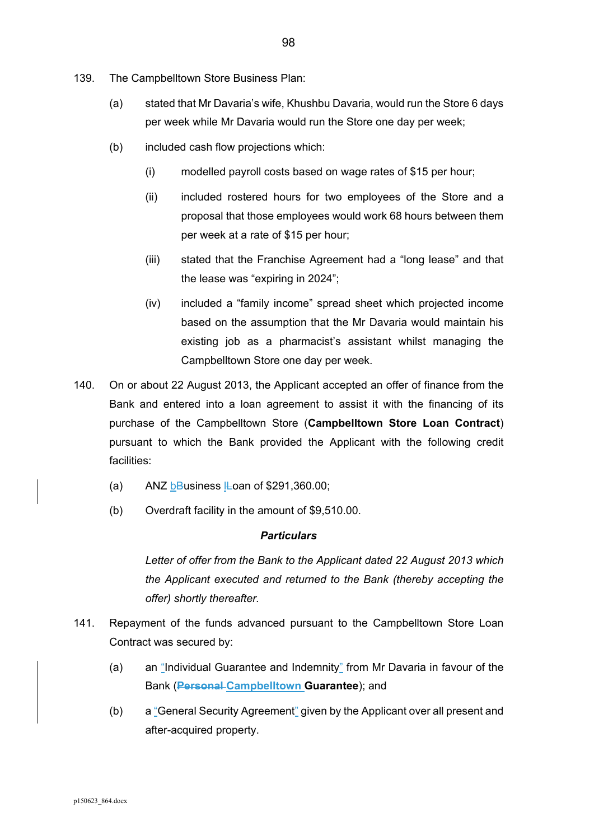- 139. The Campbelltown Store Business Plan:
	- (a) stated that Mr Davaria's wife, Khushbu Davaria, would run the Store 6 days per week while Mr Davaria would run the Store one day per week;
	- (b) included cash flow projections which:
		- (i) modelled payroll costs based on wage rates of \$15 per hour;
		- (ii) included rostered hours for two employees of the Store and a proposal that those employees would work 68 hours between them per week at a rate of \$15 per hour;
		- (iii) stated that the Franchise Agreement had a "long lease" and that the lease was "expiring in 2024";
		- (iv) included a "family income" spread sheet which projected income based on the assumption that the Mr Davaria would maintain his existing job as a pharmacist's assistant whilst managing the Campbelltown Store one day per week.
- 140. On or about 22 August 2013, the Applicant accepted an offer of finance from the Bank and entered into a loan agreement to assist it with the financing of its purchase of the Campbelltown Store (**Campbelltown Store Loan Contract**) pursuant to which the Bank provided the Applicant with the following credit facilities:
	- (a) ANZ bBusiness  $\text{L}$ oan of \$291,360.00;
	- (b) Overdraft facility in the amount of \$9,510.00.

*Letter of offer from the Bank to the Applicant dated 22 August 2013 which the Applicant executed and returned to the Bank (thereby accepting the offer) shortly thereafter.* 

- 141. Repayment of the funds advanced pursuant to the Campbelltown Store Loan Contract was secured by:
	- (a) an "Individual Guarantee and Indemnity" from Mr Davaria in favour of the Bank (**Personal Campbelltown Guarantee**); and
	- (b) a "General Security Agreement" given by the Applicant over all present and after-acquired property.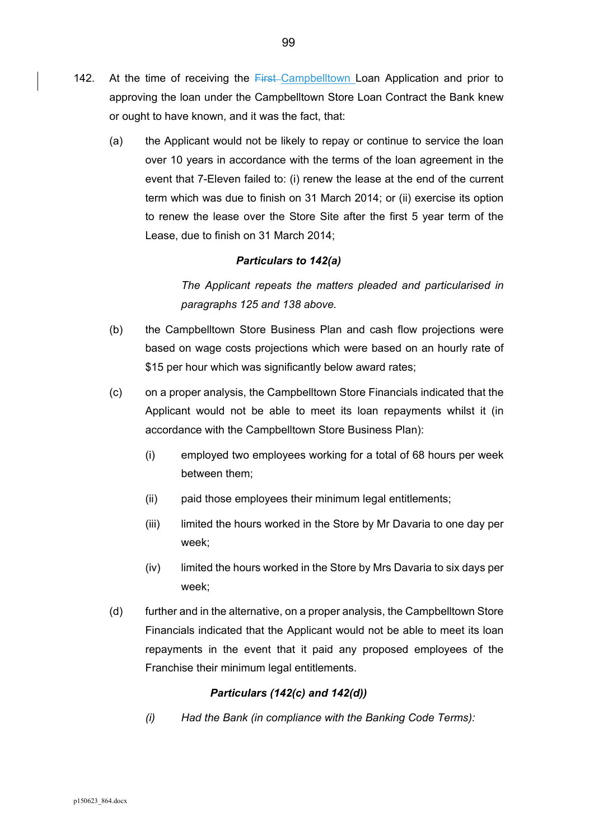- 142. At the time of receiving the First-Campbelltown Loan Application and prior to approving the loan under the Campbelltown Store Loan Contract the Bank knew or ought to have known, and it was the fact, that:
	- (a) the Applicant would not be likely to repay or continue to service the loan over 10 years in accordance with the terms of the loan agreement in the event that 7-Eleven failed to: (i) renew the lease at the end of the current term which was due to finish on 31 March 2014; or (ii) exercise its option to renew the lease over the Store Site after the first 5 year term of the Lease, due to finish on 31 March 2014;

## *Particulars to 142(a)*

*The Applicant repeats the matters pleaded and particularised in paragraphs 125 and 138 above.* 

- (b) the Campbelltown Store Business Plan and cash flow projections were based on wage costs projections which were based on an hourly rate of \$15 per hour which was significantly below award rates;
- (c) on a proper analysis, the Campbelltown Store Financials indicated that the Applicant would not be able to meet its loan repayments whilst it (in accordance with the Campbelltown Store Business Plan):
	- (i) employed two employees working for a total of 68 hours per week between them;
	- (ii) paid those employees their minimum legal entitlements;
	- (iii) limited the hours worked in the Store by Mr Davaria to one day per week;
	- (iv) limited the hours worked in the Store by Mrs Davaria to six days per week;
- (d) further and in the alternative, on a proper analysis, the Campbelltown Store Financials indicated that the Applicant would not be able to meet its loan repayments in the event that it paid any proposed employees of the Franchise their minimum legal entitlements.

## *Particulars (142(c) and 142(d))*

*(i) Had the Bank (in compliance with the Banking Code Terms):*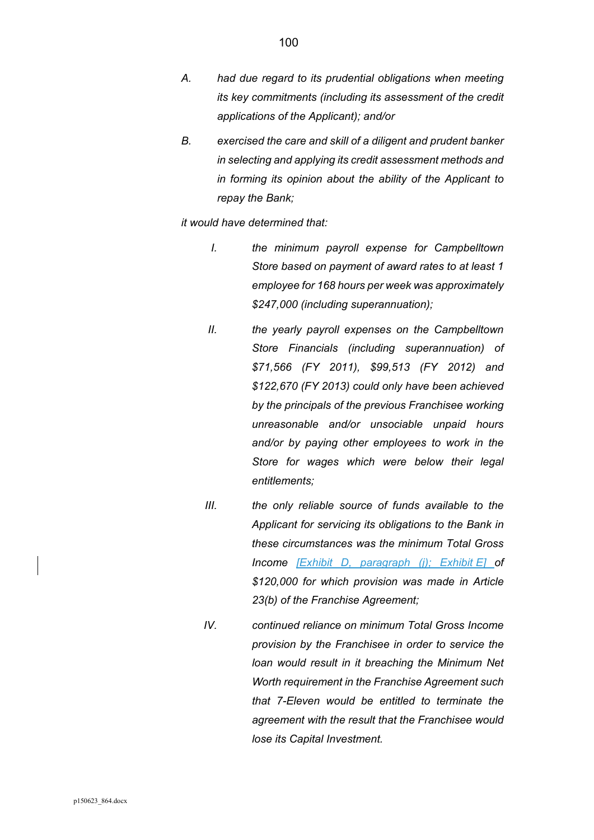- *A. had due regard to its prudential obligations when meeting its key commitments (including its assessment of the credit applications of the Applicant); and/or*
- *B. exercised the care and skill of a diligent and prudent banker in selecting and applying its credit assessment methods and in forming its opinion about the ability of the Applicant to repay the Bank;*

*it would have determined that:* 

- *I. the minimum payroll expense for Campbelltown Store based on payment of award rates to at least 1 employee for 168 hours per week was approximately \$247,000 (including superannuation);*
- *II. the yearly payroll expenses on the Campbelltown Store Financials (including superannuation) of \$71,566 (FY 2011), \$99,513 (FY 2012) and \$122,670 (FY 2013) could only have been achieved by the principals of the previous Franchisee working unreasonable and/or unsociable unpaid hours and/or by paying other employees to work in the Store for wages which were below their legal entitlements;*
- *III. the only reliable source of funds available to the Applicant for servicing its obligations to the Bank in these circumstances was the minimum Total Gross Income [Exhibit D, paragraph (j); Exhibit E] of \$120,000 for which provision was made in Article 23(b) of the Franchise Agreement;*
- *IV. continued reliance on minimum Total Gross Income provision by the Franchisee in order to service the loan would result in it breaching the Minimum Net Worth requirement in the Franchise Agreement such that 7-Eleven would be entitled to terminate the agreement with the result that the Franchisee would lose its Capital Investment.*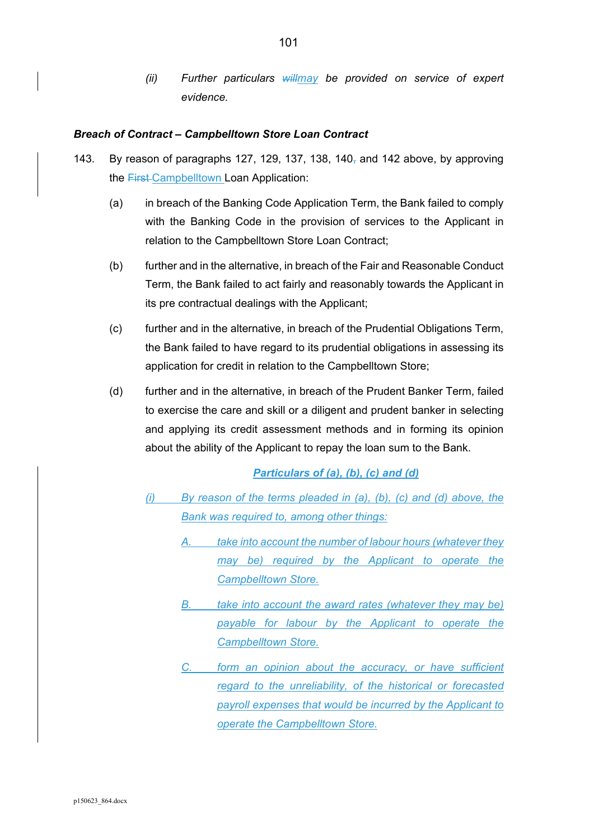*(ii) Further particulars willmay be provided on service of expert evidence.* 

#### *Breach of Contract – Campbelltown Store Loan Contract*

- 143. By reason of paragraphs 127, 129, 137, 138, 140 $<sub>7</sub>$  and 142 above, by approving</sub> the **First-Campbelltown Loan Application:** 
	- (a) in breach of the Banking Code Application Term, the Bank failed to comply with the Banking Code in the provision of services to the Applicant in relation to the Campbelltown Store Loan Contract;
	- (b) further and in the alternative, in breach of the Fair and Reasonable Conduct Term, the Bank failed to act fairly and reasonably towards the Applicant in its pre contractual dealings with the Applicant;
	- (c) further and in the alternative, in breach of the Prudential Obligations Term, the Bank failed to have regard to its prudential obligations in assessing its application for credit in relation to the Campbelltown Store;
	- (d) further and in the alternative, in breach of the Prudent Banker Term, failed to exercise the care and skill or a diligent and prudent banker in selecting and applying its credit assessment methods and in forming its opinion about the ability of the Applicant to repay the loan sum to the Bank.

## *Particulars of (a), (b), (c) and (d)*

- *(i) By reason of the terms pleaded in (a), (b), (c) and (d) above, the Bank was required to, among other things:* 
	- *A. take into account the number of labour hours (whatever they may be) required by the Applicant to operate the Campbelltown Store.*
	- *B. take into account the award rates (whatever they may be) payable for labour by the Applicant to operate the Campbelltown Store.*
	- *C. form an opinion about the accuracy, or have sufficient regard to the unreliability, of the historical or forecasted payroll expenses that would be incurred by the Applicant to operate the Campbelltown Store.*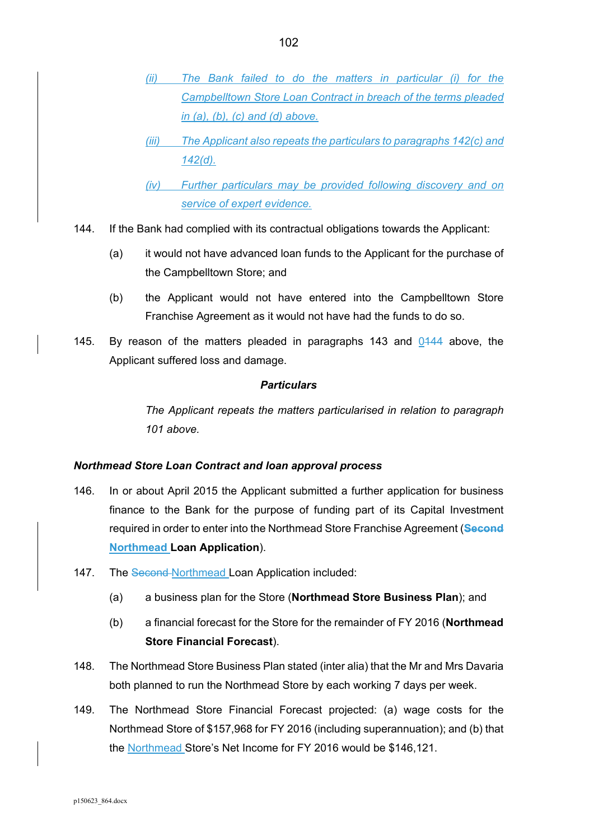- *(ii) The Bank failed to do the matters in particular (i) for the Campbelltown Store Loan Contract in breach of the terms pleaded in (a), (b), (c) and (d) above.*
- *(iii) The Applicant also repeats the particulars to paragraphs 142(c) and 142(d).*
- *(iv) Further particulars may be provided following discovery and on service of expert evidence.*
- 144. If the Bank had complied with its contractual obligations towards the Applicant:
	- (a) it would not have advanced loan funds to the Applicant for the purchase of the Campbelltown Store; and
	- (b) the Applicant would not have entered into the Campbelltown Store Franchise Agreement as it would not have had the funds to do so.
- 145. By reason of the matters pleaded in paragraphs 143 and 0444 above, the Applicant suffered loss and damage.

*The Applicant repeats the matters particularised in relation to paragraph 101 above.* 

# *Northmead Store Loan Contract and loan approval process*

- 146. In or about April 2015 the Applicant submitted a further application for business finance to the Bank for the purpose of funding part of its Capital Investment required in order to enter into the Northmead Store Franchise Agreement (**Second Northmead Loan Application**).
- 147. The Second-Northmead Loan Application included:
	- (a) a business plan for the Store (**Northmead Store Business Plan**); and
	- (b) a financial forecast for the Store for the remainder of FY 2016 (**Northmead Store Financial Forecast**).
- 148. The Northmead Store Business Plan stated (inter alia) that the Mr and Mrs Davaria both planned to run the Northmead Store by each working 7 days per week.
- 149. The Northmead Store Financial Forecast projected: (a) wage costs for the Northmead Store of \$157,968 for FY 2016 (including superannuation); and (b) that the Northmead Store's Net Income for FY 2016 would be \$146,121.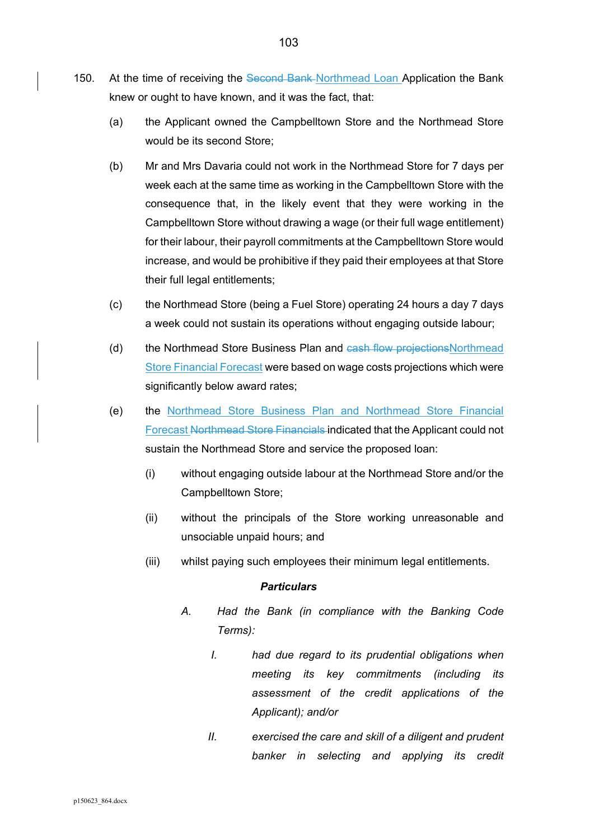- 150. At the time of receiving the Second Bank Northmead Loan Application the Bank knew or ought to have known, and it was the fact, that:
	- (a) the Applicant owned the Campbelltown Store and the Northmead Store would be its second Store;
	- (b) Mr and Mrs Davaria could not work in the Northmead Store for 7 days per week each at the same time as working in the Campbelltown Store with the consequence that, in the likely event that they were working in the Campbelltown Store without drawing a wage (or their full wage entitlement) for their labour, their payroll commitments at the Campbelltown Store would increase, and would be prohibitive if they paid their employees at that Store their full legal entitlements;
	- (c) the Northmead Store (being a Fuel Store) operating 24 hours a day 7 days a week could not sustain its operations without engaging outside labour;
	- (d) the Northmead Store Business Plan and cash flow projectionsNorthmead Store Financial Forecast were based on wage costs projections which were significantly below award rates;
	- (e) the Northmead Store Business Plan and Northmead Store Financial Forecast Northmead Store Financials indicated that the Applicant could not sustain the Northmead Store and service the proposed loan:
		- (i) without engaging outside labour at the Northmead Store and/or the Campbelltown Store;
		- (ii) without the principals of the Store working unreasonable and unsociable unpaid hours; and
		- (iii) whilst paying such employees their minimum legal entitlements.

- *A. Had the Bank (in compliance with the Banking Code Terms):* 
	- *I. had due regard to its prudential obligations when meeting its key commitments (including its assessment of the credit applications of the Applicant); and/or*
	- *II. exercised the care and skill of a diligent and prudent banker in selecting and applying its credit*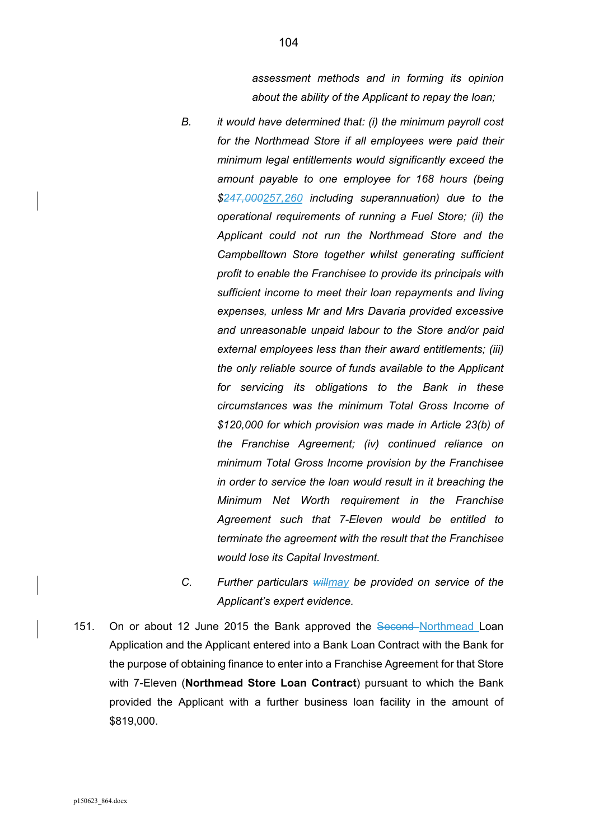*assessment methods and in forming its opinion about the ability of the Applicant to repay the loan;* 

- *B. it would have determined that: (i) the minimum payroll cost for the Northmead Store if all employees were paid their minimum legal entitlements would significantly exceed the amount payable to one employee for 168 hours (being \$247,000257,260 including superannuation) due to the operational requirements of running a Fuel Store; (ii) the Applicant could not run the Northmead Store and the Campbelltown Store together whilst generating sufficient profit to enable the Franchisee to provide its principals with sufficient income to meet their loan repayments and living expenses, unless Mr and Mrs Davaria provided excessive and unreasonable unpaid labour to the Store and/or paid external employees less than their award entitlements; (iii) the only reliable source of funds available to the Applicant for servicing its obligations to the Bank in these circumstances was the minimum Total Gross Income of \$120,000 for which provision was made in Article 23(b) of the Franchise Agreement; (iv) continued reliance on minimum Total Gross Income provision by the Franchisee in order to service the loan would result in it breaching the Minimum Net Worth requirement in the Franchise Agreement such that 7-Eleven would be entitled to terminate the agreement with the result that the Franchisee would lose its Capital Investment.*
- *C. Further particulars willmay be provided on service of the Applicant's expert evidence.*
- 151. On or about 12 June 2015 the Bank approved the Second-Northmead Loan Application and the Applicant entered into a Bank Loan Contract with the Bank for the purpose of obtaining finance to enter into a Franchise Agreement for that Store with 7-Eleven (**Northmead Store Loan Contract**) pursuant to which the Bank provided the Applicant with a further business loan facility in the amount of \$819,000.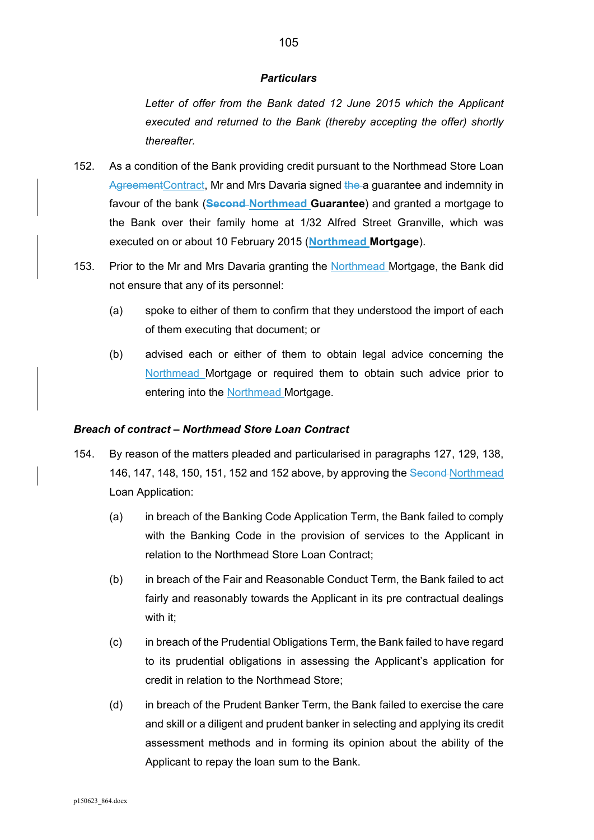Letter of offer from the Bank dated 12 June 2015 which the Applicant *executed and returned to the Bank (thereby accepting the offer) shortly thereafter.* 

- 152. As a condition of the Bank providing credit pursuant to the Northmead Store Loan AgreementContract, Mr and Mrs Davaria signed the a guarantee and indemnity in favour of the bank (**Second Northmead Guarantee**) and granted a mortgage to the Bank over their family home at 1/32 Alfred Street Granville, which was executed on or about 10 February 2015 (**Northmead Mortgage**).
- 153. Prior to the Mr and Mrs Davaria granting the Northmead Mortgage, the Bank did not ensure that any of its personnel:
	- (a) spoke to either of them to confirm that they understood the import of each of them executing that document; or
	- (b) advised each or either of them to obtain legal advice concerning the Northmead Mortgage or required them to obtain such advice prior to entering into the **Northmead** Mortgage.

## *Breach of contract – Northmead Store Loan Contract*

- 154. By reason of the matters pleaded and particularised in paragraphs 127, 129, 138, 146, 147, 148, 150, 151, 152 and 152 above, by approving the Second Northmead Loan Application:
	- (a) in breach of the Banking Code Application Term, the Bank failed to comply with the Banking Code in the provision of services to the Applicant in relation to the Northmead Store Loan Contract;
	- (b) in breach of the Fair and Reasonable Conduct Term, the Bank failed to act fairly and reasonably towards the Applicant in its pre contractual dealings with it;
	- (c) in breach of the Prudential Obligations Term, the Bank failed to have regard to its prudential obligations in assessing the Applicant's application for credit in relation to the Northmead Store;
	- (d) in breach of the Prudent Banker Term, the Bank failed to exercise the care and skill or a diligent and prudent banker in selecting and applying its credit assessment methods and in forming its opinion about the ability of the Applicant to repay the loan sum to the Bank.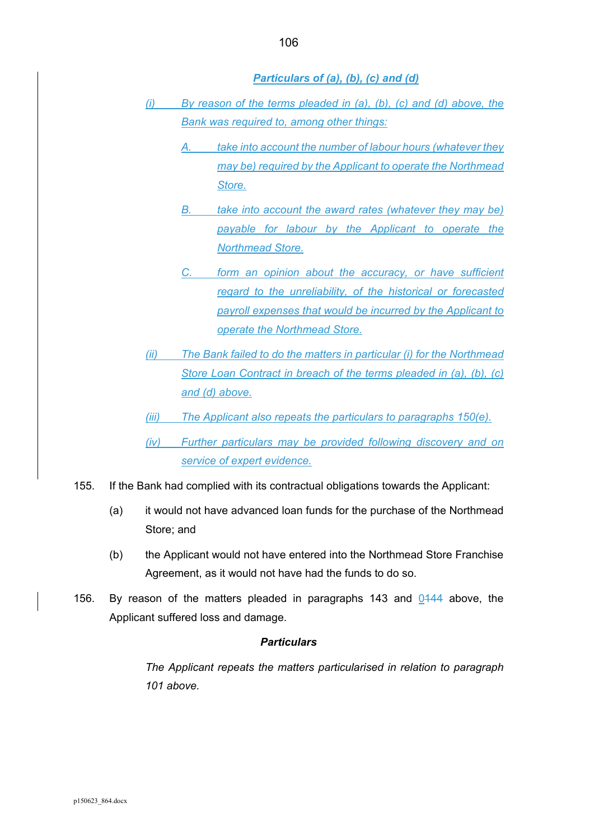*Particulars of (a), (b), (c) and (d)* 

- *(i) By reason of the terms pleaded in (a), (b), (c) and (d) above, the Bank was required to, among other things:* 
	- *A. take into account the number of labour hours (whatever they may be) required by the Applicant to operate the Northmead Store.*
	- *B. take into account the award rates (whatever they may be) payable for labour by the Applicant to operate the Northmead Store.*
	- *C. form an opinion about the accuracy, or have sufficient regard to the unreliability, of the historical or forecasted payroll expenses that would be incurred by the Applicant to operate the Northmead Store.*
- *(ii) The Bank failed to do the matters in particular (i) for the Northmead Store Loan Contract in breach of the terms pleaded in (a), (b), (c) and (d) above.*
- *(iii) The Applicant also repeats the particulars to paragraphs 150(e).*
- *(iv) Further particulars may be provided following discovery and on service of expert evidence.*
- 155. If the Bank had complied with its contractual obligations towards the Applicant:
	- (a) it would not have advanced loan funds for the purchase of the Northmead Store; and
	- (b) the Applicant would not have entered into the Northmead Store Franchise Agreement, as it would not have had the funds to do so.
- 156. By reason of the matters pleaded in paragraphs 143 and 0144 above, the Applicant suffered loss and damage.

#### *Particulars*

*The Applicant repeats the matters particularised in relation to paragraph 101 above.*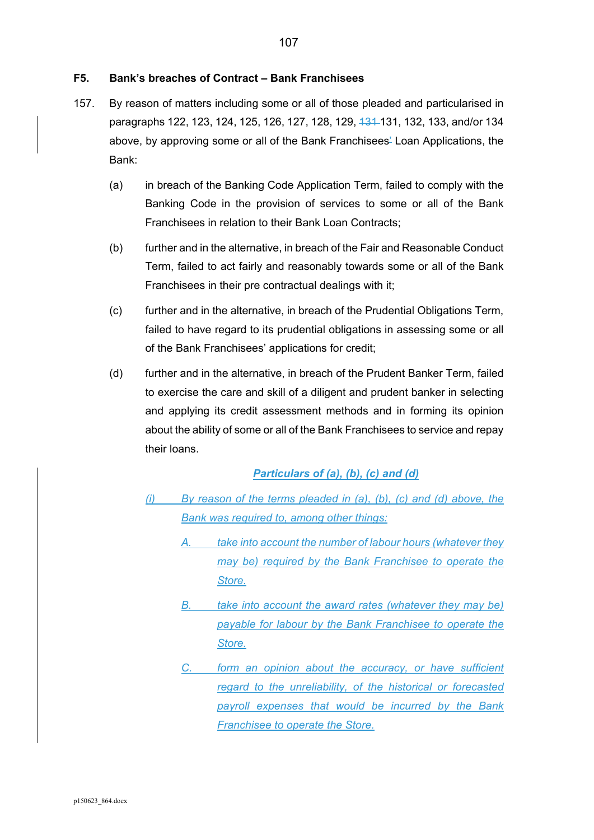#### **F5. Bank's breaches of Contract – Bank Franchisees**

- 157. By reason of matters including some or all of those pleaded and particularised in paragraphs 122, 123, 124, 125, 126, 127, 128, 129, <del>131</del>-131, 132, 133, and/or 134 above, by approving some or all of the Bank Franchisees' Loan Applications, the Bank:
	- (a) in breach of the Banking Code Application Term, failed to comply with the Banking Code in the provision of services to some or all of the Bank Franchisees in relation to their Bank Loan Contracts;
	- (b) further and in the alternative, in breach of the Fair and Reasonable Conduct Term, failed to act fairly and reasonably towards some or all of the Bank Franchisees in their pre contractual dealings with it;
	- (c) further and in the alternative, in breach of the Prudential Obligations Term, failed to have regard to its prudential obligations in assessing some or all of the Bank Franchisees' applications for credit;
	- (d) further and in the alternative, in breach of the Prudent Banker Term, failed to exercise the care and skill of a diligent and prudent banker in selecting and applying its credit assessment methods and in forming its opinion about the ability of some or all of the Bank Franchisees to service and repay their loans.

## *Particulars of (a), (b), (c) and (d)*

- *(i) By reason of the terms pleaded in (a), (b), (c) and (d) above, the Bank was required to, among other things:* 
	- *A. take into account the number of labour hours (whatever they may be) required by the Bank Franchisee to operate the Store.*
	- *B. take into account the award rates (whatever they may be) payable for labour by the Bank Franchisee to operate the Store.*
	- *C. form an opinion about the accuracy, or have sufficient regard to the unreliability, of the historical or forecasted payroll expenses that would be incurred by the Bank Franchisee to operate the Store.*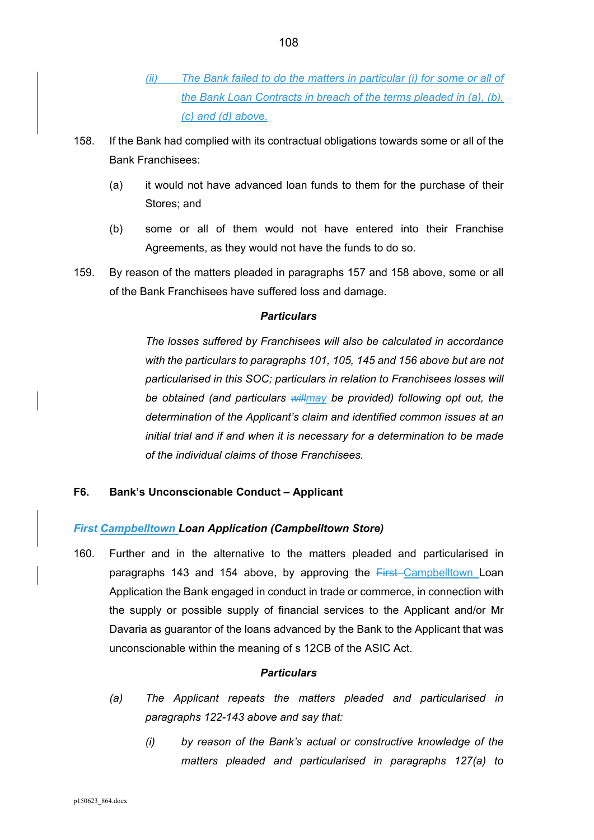- *(ii) The Bank failed to do the matters in particular (i) for some or all of the Bank Loan Contracts in breach of the terms pleaded in (a), (b), (c) and (d) above.*
- 158. If the Bank had complied with its contractual obligations towards some or all of the Bank Franchisees:
	- (a) it would not have advanced loan funds to them for the purchase of their Stores; and
	- (b) some or all of them would not have entered into their Franchise Agreements, as they would not have the funds to do so.
- 159. By reason of the matters pleaded in paragraphs 157 and 158 above, some or all of the Bank Franchisees have suffered loss and damage.

*The losses suffered by Franchisees will also be calculated in accordance with the particulars to paragraphs 101, 105, 145 and 156 above but are not particularised in this SOC; particulars in relation to Franchisees losses will be obtained (and particulars willmay be provided) following opt out, the determination of the Applicant's claim and identified common issues at an initial trial and if and when it is necessary for a determination to be made of the individual claims of those Franchisees.* 

# **F6. Bank's Unconscionable Conduct – Applicant**

# *First Campbelltown Loan Application (Campbelltown Store)*

160. Further and in the alternative to the matters pleaded and particularised in paragraphs 143 and 154 above, by approving the First-Campbelltown Loan Application the Bank engaged in conduct in trade or commerce, in connection with the supply or possible supply of financial services to the Applicant and/or Mr Davaria as guarantor of the loans advanced by the Bank to the Applicant that was unconscionable within the meaning of s 12CB of the ASIC Act.

#### *Particulars*

- *(a) The Applicant repeats the matters pleaded and particularised in paragraphs 122-143 above and say that:* 
	- *(i) by reason of the Bank's actual or constructive knowledge of the matters pleaded and particularised in paragraphs 127(a) to*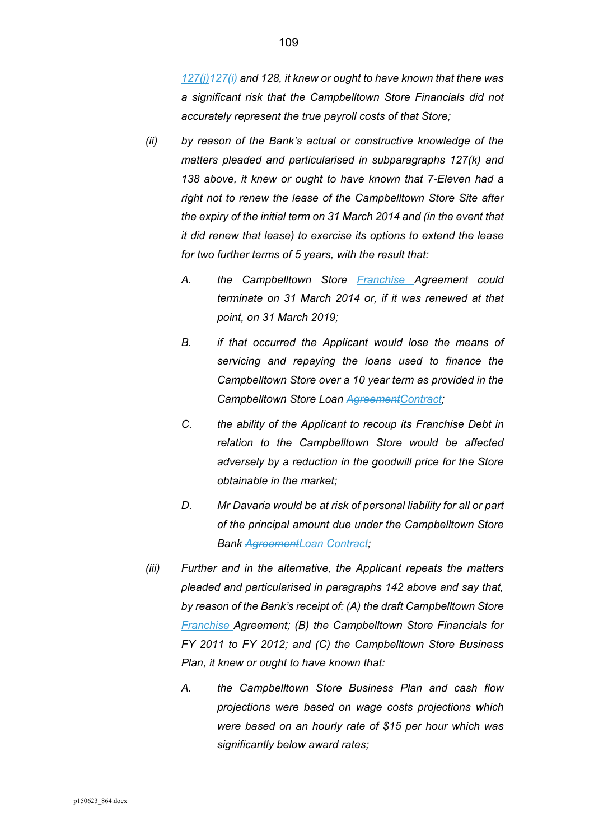*127(j)127(i) and 128, it knew or ought to have known that there was a significant risk that the Campbelltown Store Financials did not accurately represent the true payroll costs of that Store;* 

- *(ii) by reason of the Bank's actual or constructive knowledge of the matters pleaded and particularised in subparagraphs 127(k) and 138 above, it knew or ought to have known that 7-Eleven had a right not to renew the lease of the Campbelltown Store Site after the expiry of the initial term on 31 March 2014 and (in the event that it did renew that lease) to exercise its options to extend the lease for two further terms of 5 years, with the result that:* 
	- *A. the Campbelltown Store Franchise Agreement could terminate on 31 March 2014 or, if it was renewed at that point, on 31 March 2019;*
	- *B. if that occurred the Applicant would lose the means of servicing and repaying the loans used to finance the Campbelltown Store over a 10 year term as provided in the Campbelltown Store Loan AgreementContract;*
	- *C. the ability of the Applicant to recoup its Franchise Debt in relation to the Campbelltown Store would be affected adversely by a reduction in the goodwill price for the Store obtainable in the market;*
	- *D. Mr Davaria would be at risk of personal liability for all or part of the principal amount due under the Campbelltown Store Bank AgreementLoan Contract;*
- *(iii) Further and in the alternative, the Applicant repeats the matters pleaded and particularised in paragraphs 142 above and say that, by reason of the Bank's receipt of: (A) the draft Campbelltown Store Franchise Agreement; (B) the Campbelltown Store Financials for FY 2011 to FY 2012; and (C) the Campbelltown Store Business Plan, it knew or ought to have known that:* 
	- *A. the Campbelltown Store Business Plan and cash flow projections were based on wage costs projections which were based on an hourly rate of \$15 per hour which was significantly below award rates;*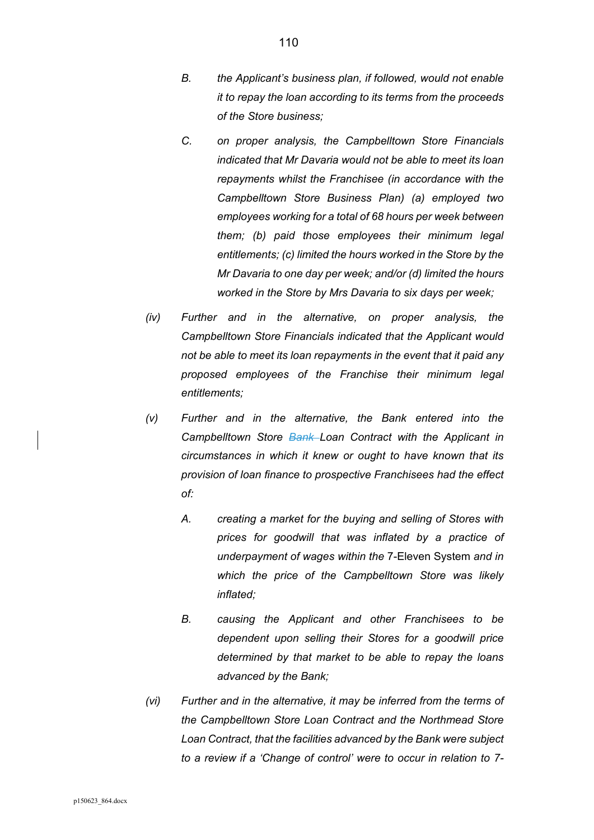- *B. the Applicant's business plan, if followed, would not enable it to repay the loan according to its terms from the proceeds of the Store business;*
- *C. on proper analysis, the Campbelltown Store Financials indicated that Mr Davaria would not be able to meet its loan repayments whilst the Franchisee (in accordance with the Campbelltown Store Business Plan) (a) employed two employees working for a total of 68 hours per week between them; (b) paid those employees their minimum legal entitlements; (c) limited the hours worked in the Store by the Mr Davaria to one day per week; and/or (d) limited the hours worked in the Store by Mrs Davaria to six days per week;*
- *(iv) Further and in the alternative, on proper analysis, the Campbelltown Store Financials indicated that the Applicant would not be able to meet its loan repayments in the event that it paid any proposed employees of the Franchise their minimum legal entitlements;*
- *(v) Further and in the alternative, the Bank entered into the Campbelltown Store Bank Loan Contract with the Applicant in circumstances in which it knew or ought to have known that its provision of loan finance to prospective Franchisees had the effect of:* 
	- *A. creating a market for the buying and selling of Stores with prices for goodwill that was inflated by a practice of underpayment of wages within the* 7-Eleven System *and in which the price of the Campbelltown Store was likely inflated;*
	- *B. causing the Applicant and other Franchisees to be dependent upon selling their Stores for a goodwill price determined by that market to be able to repay the loans advanced by the Bank;*
- *(vi) Further and in the alternative, it may be inferred from the terms of the Campbelltown Store Loan Contract and the Northmead Store Loan Contract, that the facilities advanced by the Bank were subject to a review if a 'Change of control' were to occur in relation to 7-*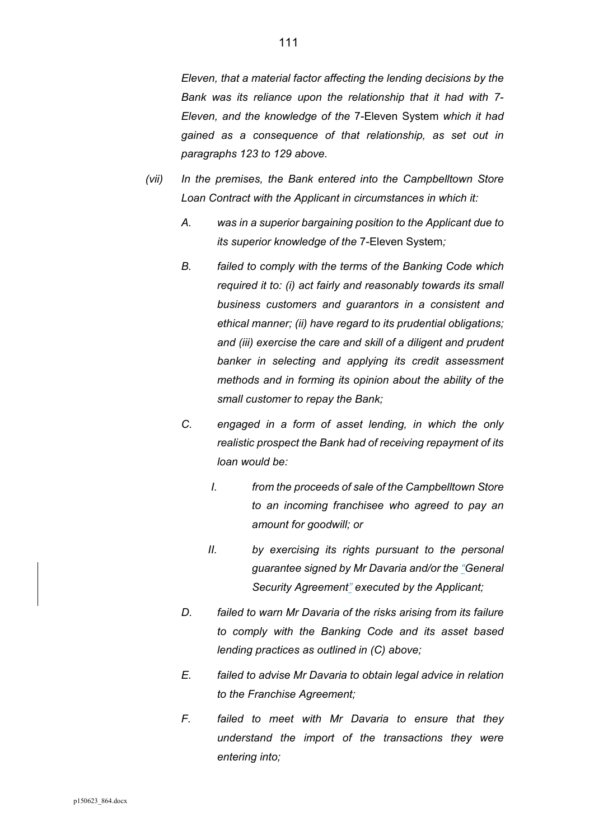*Eleven, that a material factor affecting the lending decisions by the Bank was its reliance upon the relationship that it had with 7- Eleven, and the knowledge of the* 7-Eleven System *which it had gained as a consequence of that relationship, as set out in paragraphs 123 to 129 above.* 

- *(vii) In the premises, the Bank entered into the Campbelltown Store Loan Contract with the Applicant in circumstances in which it:* 
	- *A. was in a superior bargaining position to the Applicant due to its superior knowledge of the* 7-Eleven System*;*
	- *B. failed to comply with the terms of the Banking Code which required it to: (i) act fairly and reasonably towards its small business customers and guarantors in a consistent and ethical manner; (ii) have regard to its prudential obligations; and (iii) exercise the care and skill of a diligent and prudent banker in selecting and applying its credit assessment methods and in forming its opinion about the ability of the small customer to repay the Bank;*
	- *C. engaged in a form of asset lending, in which the only realistic prospect the Bank had of receiving repayment of its loan would be:* 
		- *I. from the proceeds of sale of the Campbelltown Store to an incoming franchisee who agreed to pay an amount for goodwill; or*
		- *II. by exercising its rights pursuant to the personal guarantee signed by Mr Davaria and/or the "General Security Agreement" executed by the Applicant;*
	- *D. failed to warn Mr Davaria of the risks arising from its failure to comply with the Banking Code and its asset based lending practices as outlined in (C) above;*
	- *E. failed to advise Mr Davaria to obtain legal advice in relation to the Franchise Agreement;*
	- *F. failed to meet with Mr Davaria to ensure that they understand the import of the transactions they were entering into;*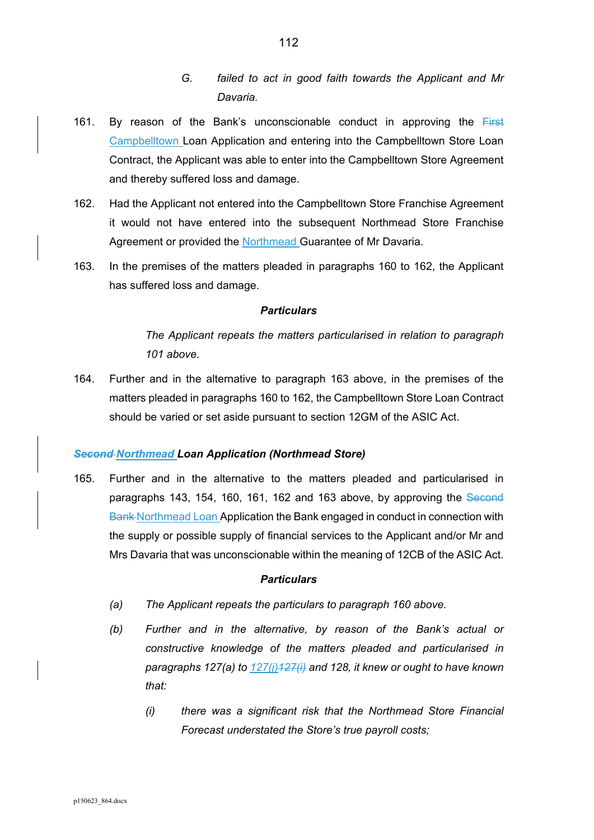- *G. failed to act in good faith towards the Applicant and Mr Davaria.*
- 161. By reason of the Bank's unconscionable conduct in approving the  $First$ Campbelltown Loan Application and entering into the Campbelltown Store Loan Contract, the Applicant was able to enter into the Campbelltown Store Agreement and thereby suffered loss and damage.
- 162. Had the Applicant not entered into the Campbelltown Store Franchise Agreement it would not have entered into the subsequent Northmead Store Franchise Agreement or provided the Northmead Guarantee of Mr Davaria.
- 163. In the premises of the matters pleaded in paragraphs 160 to 162, the Applicant has suffered loss and damage.

*The Applicant repeats the matters particularised in relation to paragraph 101 above.* 

164. Further and in the alternative to paragraph 163 above, in the premises of the matters pleaded in paragraphs 160 to 162, the Campbelltown Store Loan Contract should be varied or set aside pursuant to section 12GM of the ASIC Act.

#### *Second Northmead Loan Application (Northmead Store)*

165. Further and in the alternative to the matters pleaded and particularised in paragraphs 143, 154, 160, 161, 162 and 163 above, by approving the Second Bank Northmead Loan Application the Bank engaged in conduct in connection with the supply or possible supply of financial services to the Applicant and/or Mr and Mrs Davaria that was unconscionable within the meaning of 12CB of the ASIC Act.

#### *Particulars*

- *(a) The Applicant repeats the particulars to paragraph 160 above.*
- *(b) Further and in the alternative, by reason of the Bank's actual or constructive knowledge of the matters pleaded and particularised in paragraphs 127(a) to 127(j)127(i) and 128, it knew or ought to have known that:* 
	- *(i) there was a significant risk that the Northmead Store Financial Forecast understated the Store's true payroll costs;*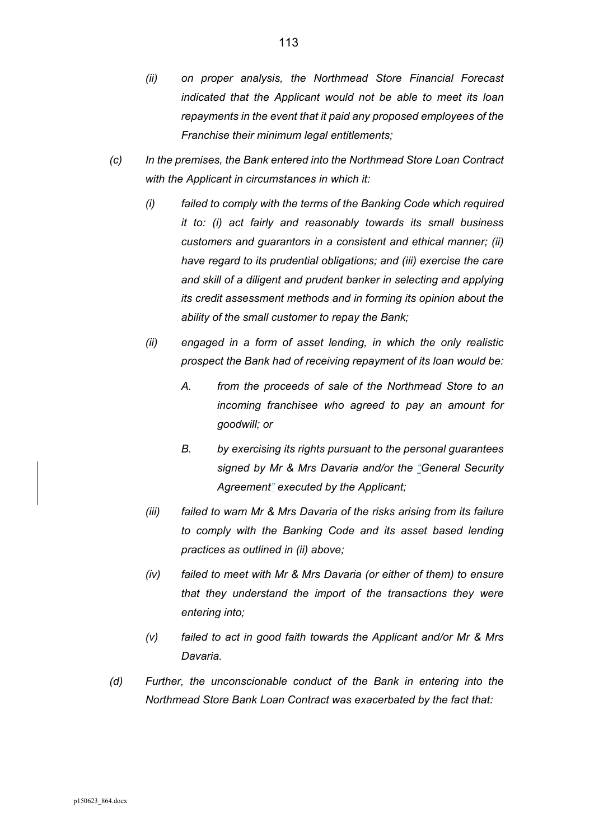- *(ii) on proper analysis, the Northmead Store Financial Forecast indicated that the Applicant would not be able to meet its loan repayments in the event that it paid any proposed employees of the Franchise their minimum legal entitlements;*
- *(c) In the premises, the Bank entered into the Northmead Store Loan Contract with the Applicant in circumstances in which it:* 
	- *(i) failed to comply with the terms of the Banking Code which required it to: (i) act fairly and reasonably towards its small business customers and guarantors in a consistent and ethical manner; (ii) have regard to its prudential obligations; and (iii) exercise the care and skill of a diligent and prudent banker in selecting and applying its credit assessment methods and in forming its opinion about the ability of the small customer to repay the Bank;*
	- *(ii) engaged in a form of asset lending, in which the only realistic prospect the Bank had of receiving repayment of its loan would be:* 
		- *A. from the proceeds of sale of the Northmead Store to an incoming franchisee who agreed to pay an amount for goodwill; or*
		- *B. by exercising its rights pursuant to the personal guarantees signed by Mr & Mrs Davaria and/or the "General Security Agreement" executed by the Applicant;*
	- *(iii) failed to warn Mr & Mrs Davaria of the risks arising from its failure to comply with the Banking Code and its asset based lending practices as outlined in (ii) above;*
	- *(iv) failed to meet with Mr & Mrs Davaria (or either of them) to ensure that they understand the import of the transactions they were entering into;*
	- *(v) failed to act in good faith towards the Applicant and/or Mr & Mrs Davaria.*
- *(d) Further, the unconscionable conduct of the Bank in entering into the Northmead Store Bank Loan Contract was exacerbated by the fact that:*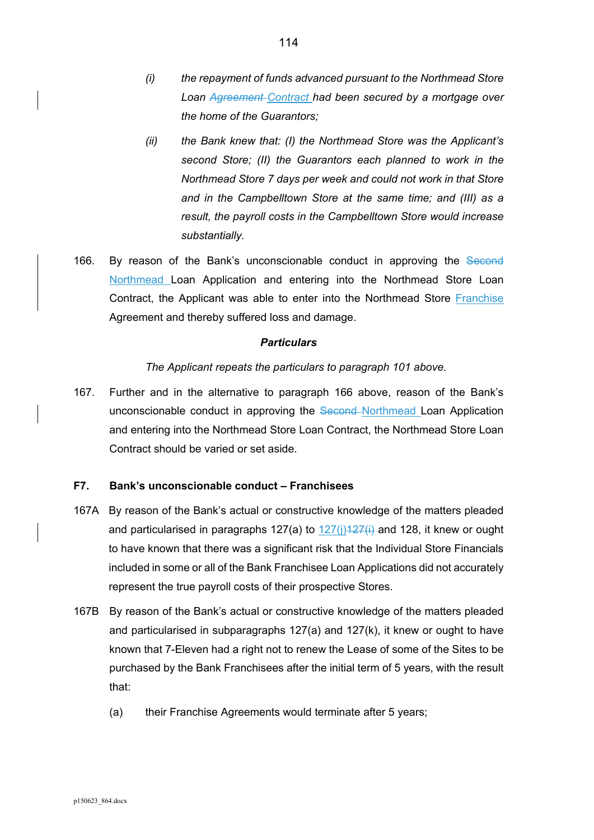- *(i) the repayment of funds advanced pursuant to the Northmead Store Loan Agreement Contract had been secured by a mortgage over the home of the Guarantors;*
- *(ii) the Bank knew that: (I) the Northmead Store was the Applicant's second Store; (II) the Guarantors each planned to work in the Northmead Store 7 days per week and could not work in that Store and in the Campbelltown Store at the same time; and (III) as a result, the payroll costs in the Campbelltown Store would increase substantially.*
- 166. By reason of the Bank's unconscionable conduct in approving the Second Northmead Loan Application and entering into the Northmead Store Loan Contract, the Applicant was able to enter into the Northmead Store Franchise Agreement and thereby suffered loss and damage.

#### *The Applicant repeats the particulars to paragraph 101 above.*

167. Further and in the alternative to paragraph 166 above, reason of the Bank's unconscionable conduct in approving the Second Northmead Loan Application and entering into the Northmead Store Loan Contract, the Northmead Store Loan Contract should be varied or set aside.

#### **F7. Bank's unconscionable conduct – Franchisees**

- 167A By reason of the Bank's actual or constructive knowledge of the matters pleaded and particularised in paragraphs 127(a) to  $127(i)127(i)$  and 128, it knew or ought to have known that there was a significant risk that the Individual Store Financials included in some or all of the Bank Franchisee Loan Applications did not accurately represent the true payroll costs of their prospective Stores.
- 167B By reason of the Bank's actual or constructive knowledge of the matters pleaded and particularised in subparagraphs  $127(a)$  and  $127(k)$ , it knew or ought to have known that 7-Eleven had a right not to renew the Lease of some of the Sites to be purchased by the Bank Franchisees after the initial term of 5 years, with the result that:
	- (a) their Franchise Agreements would terminate after 5 years;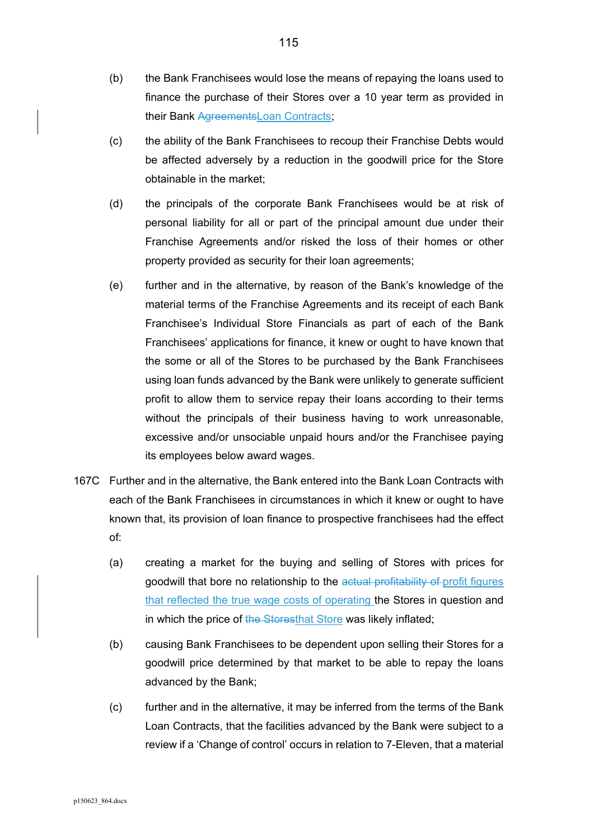- (b) the Bank Franchisees would lose the means of repaying the loans used to finance the purchase of their Stores over a 10 year term as provided in their Bank AgreementsLoan Contracts;
- (c) the ability of the Bank Franchisees to recoup their Franchise Debts would be affected adversely by a reduction in the goodwill price for the Store obtainable in the market;
- (d) the principals of the corporate Bank Franchisees would be at risk of personal liability for all or part of the principal amount due under their Franchise Agreements and/or risked the loss of their homes or other property provided as security for their loan agreements;
- (e) further and in the alternative, by reason of the Bank's knowledge of the material terms of the Franchise Agreements and its receipt of each Bank Franchisee's Individual Store Financials as part of each of the Bank Franchisees' applications for finance, it knew or ought to have known that the some or all of the Stores to be purchased by the Bank Franchisees using loan funds advanced by the Bank were unlikely to generate sufficient profit to allow them to service repay their loans according to their terms without the principals of their business having to work unreasonable, excessive and/or unsociable unpaid hours and/or the Franchisee paying its employees below award wages.
- 167C Further and in the alternative, the Bank entered into the Bank Loan Contracts with each of the Bank Franchisees in circumstances in which it knew or ought to have known that, its provision of loan finance to prospective franchisees had the effect of:
	- (a) creating a market for the buying and selling of Stores with prices for goodwill that bore no relationship to the actual profitability of profit figures that reflected the true wage costs of operating the Stores in question and in which the price of the Storesthat Store was likely inflated;
	- (b) causing Bank Franchisees to be dependent upon selling their Stores for a goodwill price determined by that market to be able to repay the loans advanced by the Bank;
	- (c) further and in the alternative, it may be inferred from the terms of the Bank Loan Contracts, that the facilities advanced by the Bank were subject to a review if a 'Change of control' occurs in relation to 7-Eleven, that a material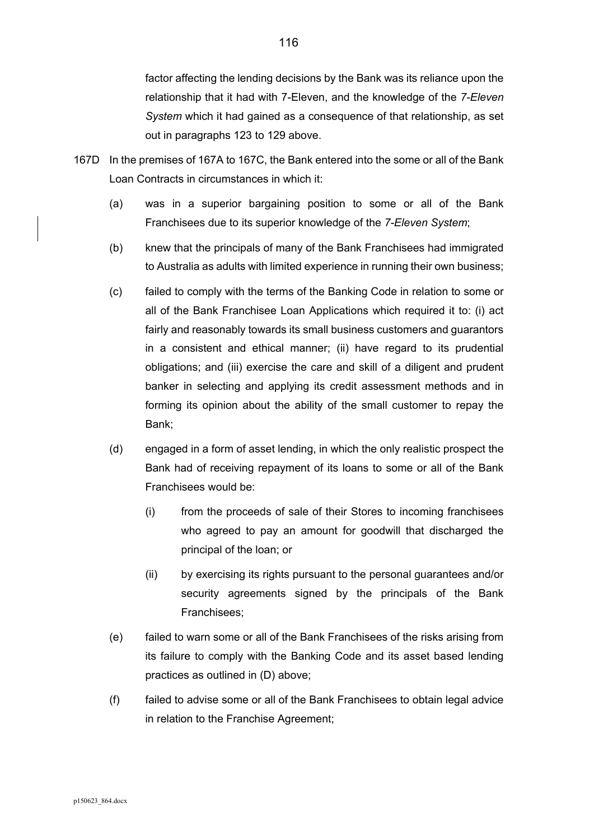factor affecting the lending decisions by the Bank was its reliance upon the relationship that it had with 7-Eleven, and the knowledge of the *7-Eleven System* which it had gained as a consequence of that relationship, as set out in paragraphs 123 to 129 above.

- 167D In the premises of 167A to 167C, the Bank entered into the some or all of the Bank Loan Contracts in circumstances in which it:
	- (a) was in a superior bargaining position to some or all of the Bank Franchisees due to its superior knowledge of the *7-Eleven System*;
	- (b) knew that the principals of many of the Bank Franchisees had immigrated to Australia as adults with limited experience in running their own business;
	- (c) failed to comply with the terms of the Banking Code in relation to some or all of the Bank Franchisee Loan Applications which required it to: (i) act fairly and reasonably towards its small business customers and guarantors in a consistent and ethical manner; (ii) have regard to its prudential obligations; and (iii) exercise the care and skill of a diligent and prudent banker in selecting and applying its credit assessment methods and in forming its opinion about the ability of the small customer to repay the Bank;
	- (d) engaged in a form of asset lending, in which the only realistic prospect the Bank had of receiving repayment of its loans to some or all of the Bank Franchisees would be:
		- (i) from the proceeds of sale of their Stores to incoming franchisees who agreed to pay an amount for goodwill that discharged the principal of the loan; or
		- (ii) by exercising its rights pursuant to the personal guarantees and/or security agreements signed by the principals of the Bank Franchisees;
	- (e) failed to warn some or all of the Bank Franchisees of the risks arising from its failure to comply with the Banking Code and its asset based lending practices as outlined in (D) above;
	- (f) failed to advise some or all of the Bank Franchisees to obtain legal advice in relation to the Franchise Agreement;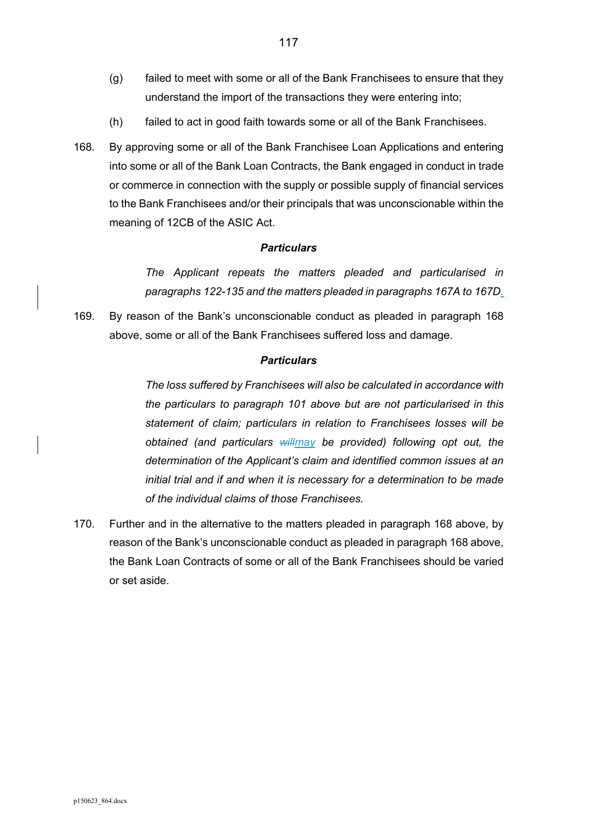- (g) failed to meet with some or all of the Bank Franchisees to ensure that they understand the import of the transactions they were entering into;
- (h) failed to act in good faith towards some or all of the Bank Franchisees.
- 168. By approving some or all of the Bank Franchisee Loan Applications and entering into some or all of the Bank Loan Contracts, the Bank engaged in conduct in trade or commerce in connection with the supply or possible supply of financial services to the Bank Franchisees and/or their principals that was unconscionable within the meaning of 12CB of the ASIC Act.

*The Applicant repeats the matters pleaded and particularised in paragraphs 122-135 and the matters pleaded in paragraphs 167A to 167D.* 

169. By reason of the Bank's unconscionable conduct as pleaded in paragraph 168 above, some or all of the Bank Franchisees suffered loss and damage.

#### *Particulars*

*The loss suffered by Franchisees will also be calculated in accordance with the particulars to paragraph 101 above but are not particularised in this statement of claim; particulars in relation to Franchisees losses will be obtained (and particulars willmay be provided) following opt out, the determination of the Applicant's claim and identified common issues at an initial trial and if and when it is necessary for a determination to be made of the individual claims of those Franchisees.* 

170. Further and in the alternative to the matters pleaded in paragraph 168 above, by reason of the Bank's unconscionable conduct as pleaded in paragraph 168 above, the Bank Loan Contracts of some or all of the Bank Franchisees should be varied or set aside.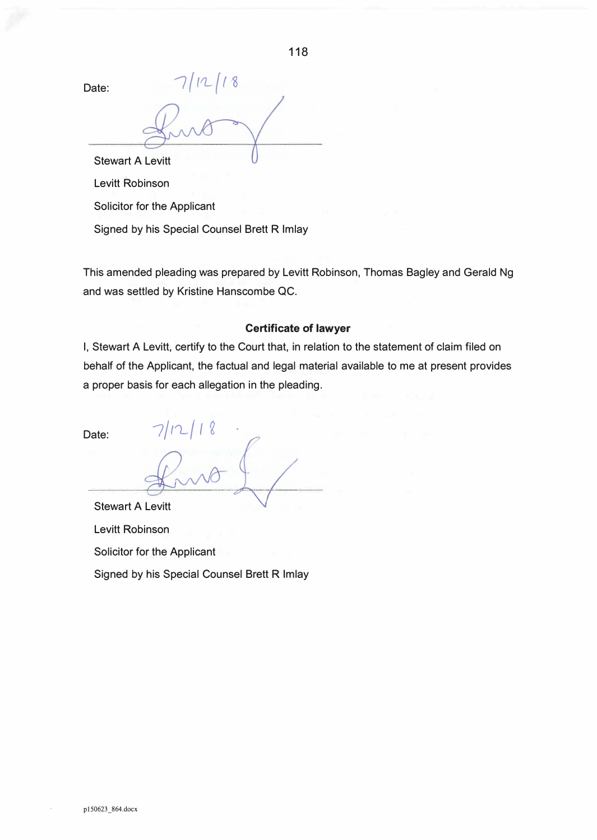118

Date:

 $12/18$ 

Stewart A Levitt Levitt Robinson

Solicitor for the Applicant

Signed by his Special Counsel Brett R Imlay

This amended pleading was prepared by Levitt Robinson, Thomas Bagley and Gerald Ng and was settled by Kristine Hanscombe QC.

# **Certificate of lawyer**

I, Stewart A Levitt, certify to the Court that, in relation to the statement of claim filed on behalf of the Applicant, the factual and legal material available to me at present provides a proper basis for each allegation in the pleading.

Date:  $7/12/18$ 

Stewart A Levitt Levitt Robinson Solicitor for the Applicant Signed by his Special Counsel Brett R Imlay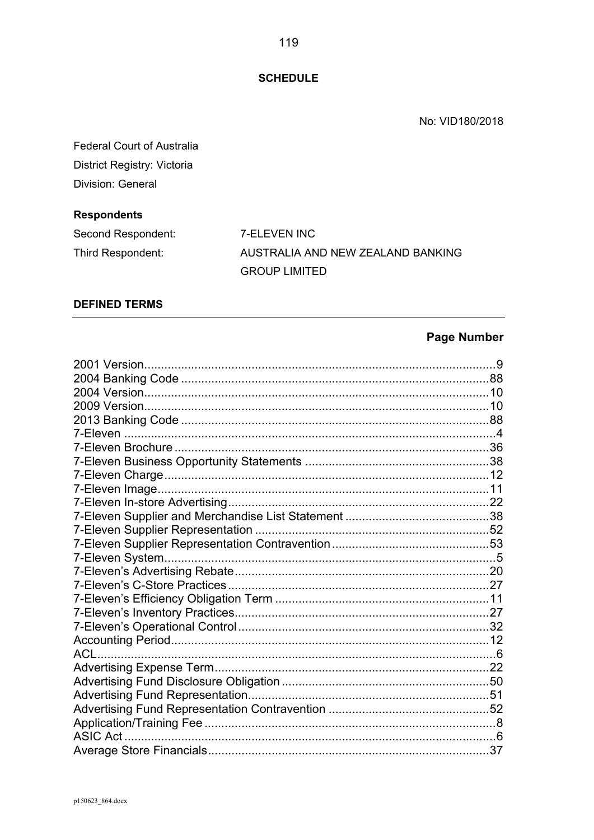**SCHEDULE** 

No: VID180/2018

| <b>Federal Court of Australia</b> |
|-----------------------------------|
| District Registry: Victoria       |
| Division: General                 |

# **Respondents**

| Second Respondent: | 7-ELEVEN INC                      |
|--------------------|-----------------------------------|
| Third Respondent:  | AUSTRALIA AND NEW ZEALAND BANKING |
|                    | <b>GROUP LIMITED</b>              |

# **DEFINED TERMS**

# **Page Number**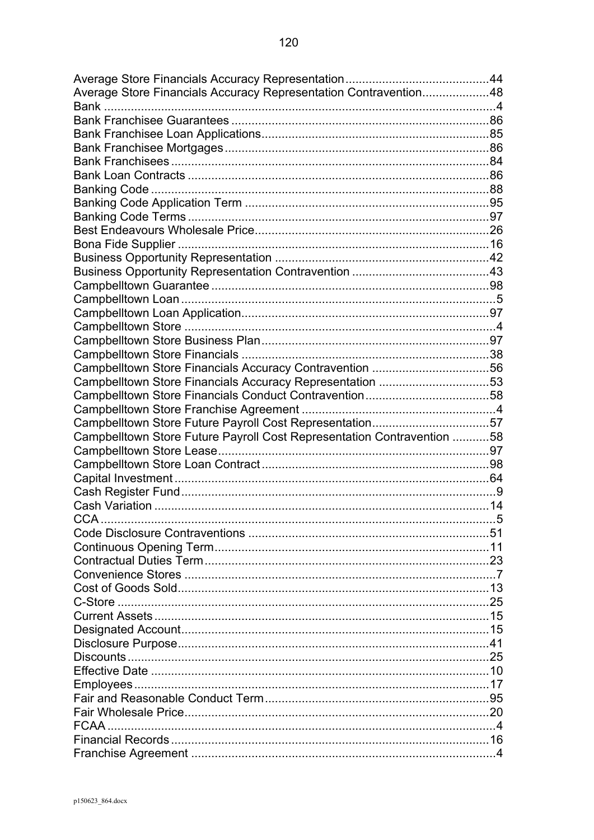| Average Store Financials Accuracy Representation Contravention48       |   |
|------------------------------------------------------------------------|---|
|                                                                        |   |
|                                                                        |   |
|                                                                        |   |
|                                                                        |   |
|                                                                        |   |
|                                                                        |   |
|                                                                        |   |
|                                                                        |   |
|                                                                        |   |
|                                                                        |   |
|                                                                        |   |
|                                                                        |   |
|                                                                        |   |
|                                                                        |   |
|                                                                        |   |
|                                                                        |   |
|                                                                        |   |
|                                                                        |   |
|                                                                        |   |
|                                                                        |   |
|                                                                        |   |
| Campbelltown Store Financials Accuracy Representation 53               |   |
|                                                                        |   |
|                                                                        |   |
| Campbelltown Store Future Payroll Cost Representation57                |   |
| Campbelltown Store Future Payroll Cost Representation Contravention 58 |   |
|                                                                        |   |
|                                                                        |   |
|                                                                        |   |
|                                                                        |   |
|                                                                        |   |
| CCA                                                                    | 5 |
|                                                                        |   |
|                                                                        |   |
|                                                                        |   |
|                                                                        |   |
|                                                                        |   |
|                                                                        |   |
|                                                                        |   |
|                                                                        |   |
|                                                                        |   |
|                                                                        |   |
|                                                                        |   |
|                                                                        |   |
|                                                                        |   |
|                                                                        |   |
|                                                                        |   |
|                                                                        |   |
|                                                                        |   |
|                                                                        |   |